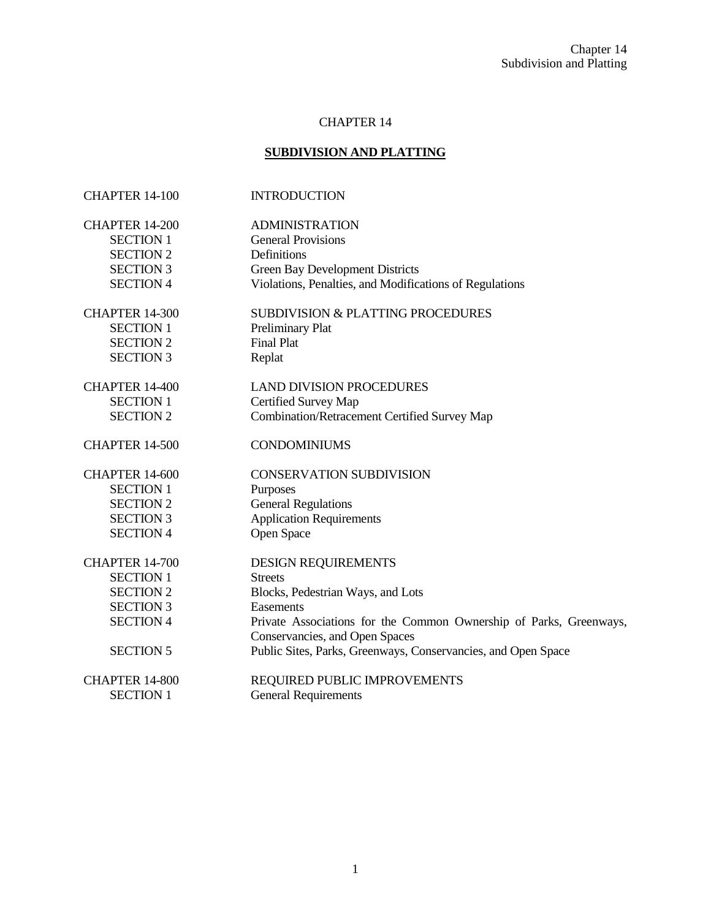# CHAPTER 14

# **SUBDIVISION AND PLATTING**

| <b>CHAPTER 14-100</b> | <b>INTRODUCTION</b>                                                |
|-----------------------|--------------------------------------------------------------------|
| <b>CHAPTER 14-200</b> | <b>ADMINISTRATION</b>                                              |
| <b>SECTION 1</b>      | <b>General Provisions</b>                                          |
| <b>SECTION 2</b>      | Definitions                                                        |
| <b>SECTION 3</b>      | <b>Green Bay Development Districts</b>                             |
| <b>SECTION 4</b>      | Violations, Penalties, and Modifications of Regulations            |
| <b>CHAPTER 14-300</b> | <b>SUBDIVISION &amp; PLATTING PROCEDURES</b>                       |
| <b>SECTION 1</b>      | Preliminary Plat                                                   |
| <b>SECTION 2</b>      | <b>Final Plat</b>                                                  |
| <b>SECTION 3</b>      | Replat                                                             |
| <b>CHAPTER 14-400</b> | <b>LAND DIVISION PROCEDURES</b>                                    |
| <b>SECTION 1</b>      | Certified Survey Map                                               |
| <b>SECTION 2</b>      | Combination/Retracement Certified Survey Map                       |
| <b>CHAPTER 14-500</b> | <b>CONDOMINIUMS</b>                                                |
| <b>CHAPTER 14-600</b> | <b>CONSERVATION SUBDIVISION</b>                                    |
| <b>SECTION 1</b>      | Purposes                                                           |
| <b>SECTION 2</b>      | <b>General Regulations</b>                                         |
| <b>SECTION 3</b>      | <b>Application Requirements</b>                                    |
| <b>SECTION 4</b>      | Open Space                                                         |
| <b>CHAPTER 14-700</b> | <b>DESIGN REQUIREMENTS</b>                                         |
| <b>SECTION 1</b>      | <b>Streets</b>                                                     |
| <b>SECTION 2</b>      | Blocks, Pedestrian Ways, and Lots                                  |
| <b>SECTION 3</b>      | Easements                                                          |
| <b>SECTION 4</b>      | Private Associations for the Common Ownership of Parks, Greenways, |
|                       | Conservancies, and Open Spaces                                     |
| <b>SECTION 5</b>      | Public Sites, Parks, Greenways, Conservancies, and Open Space      |
| <b>CHAPTER 14-800</b> | REQUIRED PUBLIC IMPROVEMENTS                                       |
| <b>SECTION 1</b>      | <b>General Requirements</b>                                        |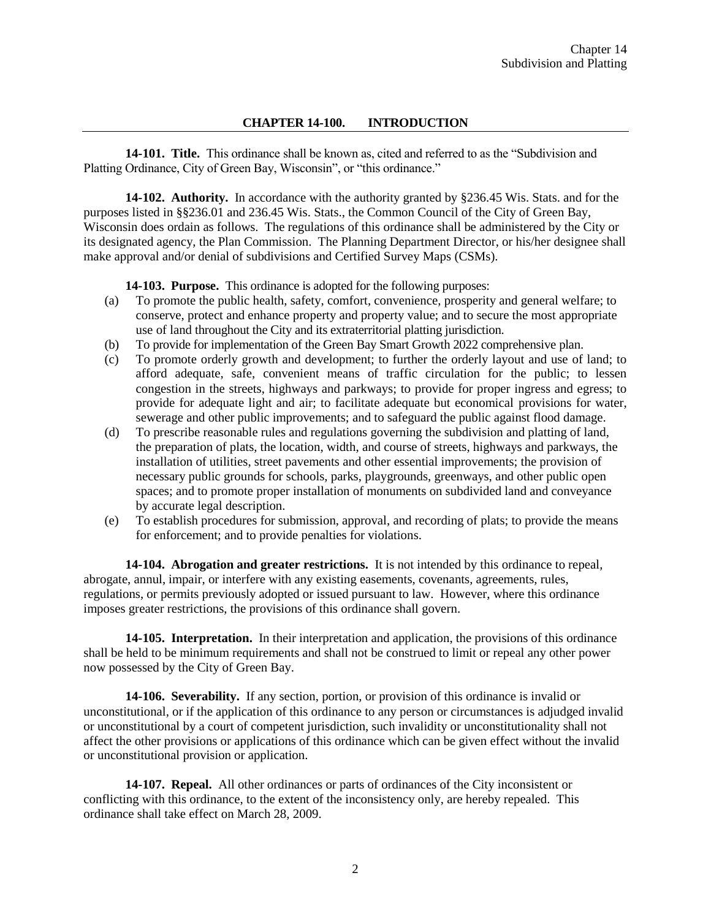### **CHAPTER 14-100. INTRODUCTION**

**14-101. Title.** This ordinance shall be known as, cited and referred to as the "Subdivision and Platting Ordinance, City of Green Bay, Wisconsin", or "this ordinance."

**14-102. Authority.** In accordance with the authority granted by §236.45 Wis. Stats. and for the purposes listed in §§236.01 and 236.45 Wis. Stats., the Common Council of the City of Green Bay, Wisconsin does ordain as follows. The regulations of this ordinance shall be administered by the City or its designated agency, the Plan Commission. The Planning Department Director, or his/her designee shall make approval and/or denial of subdivisions and Certified Survey Maps (CSMs).

**14-103. Purpose.** This ordinance is adopted for the following purposes:

- (a) To promote the public health, safety, comfort, convenience, prosperity and general welfare; to conserve, protect and enhance property and property value; and to secure the most appropriate use of land throughout the City and its extraterritorial platting jurisdiction.
- (b) To provide for implementation of the Green Bay Smart Growth 2022 comprehensive plan.
- (c) To promote orderly growth and development; to further the orderly layout and use of land; to afford adequate, safe, convenient means of traffic circulation for the public; to lessen congestion in the streets, highways and parkways; to provide for proper ingress and egress; to provide for adequate light and air; to facilitate adequate but economical provisions for water, sewerage and other public improvements; and to safeguard the public against flood damage.
- (d) To prescribe reasonable rules and regulations governing the subdivision and platting of land, the preparation of plats, the location, width, and course of streets, highways and parkways, the installation of utilities, street pavements and other essential improvements; the provision of necessary public grounds for schools, parks, playgrounds, greenways, and other public open spaces; and to promote proper installation of monuments on subdivided land and conveyance by accurate legal description.
- (e) To establish procedures for submission, approval, and recording of plats; to provide the means for enforcement; and to provide penalties for violations.

**14-104. Abrogation and greater restrictions.** It is not intended by this ordinance to repeal, abrogate, annul, impair, or interfere with any existing easements, covenants, agreements, rules, regulations, or permits previously adopted or issued pursuant to law. However, where this ordinance imposes greater restrictions, the provisions of this ordinance shall govern.

**14-105. Interpretation.** In their interpretation and application, the provisions of this ordinance shall be held to be minimum requirements and shall not be construed to limit or repeal any other power now possessed by the City of Green Bay.

**14-106. Severability.** If any section, portion, or provision of this ordinance is invalid or unconstitutional, or if the application of this ordinance to any person or circumstances is adjudged invalid or unconstitutional by a court of competent jurisdiction, such invalidity or unconstitutionality shall not affect the other provisions or applications of this ordinance which can be given effect without the invalid or unconstitutional provision or application.

**14-107. Repeal.** All other ordinances or parts of ordinances of the City inconsistent or conflicting with this ordinance, to the extent of the inconsistency only, are hereby repealed. This ordinance shall take effect on March 28, 2009.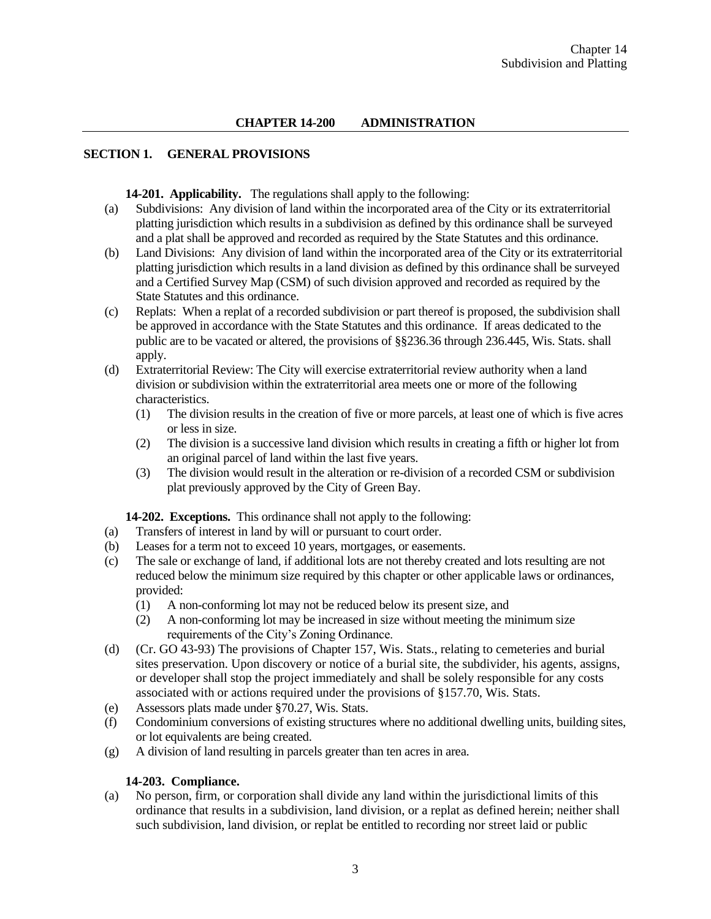## **CHAPTER 14-200 ADMINISTRATION**

# **SECTION 1. GENERAL PROVISIONS**

## **14-201. Applicability.** The regulations shall apply to the following:

- (a) Subdivisions: Any division of land within the incorporated area of the City or its extraterritorial platting jurisdiction which results in a subdivision as defined by this ordinance shall be surveyed and a plat shall be approved and recorded as required by the State Statutes and this ordinance.
- (b) Land Divisions: Any division of land within the incorporated area of the City or its extraterritorial platting jurisdiction which results in a land division as defined by this ordinance shall be surveyed and a Certified Survey Map (CSM) of such division approved and recorded as required by the State Statutes and this ordinance.
- (c) Replats: When a replat of a recorded subdivision or part thereof is proposed, the subdivision shall be approved in accordance with the State Statutes and this ordinance. If areas dedicated to the public are to be vacated or altered, the provisions of §§236.36 through 236.445, Wis. Stats. shall apply.
- (d) Extraterritorial Review: The City will exercise extraterritorial review authority when a land division or subdivision within the extraterritorial area meets one or more of the following characteristics.
	- (1) The division results in the creation of five or more parcels, at least one of which is five acres or less in size.
	- (2) The division is a successive land division which results in creating a fifth or higher lot from an original parcel of land within the last five years.
	- (3) The division would result in the alteration or re-division of a recorded CSM or subdivision plat previously approved by the City of Green Bay.

**14-202. Exceptions.** This ordinance shall not apply to the following:

- (a) Transfers of interest in land by will or pursuant to court order.
- (b) Leases for a term not to exceed 10 years, mortgages, or easements.
- (c) The sale or exchange of land, if additional lots are not thereby created and lots resulting are not reduced below the minimum size required by this chapter or other applicable laws or ordinances, provided:
	- (1) A non-conforming lot may not be reduced below its present size, and
	- (2) A non-conforming lot may be increased in size without meeting the minimum size requirements of the City's Zoning Ordinance.
- (d) (Cr. GO 43-93) The provisions of Chapter 157, Wis. Stats., relating to cemeteries and burial sites preservation. Upon discovery or notice of a burial site, the subdivider, his agents, assigns, or developer shall stop the project immediately and shall be solely responsible for any costs associated with or actions required under the provisions of §157.70, Wis. Stats.
- (e) Assessors plats made under §70.27, Wis. Stats.
- (f) Condominium conversions of existing structures where no additional dwelling units, building sites, or lot equivalents are being created.
- (g) A division of land resulting in parcels greater than ten acres in area.

# **14-203. Compliance.**

(a) No person, firm, or corporation shall divide any land within the jurisdictional limits of this ordinance that results in a subdivision, land division, or a replat as defined herein; neither shall such subdivision, land division, or replat be entitled to recording nor street laid or public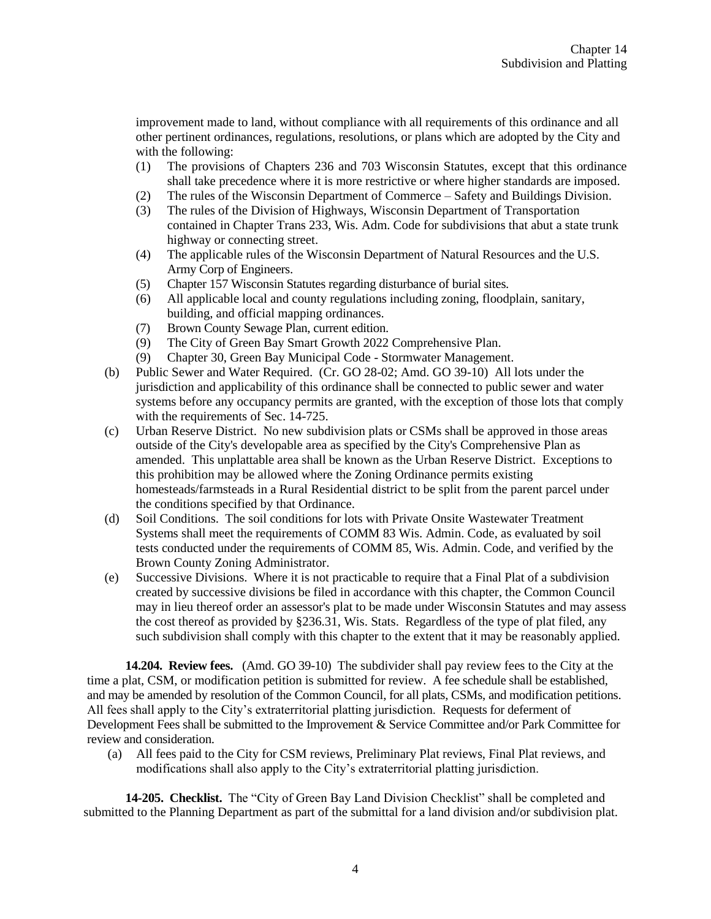improvement made to land, without compliance with all requirements of this ordinance and all other pertinent ordinances, regulations, resolutions, or plans which are adopted by the City and with the following:

- (1) The provisions of Chapters 236 and 703 Wisconsin Statutes, except that this ordinance shall take precedence where it is more restrictive or where higher standards are imposed.
- (2) The rules of the Wisconsin Department of Commerce Safety and Buildings Division.
- (3) The rules of the Division of Highways, Wisconsin Department of Transportation contained in Chapter Trans 233, Wis. Adm. Code for subdivisions that abut a state trunk highway or connecting street.
- (4) The applicable rules of the Wisconsin Department of Natural Resources and the U.S. Army Corp of Engineers.
- (5) Chapter 157 Wisconsin Statutes regarding disturbance of burial sites.
- (6) All applicable local and county regulations including zoning, floodplain, sanitary, building, and official mapping ordinances.
- (7) Brown County Sewage Plan, current edition.
- (9) The City of Green Bay Smart Growth 2022 Comprehensive Plan.
- (9) Chapter 30, Green Bay Municipal Code Stormwater Management.
- (b) Public Sewer and Water Required. (Cr. GO 28-02; Amd. GO 39-10) All lots under the jurisdiction and applicability of this ordinance shall be connected to public sewer and water systems before any occupancy permits are granted, with the exception of those lots that comply with the requirements of Sec. 14-725.
- (c) Urban Reserve District. No new subdivision plats or CSMs shall be approved in those areas outside of the City's developable area as specified by the City's Comprehensive Plan as amended. This unplattable area shall be known as the Urban Reserve District. Exceptions to this prohibition may be allowed where the Zoning Ordinance permits existing homesteads/farmsteads in a Rural Residential district to be split from the parent parcel under the conditions specified by that Ordinance.
- (d) Soil Conditions. The soil conditions for lots with Private Onsite Wastewater Treatment Systems shall meet the requirements of COMM 83 Wis. Admin. Code, as evaluated by soil tests conducted under the requirements of COMM 85, Wis. Admin. Code, and verified by the Brown County Zoning Administrator.
- (e) Successive Divisions. Where it is not practicable to require that a Final Plat of a subdivision created by successive divisions be filed in accordance with this chapter, the Common Council may in lieu thereof order an assessor's plat to be made under Wisconsin Statutes and may assess the cost thereof as provided by §236.31, Wis. Stats. Regardless of the type of plat filed, any such subdivision shall comply with this chapter to the extent that it may be reasonably applied.

**14.204. Review fees.** (Amd. GO 39-10) The subdivider shall pay review fees to the City at the time a plat, CSM, or modification petition is submitted for review. A fee schedule shall be established, and may be amended by resolution of the Common Council, for all plats, CSMs, and modification petitions. All fees shall apply to the City's extraterritorial platting jurisdiction. Requests for deferment of Development Fees shall be submitted to the Improvement & Service Committee and/or Park Committee for review and consideration.

(a) All fees paid to the City for CSM reviews, Preliminary Plat reviews, Final Plat reviews, and modifications shall also apply to the City's extraterritorial platting jurisdiction.

**14-205. Checklist.** The "City of Green Bay Land Division Checklist" shall be completed and submitted to the Planning Department as part of the submittal for a land division and/or subdivision plat.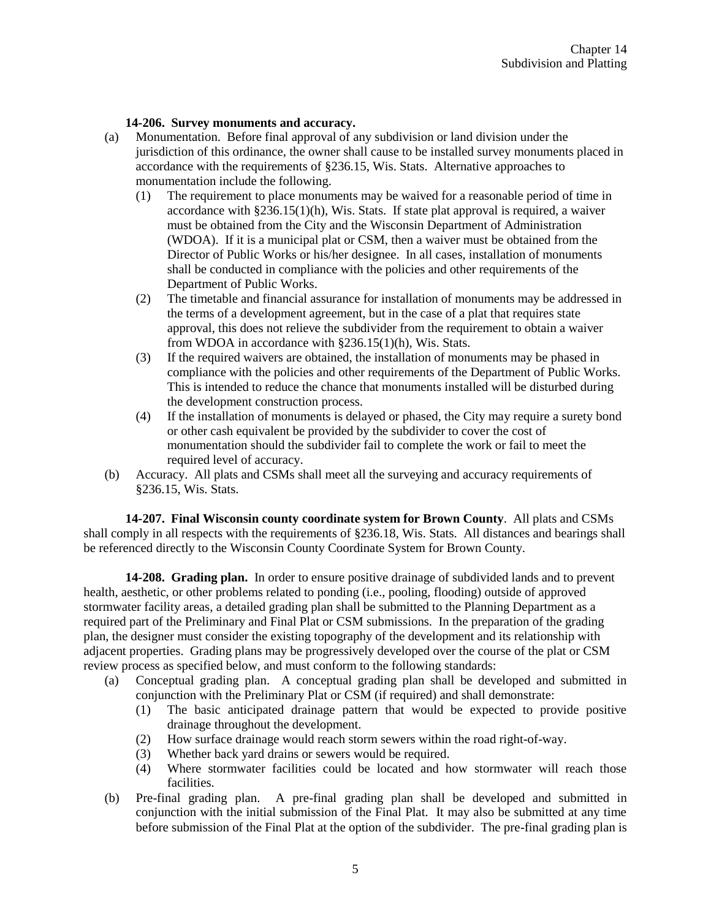## **14-206. Survey monuments and accuracy.**

- (a) Monumentation. Before final approval of any subdivision or land division under the jurisdiction of this ordinance, the owner shall cause to be installed survey monuments placed in accordance with the requirements of §236.15, Wis. Stats. Alternative approaches to monumentation include the following.
	- (1) The requirement to place monuments may be waived for a reasonable period of time in accordance with  $\S 236.15(1)(h)$ , Wis. Stats. If state plat approval is required, a waiver must be obtained from the City and the Wisconsin Department of Administration (WDOA). If it is a municipal plat or CSM, then a waiver must be obtained from the Director of Public Works or his/her designee. In all cases, installation of monuments shall be conducted in compliance with the policies and other requirements of the Department of Public Works.
	- (2) The timetable and financial assurance for installation of monuments may be addressed in the terms of a development agreement, but in the case of a plat that requires state approval, this does not relieve the subdivider from the requirement to obtain a waiver from WDOA in accordance with §236.15(1)(h), Wis. Stats.
	- (3) If the required waivers are obtained, the installation of monuments may be phased in compliance with the policies and other requirements of the Department of Public Works. This is intended to reduce the chance that monuments installed will be disturbed during the development construction process.
	- (4) If the installation of monuments is delayed or phased, the City may require a surety bond or other cash equivalent be provided by the subdivider to cover the cost of monumentation should the subdivider fail to complete the work or fail to meet the required level of accuracy.
- (b) Accuracy. All plats and CSMs shall meet all the surveying and accuracy requirements of §236.15, Wis. Stats.

**14-207. Final Wisconsin county coordinate system for Brown County**. All plats and CSMs shall comply in all respects with the requirements of §236.18, Wis. Stats. All distances and bearings shall be referenced directly to the Wisconsin County Coordinate System for Brown County.

**14-208. Grading plan.** In order to ensure positive drainage of subdivided lands and to prevent health, aesthetic, or other problems related to ponding (i.e., pooling, flooding) outside of approved stormwater facility areas, a detailed grading plan shall be submitted to the Planning Department as a required part of the Preliminary and Final Plat or CSM submissions. In the preparation of the grading plan, the designer must consider the existing topography of the development and its relationship with adjacent properties. Grading plans may be progressively developed over the course of the plat or CSM review process as specified below, and must conform to the following standards:

- (a) Conceptual grading plan. A conceptual grading plan shall be developed and submitted in conjunction with the Preliminary Plat or CSM (if required) and shall demonstrate:
	- (1) The basic anticipated drainage pattern that would be expected to provide positive drainage throughout the development.
	- (2) How surface drainage would reach storm sewers within the road right-of-way.
	- (3) Whether back yard drains or sewers would be required.
	- (4) Where stormwater facilities could be located and how stormwater will reach those facilities.
- (b) Pre-final grading plan. A pre-final grading plan shall be developed and submitted in conjunction with the initial submission of the Final Plat. It may also be submitted at any time before submission of the Final Plat at the option of the subdivider. The pre-final grading plan is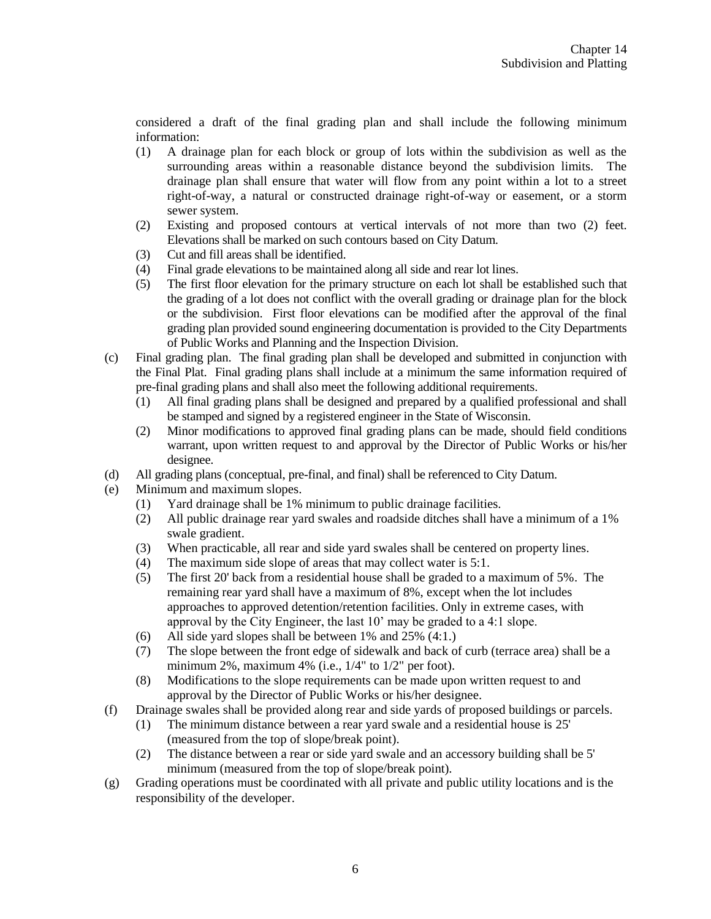considered a draft of the final grading plan and shall include the following minimum information:

- (1) A drainage plan for each block or group of lots within the subdivision as well as the surrounding areas within a reasonable distance beyond the subdivision limits. The drainage plan shall ensure that water will flow from any point within a lot to a street right-of-way, a natural or constructed drainage right-of-way or easement, or a storm sewer system.
- (2) Existing and proposed contours at vertical intervals of not more than two (2) feet. Elevations shall be marked on such contours based on City Datum.
- (3) Cut and fill areas shall be identified.
- (4) Final grade elevations to be maintained along all side and rear lot lines.
- (5) The first floor elevation for the primary structure on each lot shall be established such that the grading of a lot does not conflict with the overall grading or drainage plan for the block or the subdivision. First floor elevations can be modified after the approval of the final grading plan provided sound engineering documentation is provided to the City Departments of Public Works and Planning and the Inspection Division.
- (c) Final grading plan. The final grading plan shall be developed and submitted in conjunction with the Final Plat. Final grading plans shall include at a minimum the same information required of pre-final grading plans and shall also meet the following additional requirements.
	- (1) All final grading plans shall be designed and prepared by a qualified professional and shall be stamped and signed by a registered engineer in the State of Wisconsin.
	- (2) Minor modifications to approved final grading plans can be made, should field conditions warrant, upon written request to and approval by the Director of Public Works or his/her designee.
- (d) All grading plans (conceptual, pre-final, and final) shall be referenced to City Datum.
- (e) Minimum and maximum slopes.
	- (1) Yard drainage shall be 1% minimum to public drainage facilities.
	- (2) All public drainage rear yard swales and roadside ditches shall have a minimum of a 1% swale gradient.
	- (3) When practicable, all rear and side yard swales shall be centered on property lines.
	- (4) The maximum side slope of areas that may collect water is 5:1.
	- (5) The first 20' back from a residential house shall be graded to a maximum of 5%. The remaining rear yard shall have a maximum of 8%, except when the lot includes approaches to approved detention/retention facilities. Only in extreme cases, with approval by the City Engineer, the last 10' may be graded to a 4:1 slope.
	- (6) All side yard slopes shall be between 1% and 25% (4:1.)
	- (7) The slope between the front edge of sidewalk and back of curb (terrace area) shall be a minimum 2%, maximum 4% (i.e., 1/4" to 1/2" per foot).
	- (8) Modifications to the slope requirements can be made upon written request to and approval by the Director of Public Works or his/her designee.
- (f) Drainage swales shall be provided along rear and side yards of proposed buildings or parcels.
	- (1) The minimum distance between a rear yard swale and a residential house is 25' (measured from the top of slope/break point).
	- (2) The distance between a rear or side yard swale and an accessory building shall be 5' minimum (measured from the top of slope/break point).
- (g) Grading operations must be coordinated with all private and public utility locations and is the responsibility of the developer.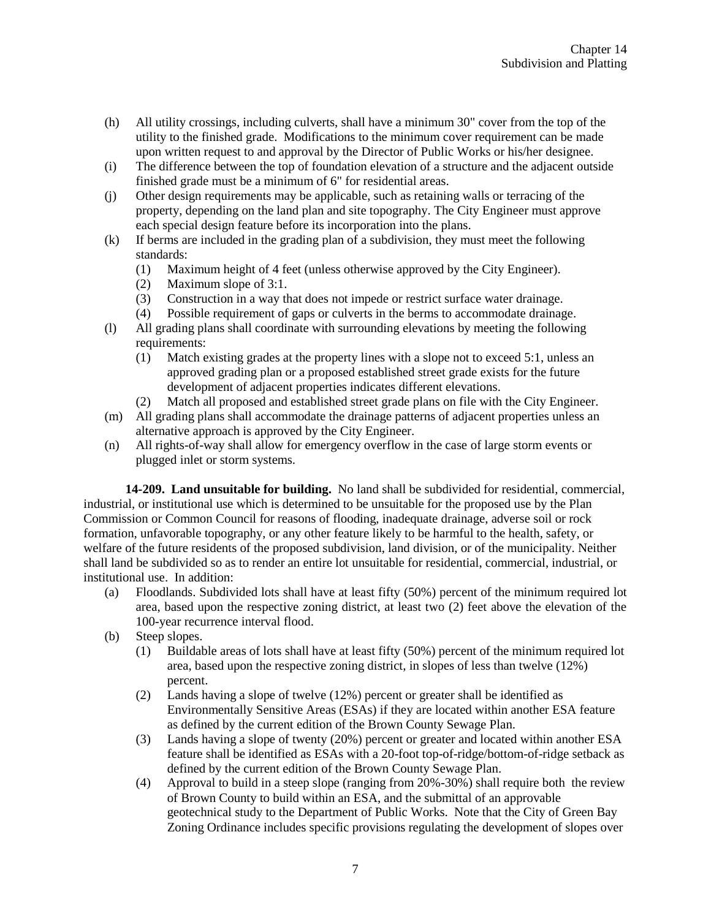- (h) All utility crossings, including culverts, shall have a minimum 30" cover from the top of the utility to the finished grade. Modifications to the minimum cover requirement can be made upon written request to and approval by the Director of Public Works or his/her designee.
- (i) The difference between the top of foundation elevation of a structure and the adjacent outside finished grade must be a minimum of 6" for residential areas.
- (j) Other design requirements may be applicable, such as retaining walls or terracing of the property, depending on the land plan and site topography. The City Engineer must approve each special design feature before its incorporation into the plans.
- (k) If berms are included in the grading plan of a subdivision, they must meet the following standards:
	- (1) Maximum height of 4 feet (unless otherwise approved by the City Engineer).
	- (2) Maximum slope of 3:1.
	- (3) Construction in a way that does not impede or restrict surface water drainage.
	- (4) Possible requirement of gaps or culverts in the berms to accommodate drainage.
- (l) All grading plans shall coordinate with surrounding elevations by meeting the following requirements:
	- (1) Match existing grades at the property lines with a slope not to exceed 5:1, unless an approved grading plan or a proposed established street grade exists for the future development of adjacent properties indicates different elevations.
	- (2) Match all proposed and established street grade plans on file with the City Engineer.
- (m) All grading plans shall accommodate the drainage patterns of adjacent properties unless an alternative approach is approved by the City Engineer.
- (n) All rights-of-way shall allow for emergency overflow in the case of large storm events or plugged inlet or storm systems.

**14-209. Land unsuitable for building.** No land shall be subdivided for residential, commercial, industrial, or institutional use which is determined to be unsuitable for the proposed use by the Plan Commission or Common Council for reasons of flooding, inadequate drainage, adverse soil or rock formation, unfavorable topography, or any other feature likely to be harmful to the health, safety, or welfare of the future residents of the proposed subdivision, land division, or of the municipality. Neither shall land be subdivided so as to render an entire lot unsuitable for residential, commercial, industrial, or institutional use. In addition:

- (a) Floodlands. Subdivided lots shall have at least fifty (50%) percent of the minimum required lot area, based upon the respective zoning district, at least two (2) feet above the elevation of the 100-year recurrence interval flood.
- (b) Steep slopes.
	- (1) Buildable areas of lots shall have at least fifty (50%) percent of the minimum required lot area, based upon the respective zoning district, in slopes of less than twelve (12%) percent.
	- (2) Lands having a slope of twelve (12%) percent or greater shall be identified as Environmentally Sensitive Areas (ESAs) if they are located within another ESA feature as defined by the current edition of the Brown County Sewage Plan.
	- (3) Lands having a slope of twenty (20%) percent or greater and located within another ESA feature shall be identified as ESAs with a 20-foot top-of-ridge/bottom-of-ridge setback as defined by the current edition of the Brown County Sewage Plan.
	- (4) Approval to build in a steep slope (ranging from 20%-30%) shall require both the review of Brown County to build within an ESA, and the submittal of an approvable geotechnical study to the Department of Public Works. Note that the City of Green Bay Zoning Ordinance includes specific provisions regulating the development of slopes over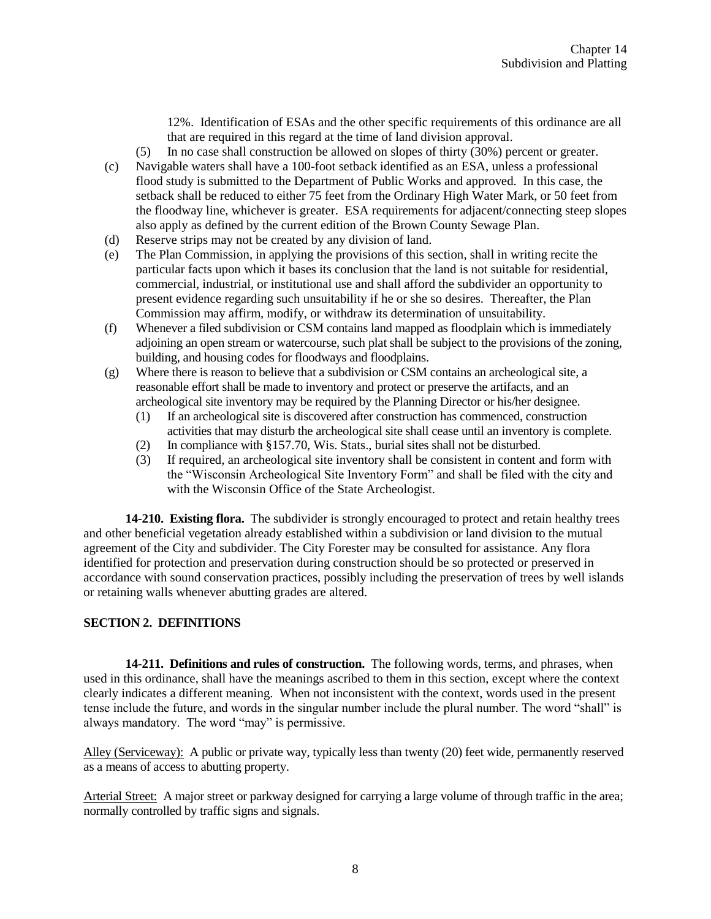12%. Identification of ESAs and the other specific requirements of this ordinance are all that are required in this regard at the time of land division approval.

(5) In no case shall construction be allowed on slopes of thirty (30%) percent or greater.

- (c) Navigable waters shall have a 100-foot setback identified as an ESA, unless a professional flood study is submitted to the Department of Public Works and approved. In this case, the setback shall be reduced to either 75 feet from the Ordinary High Water Mark, or 50 feet from the floodway line, whichever is greater. ESA requirements for adjacent/connecting steep slopes also apply as defined by the current edition of the Brown County Sewage Plan.
- (d) Reserve strips may not be created by any division of land.
- (e) The Plan Commission, in applying the provisions of this section, shall in writing recite the particular facts upon which it bases its conclusion that the land is not suitable for residential, commercial, industrial, or institutional use and shall afford the subdivider an opportunity to present evidence regarding such unsuitability if he or she so desires. Thereafter, the Plan Commission may affirm, modify, or withdraw its determination of unsuitability.
- (f) Whenever a filed subdivision or CSM contains land mapped as floodplain which is immediately adjoining an open stream or watercourse, such plat shall be subject to the provisions of the zoning, building, and housing codes for floodways and floodplains.
- (g) Where there is reason to believe that a subdivision or CSM contains an archeological site, a reasonable effort shall be made to inventory and protect or preserve the artifacts, and an archeological site inventory may be required by the Planning Director or his/her designee.
	- (1) If an archeological site is discovered after construction has commenced, construction activities that may disturb the archeological site shall cease until an inventory is complete.
	- (2) In compliance with §157.70, Wis. Stats., burial sites shall not be disturbed.
	- (3) If required, an archeological site inventory shall be consistent in content and form with the "Wisconsin Archeological Site Inventory Form" and shall be filed with the city and with the Wisconsin Office of the State Archeologist.

**14-210. Existing flora.** The subdivider is strongly encouraged to protect and retain healthy trees and other beneficial vegetation already established within a subdivision or land division to the mutual agreement of the City and subdivider. The City Forester may be consulted for assistance. Any flora identified for protection and preservation during construction should be so protected or preserved in accordance with sound conservation practices, possibly including the preservation of trees by well islands or retaining walls whenever abutting grades are altered.

### **SECTION 2. DEFINITIONS**

**14-211. Definitions and rules of construction.** The following words, terms, and phrases, when used in this ordinance, shall have the meanings ascribed to them in this section, except where the context clearly indicates a different meaning. When not inconsistent with the context, words used in the present tense include the future, and words in the singular number include the plural number. The word "shall" is always mandatory. The word "may" is permissive.

Alley (Serviceway): A public or private way, typically less than twenty (20) feet wide, permanently reserved as a means of access to abutting property.

Arterial Street: A major street or parkway designed for carrying a large volume of through traffic in the area; normally controlled by traffic signs and signals.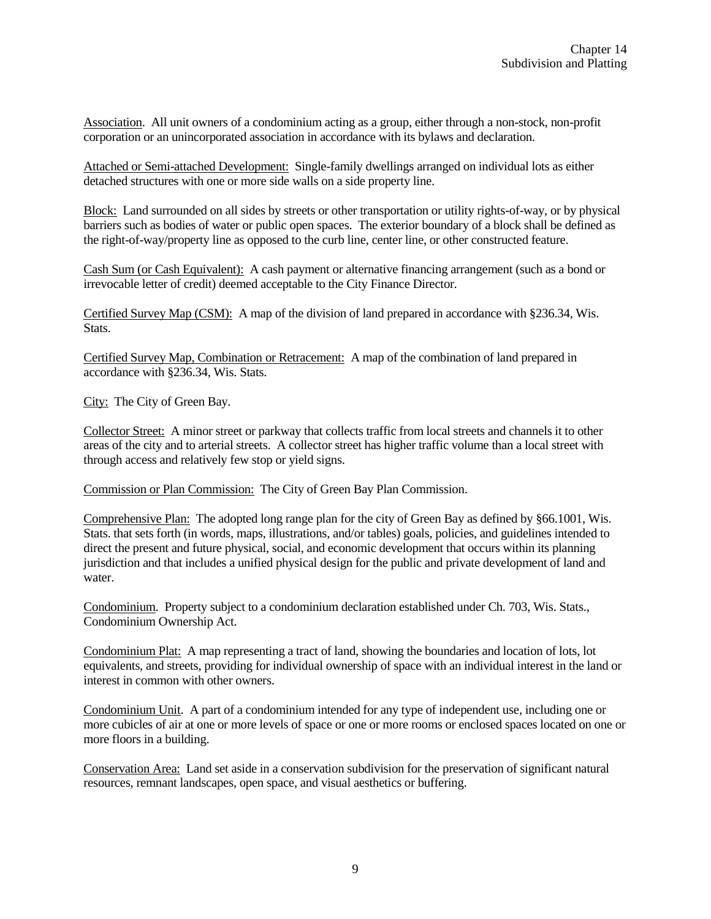Association. All unit owners of a condominium acting as a group, either through a non-stock, non-profit corporation or an unincorporated association in accordance with its bylaws and declaration.

Attached or Semi-attached Development: Single-family dwellings arranged on individual lots as either detached structures with one or more side walls on a side property line.

Block: Land surrounded on all sides by streets or other transportation or utility rights-of-way, or by physical barriers such as bodies of water or public open spaces. The exterior boundary of a block shall be defined as the right-of-way/property line as opposed to the curb line, center line, or other constructed feature.

Cash Sum (or Cash Equivalent): A cash payment or alternative financing arrangement (such as a bond or irrevocable letter of credit) deemed acceptable to the City Finance Director.

Certified Survey Map (CSM): A map of the division of land prepared in accordance with §236.34, Wis. Stats.

Certified Survey Map, Combination or Retracement: A map of the combination of land prepared in accordance with §236.34, Wis. Stats.

City: The City of Green Bay.

Collector Street: A minor street or parkway that collects traffic from local streets and channels it to other areas of the city and to arterial streets. A collector street has higher traffic volume than a local street with through access and relatively few stop or yield signs.

Commission or Plan Commission: The City of Green Bay Plan Commission.

Comprehensive Plan: The adopted long range plan for the city of Green Bay as defined by §66.1001, Wis. Stats. that sets forth (in words, maps, illustrations, and/or tables) goals, policies, and guidelines intended to direct the present and future physical, social, and economic development that occurs within its planning jurisdiction and that includes a unified physical design for the public and private development of land and water.

Condominium. Property subject to a condominium declaration established under Ch. 703, Wis. Stats., Condominium Ownership Act.

Condominium Plat: A map representing a tract of land, showing the boundaries and location of lots, lot equivalents, and streets, providing for individual ownership of space with an individual interest in the land or interest in common with other owners.

Condominium Unit. A part of a condominium intended for any type of independent use, including one or more cubicles of air at one or more levels of space or one or more rooms or enclosed spaces located on one or more floors in a building.

Conservation Area: Land set aside in a conservation subdivision for the preservation of significant natural resources, remnant landscapes, open space, and visual aesthetics or buffering.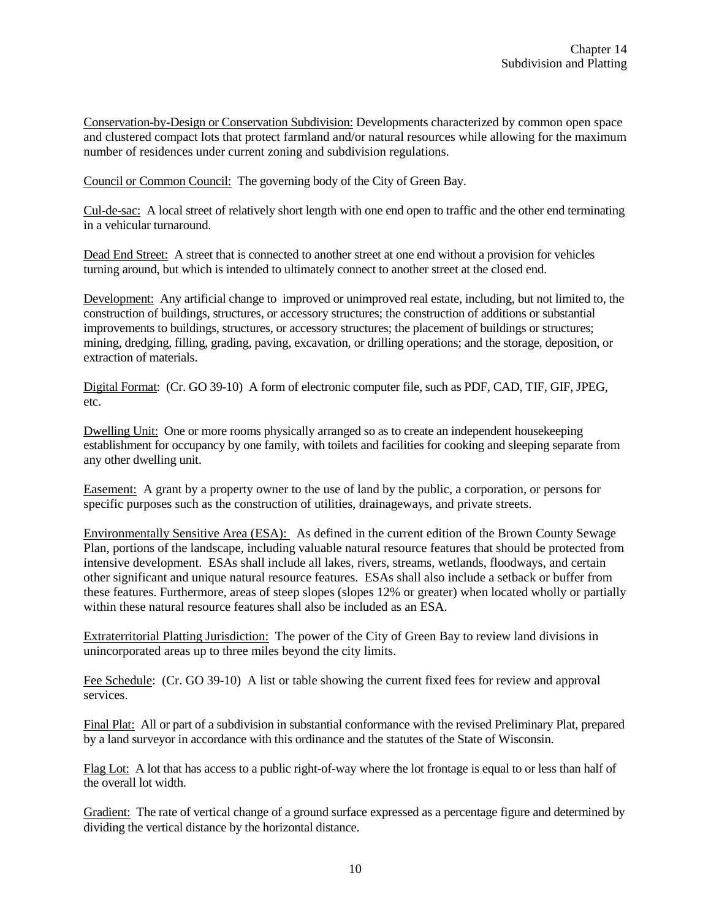Conservation-by-Design or Conservation Subdivision: Developments characterized by common open space and clustered compact lots that protect farmland and/or natural resources while allowing for the maximum number of residences under current zoning and subdivision regulations.

Council or Common Council: The governing body of the City of Green Bay.

Cul-de-sac: A local street of relatively short length with one end open to traffic and the other end terminating in a vehicular turnaround.

Dead End Street: A street that is connected to another street at one end without a provision for vehicles turning around, but which is intended to ultimately connect to another street at the closed end.

Development: Any artificial change to improved or unimproved real estate, including, but not limited to, the construction of buildings, structures, or accessory structures; the construction of additions or substantial improvements to buildings, structures, or accessory structures; the placement of buildings or structures; mining, dredging, filling, grading, paving, excavation, or drilling operations; and the storage, deposition, or extraction of materials.

Digital Format: (Cr. GO 39-10) A form of electronic computer file, such as PDF, CAD, TIF, GIF, JPEG, etc.

Dwelling Unit: One or more rooms physically arranged so as to create an independent housekeeping establishment for occupancy by one family, with toilets and facilities for cooking and sleeping separate from any other dwelling unit.

Easement: A grant by a property owner to the use of land by the public, a corporation, or persons for specific purposes such as the construction of utilities, drainageways, and private streets.

Environmentally Sensitive Area (ESA): As defined in the current edition of the Brown County Sewage Plan, portions of the landscape, including valuable natural resource features that should be protected from intensive development. ESAs shall include all lakes, rivers, streams, wetlands, floodways, and certain other significant and unique natural resource features. ESAs shall also include a setback or buffer from these features. Furthermore, areas of steep slopes (slopes 12% or greater) when located wholly or partially within these natural resource features shall also be included as an ESA.

Extraterritorial Platting Jurisdiction: The power of the City of Green Bay to review land divisions in unincorporated areas up to three miles beyond the city limits.

Fee Schedule: (Cr. GO 39-10) A list or table showing the current fixed fees for review and approval services.

Final Plat: All or part of a subdivision in substantial conformance with the revised Preliminary Plat, prepared by a land surveyor in accordance with this ordinance and the statutes of the State of Wisconsin.

Flag Lot: A lot that has access to a public right-of-way where the lot frontage is equal to or less than half of the overall lot width.

Gradient: The rate of vertical change of a ground surface expressed as a percentage figure and determined by dividing the vertical distance by the horizontal distance.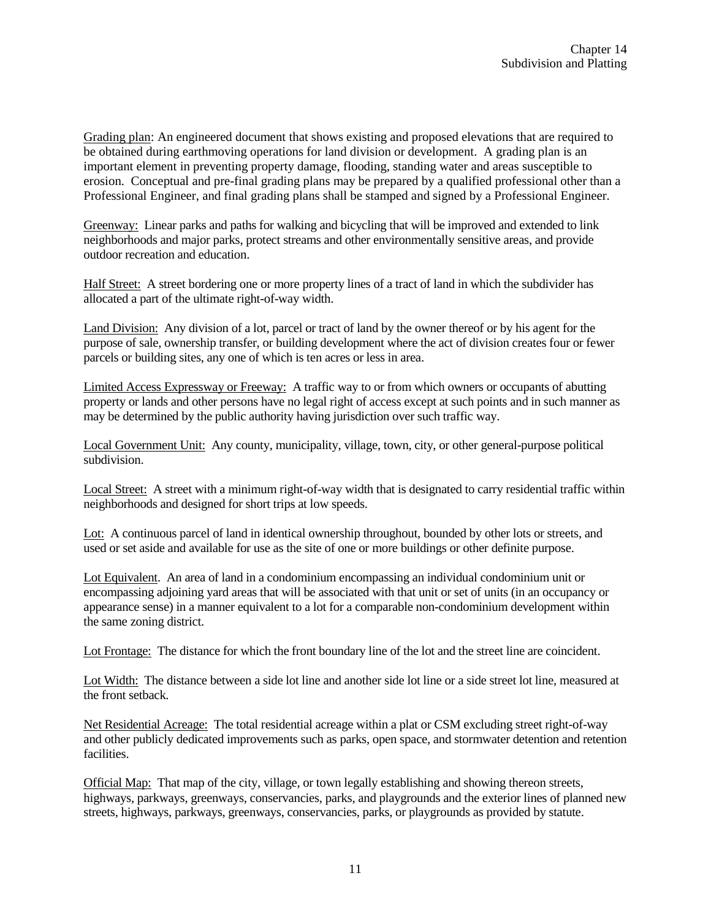Grading plan: An engineered document that shows existing and proposed elevations that are required to be obtained during earthmoving operations for land division or development. A grading plan is an important element in preventing property damage, flooding, standing water and areas susceptible to erosion. Conceptual and pre-final grading plans may be prepared by a qualified professional other than a Professional Engineer, and final grading plans shall be stamped and signed by a Professional Engineer.

Greenway: Linear parks and paths for walking and bicycling that will be improved and extended to link neighborhoods and major parks, protect streams and other environmentally sensitive areas, and provide outdoor recreation and education.

Half Street: A street bordering one or more property lines of a tract of land in which the subdivider has allocated a part of the ultimate right-of-way width.

Land Division: Any division of a lot, parcel or tract of land by the owner thereof or by his agent for the purpose of sale, ownership transfer, or building development where the act of division creates four or fewer parcels or building sites, any one of which is ten acres or less in area.

Limited Access Expressway or Freeway: A traffic way to or from which owners or occupants of abutting property or lands and other persons have no legal right of access except at such points and in such manner as may be determined by the public authority having jurisdiction over such traffic way.

Local Government Unit: Any county, municipality, village, town, city, or other general-purpose political subdivision.

Local Street: A street with a minimum right-of-way width that is designated to carry residential traffic within neighborhoods and designed for short trips at low speeds.

Lot: A continuous parcel of land in identical ownership throughout, bounded by other lots or streets, and used or set aside and available for use as the site of one or more buildings or other definite purpose.

Lot Equivalent. An area of land in a condominium encompassing an individual condominium unit or encompassing adjoining yard areas that will be associated with that unit or set of units (in an occupancy or appearance sense) in a manner equivalent to a lot for a comparable non-condominium development within the same zoning district.

Lot Frontage: The distance for which the front boundary line of the lot and the street line are coincident.

Lot Width: The distance between a side lot line and another side lot line or a side street lot line, measured at the front setback.

Net Residential Acreage: The total residential acreage within a plat or CSM excluding street right-of-way and other publicly dedicated improvements such as parks, open space, and stormwater detention and retention facilities.

Official Map: That map of the city, village, or town legally establishing and showing thereon streets, highways, parkways, greenways, conservancies, parks, and playgrounds and the exterior lines of planned new streets, highways, parkways, greenways, conservancies, parks, or playgrounds as provided by statute.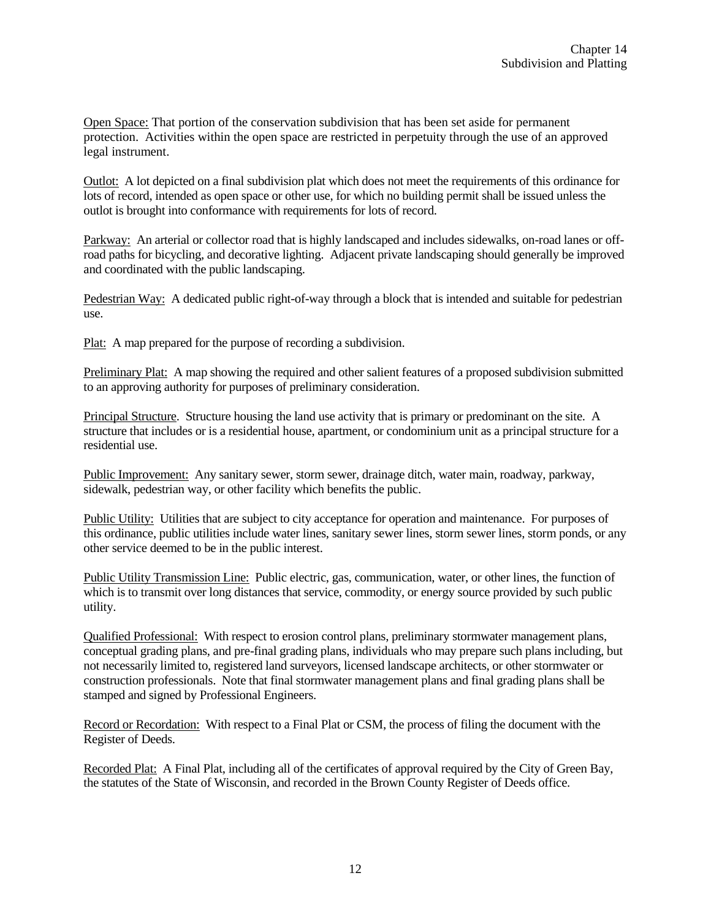Open Space: That portion of the conservation subdivision that has been set aside for permanent protection. Activities within the open space are restricted in perpetuity through the use of an approved legal instrument.

Outlot: A lot depicted on a final subdivision plat which does not meet the requirements of this ordinance for lots of record, intended as open space or other use, for which no building permit shall be issued unless the outlot is brought into conformance with requirements for lots of record.

Parkway: An arterial or collector road that is highly landscaped and includes sidewalks, on-road lanes or offroad paths for bicycling, and decorative lighting. Adjacent private landscaping should generally be improved and coordinated with the public landscaping.

Pedestrian Way: A dedicated public right-of-way through a block that is intended and suitable for pedestrian use.

Plat: A map prepared for the purpose of recording a subdivision.

Preliminary Plat: A map showing the required and other salient features of a proposed subdivision submitted to an approving authority for purposes of preliminary consideration.

Principal Structure. Structure housing the land use activity that is primary or predominant on the site. A structure that includes or is a residential house, apartment, or condominium unit as a principal structure for a residential use.

Public Improvement: Any sanitary sewer, storm sewer, drainage ditch, water main, roadway, parkway, sidewalk, pedestrian way, or other facility which benefits the public.

Public Utility: Utilities that are subject to city acceptance for operation and maintenance. For purposes of this ordinance, public utilities include water lines, sanitary sewer lines, storm sewer lines, storm ponds, or any other service deemed to be in the public interest.

Public Utility Transmission Line: Public electric, gas, communication, water, or other lines, the function of which is to transmit over long distances that service, commodity, or energy source provided by such public utility.

Qualified Professional: With respect to erosion control plans, preliminary stormwater management plans, conceptual grading plans, and pre-final grading plans, individuals who may prepare such plans including, but not necessarily limited to, registered land surveyors, licensed landscape architects, or other stormwater or construction professionals. Note that final stormwater management plans and final grading plans shall be stamped and signed by Professional Engineers.

Record or Recordation: With respect to a Final Plat or CSM, the process of filing the document with the Register of Deeds.

Recorded Plat: A Final Plat, including all of the certificates of approval required by the City of Green Bay, the statutes of the State of Wisconsin, and recorded in the Brown County Register of Deeds office.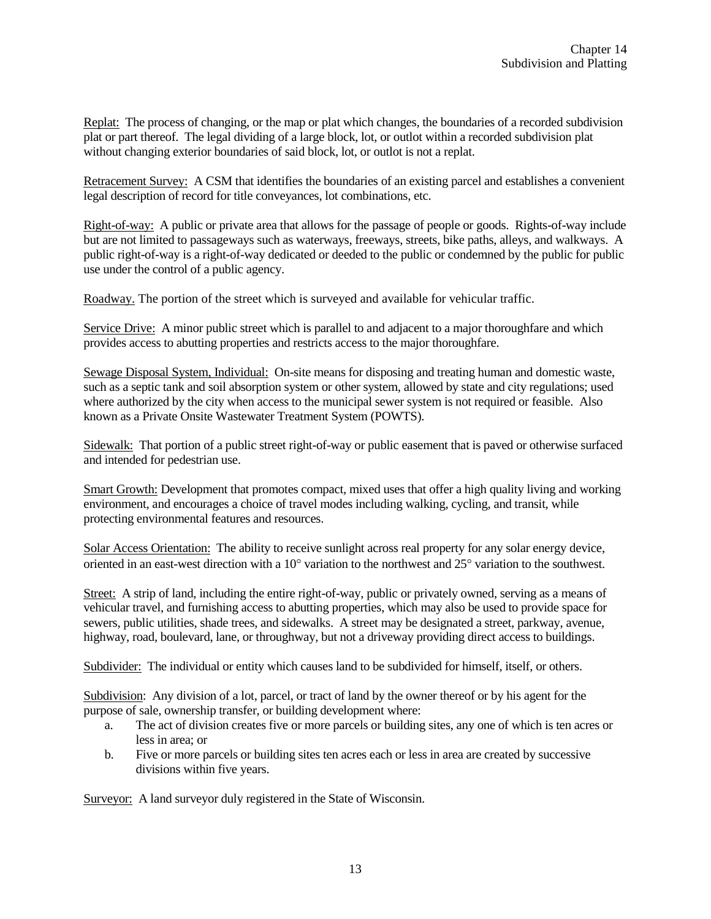Replat: The process of changing, or the map or plat which changes, the boundaries of a recorded subdivision plat or part thereof. The legal dividing of a large block, lot, or outlot within a recorded subdivision plat without changing exterior boundaries of said block, lot, or outlot is not a replat.

Retracement Survey: A CSM that identifies the boundaries of an existing parcel and establishes a convenient legal description of record for title conveyances, lot combinations, etc.

Right-of-way: A public or private area that allows for the passage of people or goods. Rights-of-way include but are not limited to passageways such as waterways, freeways, streets, bike paths, alleys, and walkways. A public right-of-way is a right-of-way dedicated or deeded to the public or condemned by the public for public use under the control of a public agency.

Roadway. The portion of the street which is surveyed and available for vehicular traffic.

Service Drive: A minor public street which is parallel to and adjacent to a major thoroughfare and which provides access to abutting properties and restricts access to the major thoroughfare.

Sewage Disposal System, Individual: On-site means for disposing and treating human and domestic waste, such as a septic tank and soil absorption system or other system, allowed by state and city regulations; used where authorized by the city when access to the municipal sewer system is not required or feasible. Also known as a Private Onsite Wastewater Treatment System (POWTS).

Sidewalk: That portion of a public street right-of-way or public easement that is paved or otherwise surfaced and intended for pedestrian use.

Smart Growth: Development that promotes compact, mixed uses that offer a high quality living and working environment, and encourages a choice of travel modes including walking, cycling, and transit, while protecting environmental features and resources.

Solar Access Orientation: The ability to receive sunlight across real property for any solar energy device, oriented in an east-west direction with a  $10^{\circ}$  variation to the northwest and  $25^{\circ}$  variation to the southwest.

Street: A strip of land, including the entire right-of-way, public or privately owned, serving as a means of vehicular travel, and furnishing access to abutting properties, which may also be used to provide space for sewers, public utilities, shade trees, and sidewalks. A street may be designated a street, parkway, avenue, highway, road, boulevard, lane, or throughway, but not a driveway providing direct access to buildings.

Subdivider: The individual or entity which causes land to be subdivided for himself, itself, or others.

Subdivision: Any division of a lot, parcel, or tract of land by the owner thereof or by his agent for the purpose of sale, ownership transfer, or building development where:

- a. The act of division creates five or more parcels or building sites, any one of which is ten acres or less in area; or
- b. Five or more parcels or building sites ten acres each or less in area are created by successive divisions within five years.

Surveyor: A land surveyor duly registered in the State of Wisconsin.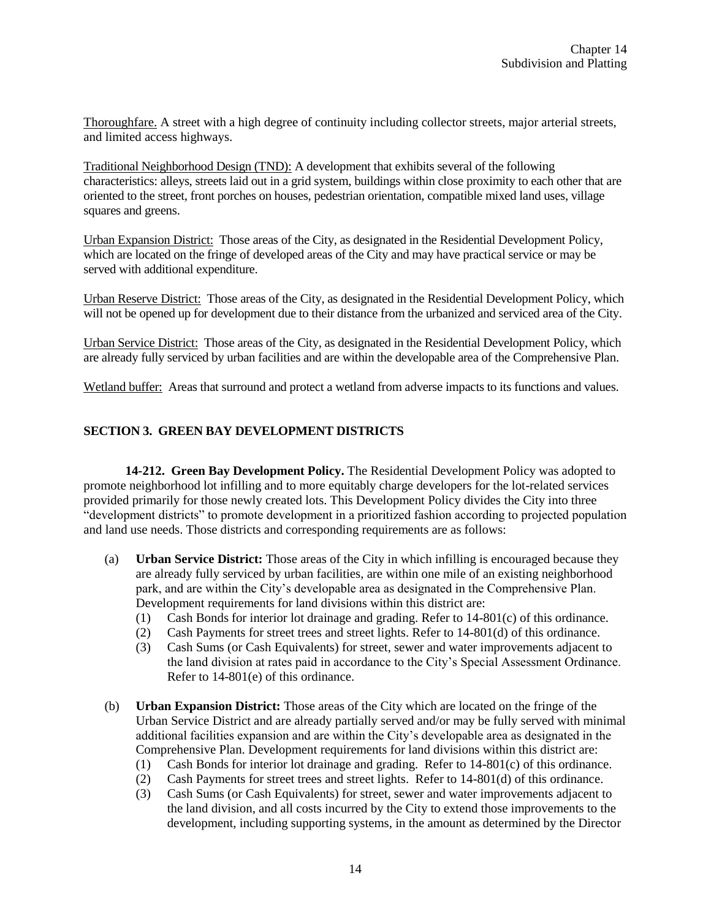Thoroughfare. A street with a high degree of continuity including collector streets, major arterial streets, and limited access highways.

Traditional Neighborhood Design (TND): A development that exhibits several of the following characteristics: alleys, streets laid out in a grid system, buildings within close proximity to each other that are oriented to the street, front porches on houses, pedestrian orientation, compatible mixed land uses, village squares and greens.

Urban Expansion District: Those areas of the City, as designated in the Residential Development Policy, which are located on the fringe of developed areas of the City and may have practical service or may be served with additional expenditure.

Urban Reserve District: Those areas of the City, as designated in the Residential Development Policy, which will not be opened up for development due to their distance from the urbanized and serviced area of the City.

Urban Service District: Those areas of the City, as designated in the Residential Development Policy, which are already fully serviced by urban facilities and are within the developable area of the Comprehensive Plan.

Wetland buffer: Areas that surround and protect a wetland from adverse impacts to its functions and values.

## **SECTION 3. GREEN BAY DEVELOPMENT DISTRICTS**

**14-212. Green Bay Development Policy.** The Residential Development Policy was adopted to promote neighborhood lot infilling and to more equitably charge developers for the lot-related services provided primarily for those newly created lots. This Development Policy divides the City into three "development districts" to promote development in a prioritized fashion according to projected population and land use needs. Those districts and corresponding requirements are as follows:

- (a) **Urban Service District:** Those areas of the City in which infilling is encouraged because they are already fully serviced by urban facilities, are within one mile of an existing neighborhood park, and are within the City's developable area as designated in the Comprehensive Plan. Development requirements for land divisions within this district are:
	- (1) Cash Bonds for interior lot drainage and grading. Refer to 14-801(c) of this ordinance.
	- (2) Cash Payments for street trees and street lights. Refer to 14-801(d) of this ordinance.
	- (3) Cash Sums (or Cash Equivalents) for street, sewer and water improvements adjacent to the land division at rates paid in accordance to the City's Special Assessment Ordinance. Refer to 14-801(e) of this ordinance.
- (b) **Urban Expansion District:** Those areas of the City which are located on the fringe of the Urban Service District and are already partially served and/or may be fully served with minimal additional facilities expansion and are within the City's developable area as designated in the Comprehensive Plan. Development requirements for land divisions within this district are:
	- (1) Cash Bonds for interior lot drainage and grading. Refer to 14-801(c) of this ordinance.
	- (2) Cash Payments for street trees and street lights. Refer to 14-801(d) of this ordinance.
	- (3) Cash Sums (or Cash Equivalents) for street, sewer and water improvements adjacent to the land division, and all costs incurred by the City to extend those improvements to the development, including supporting systems, in the amount as determined by the Director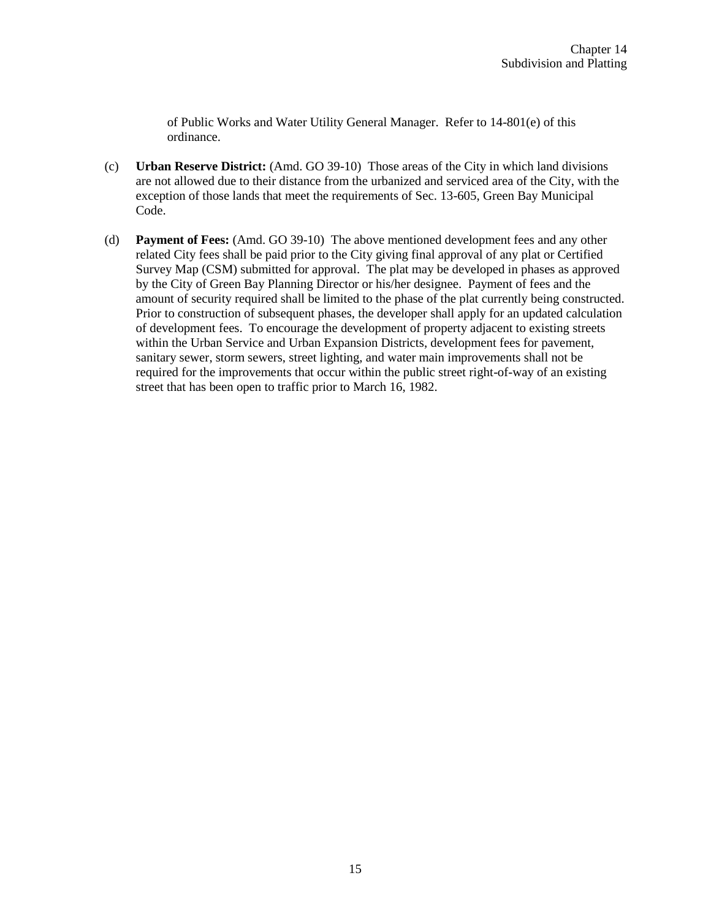of Public Works and Water Utility General Manager. Refer to 14-801(e) of this ordinance.

- (c) **Urban Reserve District:** (Amd. GO 39-10) Those areas of the City in which land divisions are not allowed due to their distance from the urbanized and serviced area of the City, with the exception of those lands that meet the requirements of Sec. 13-605, Green Bay Municipal Code.
- (d) **Payment of Fees:** (Amd. GO 39-10) The above mentioned development fees and any other related City fees shall be paid prior to the City giving final approval of any plat or Certified Survey Map (CSM) submitted for approval. The plat may be developed in phases as approved by the City of Green Bay Planning Director or his/her designee. Payment of fees and the amount of security required shall be limited to the phase of the plat currently being constructed. Prior to construction of subsequent phases, the developer shall apply for an updated calculation of development fees. To encourage the development of property adjacent to existing streets within the Urban Service and Urban Expansion Districts, development fees for pavement, sanitary sewer, storm sewers, street lighting, and water main improvements shall not be required for the improvements that occur within the public street right-of-way of an existing street that has been open to traffic prior to March 16, 1982.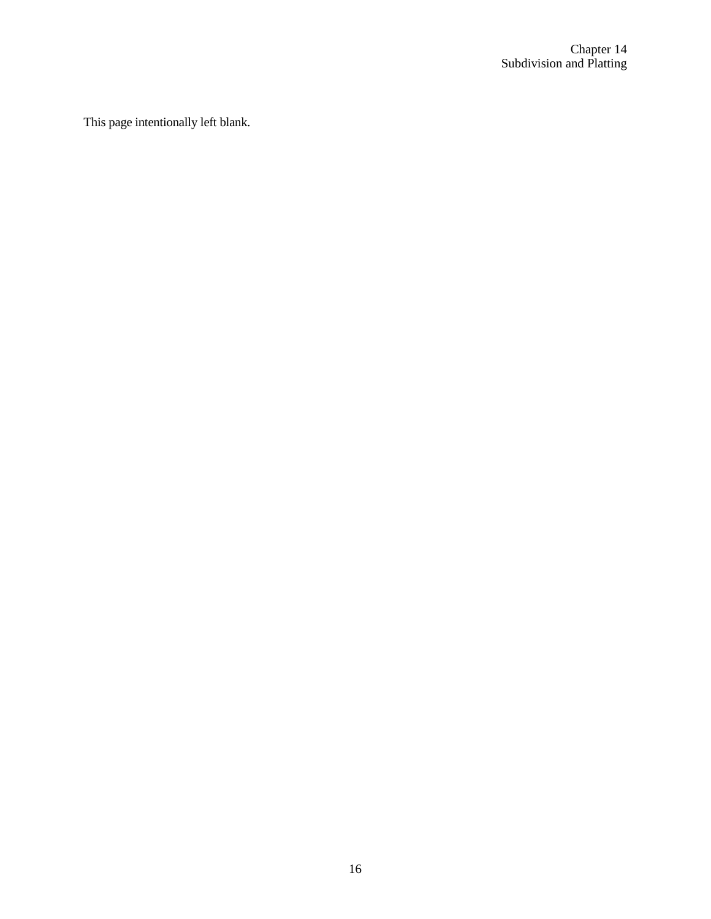This page intentionally left blank.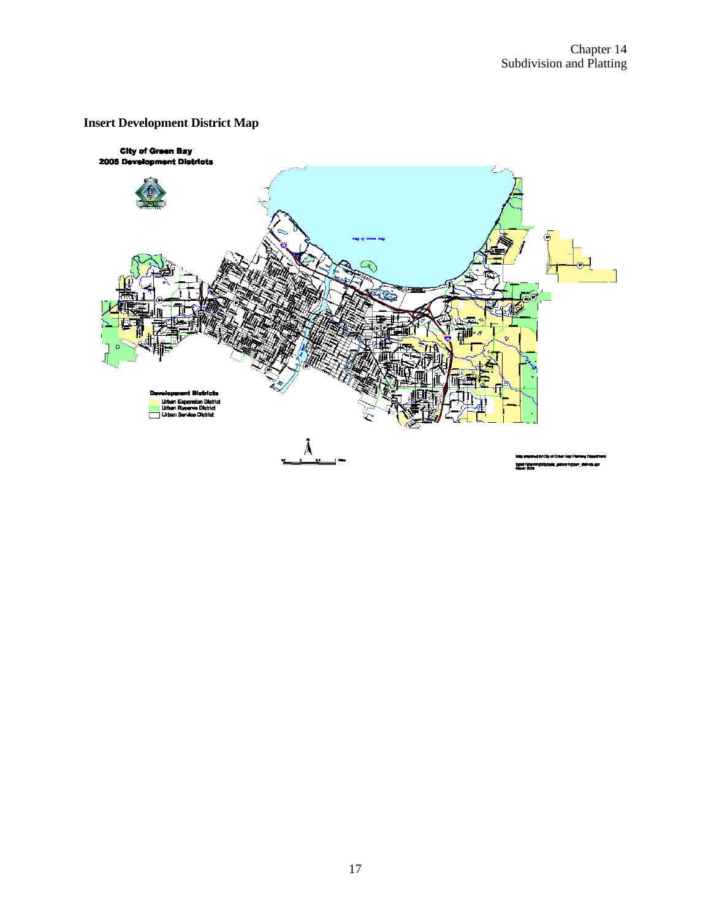# **Insert Development District Map**

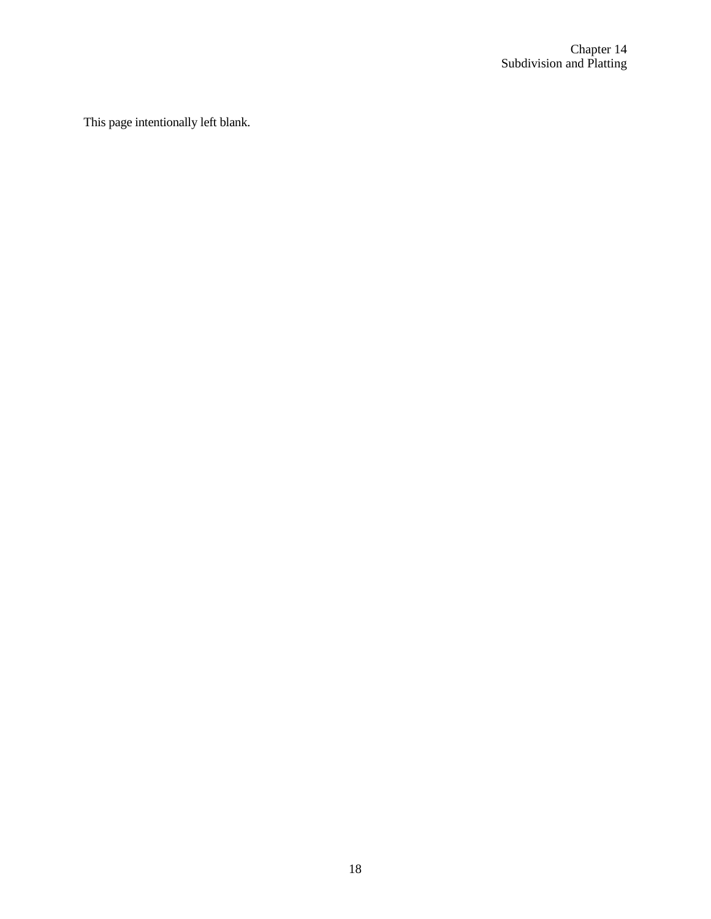This page intentionally left blank.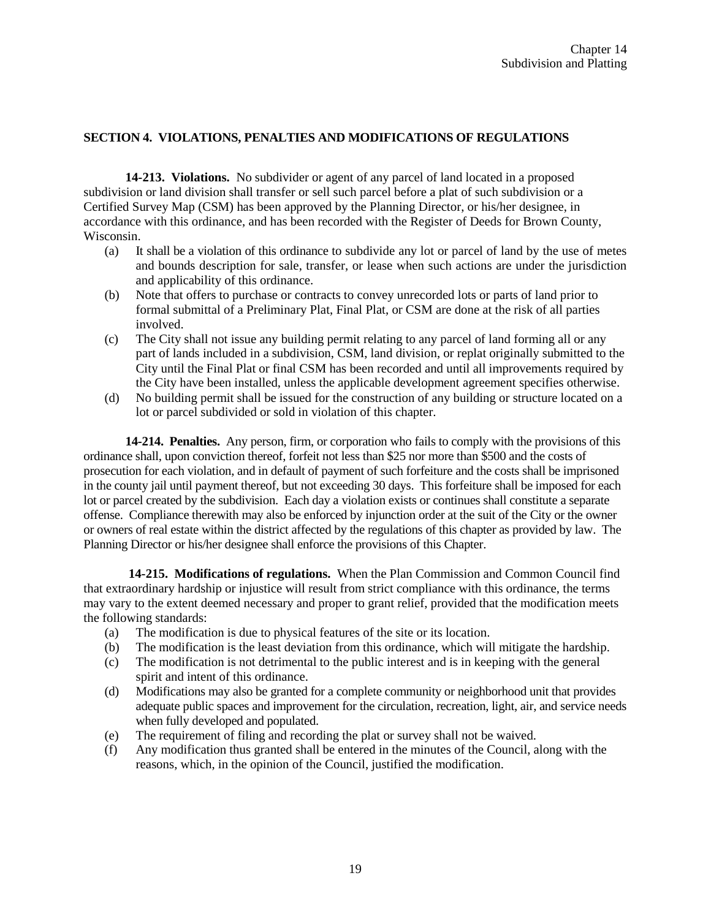# **SECTION 4. VIOLATIONS, PENALTIES AND MODIFICATIONS OF REGULATIONS**

**14-213. Violations.** No subdivider or agent of any parcel of land located in a proposed subdivision or land division shall transfer or sell such parcel before a plat of such subdivision or a Certified Survey Map (CSM) has been approved by the Planning Director, or his/her designee, in accordance with this ordinance, and has been recorded with the Register of Deeds for Brown County, Wisconsin.

- (a) It shall be a violation of this ordinance to subdivide any lot or parcel of land by the use of metes and bounds description for sale, transfer, or lease when such actions are under the jurisdiction and applicability of this ordinance.
- (b) Note that offers to purchase or contracts to convey unrecorded lots or parts of land prior to formal submittal of a Preliminary Plat, Final Plat, or CSM are done at the risk of all parties involved.
- (c) The City shall not issue any building permit relating to any parcel of land forming all or any part of lands included in a subdivision, CSM, land division, or replat originally submitted to the City until the Final Plat or final CSM has been recorded and until all improvements required by the City have been installed, unless the applicable development agreement specifies otherwise.
- (d) No building permit shall be issued for the construction of any building or structure located on a lot or parcel subdivided or sold in violation of this chapter.

**14-214. Penalties.** Any person, firm, or corporation who fails to comply with the provisions of this ordinance shall, upon conviction thereof, forfeit not less than \$25 nor more than \$500 and the costs of prosecution for each violation, and in default of payment of such forfeiture and the costs shall be imprisoned in the county jail until payment thereof, but not exceeding 30 days. This forfeiture shall be imposed for each lot or parcel created by the subdivision. Each day a violation exists or continues shall constitute a separate offense. Compliance therewith may also be enforced by injunction order at the suit of the City or the owner or owners of real estate within the district affected by the regulations of this chapter as provided by law. The Planning Director or his/her designee shall enforce the provisions of this Chapter.

**14-215. Modifications of regulations.** When the Plan Commission and Common Council find that extraordinary hardship or injustice will result from strict compliance with this ordinance, the terms may vary to the extent deemed necessary and proper to grant relief, provided that the modification meets the following standards:

- (a) The modification is due to physical features of the site or its location.
- (b) The modification is the least deviation from this ordinance, which will mitigate the hardship.
- (c) The modification is not detrimental to the public interest and is in keeping with the general spirit and intent of this ordinance.
- (d) Modifications may also be granted for a complete community or neighborhood unit that provides adequate public spaces and improvement for the circulation, recreation, light, air, and service needs when fully developed and populated.
- (e) The requirement of filing and recording the plat or survey shall not be waived.
- (f) Any modification thus granted shall be entered in the minutes of the Council, along with the reasons, which, in the opinion of the Council, justified the modification.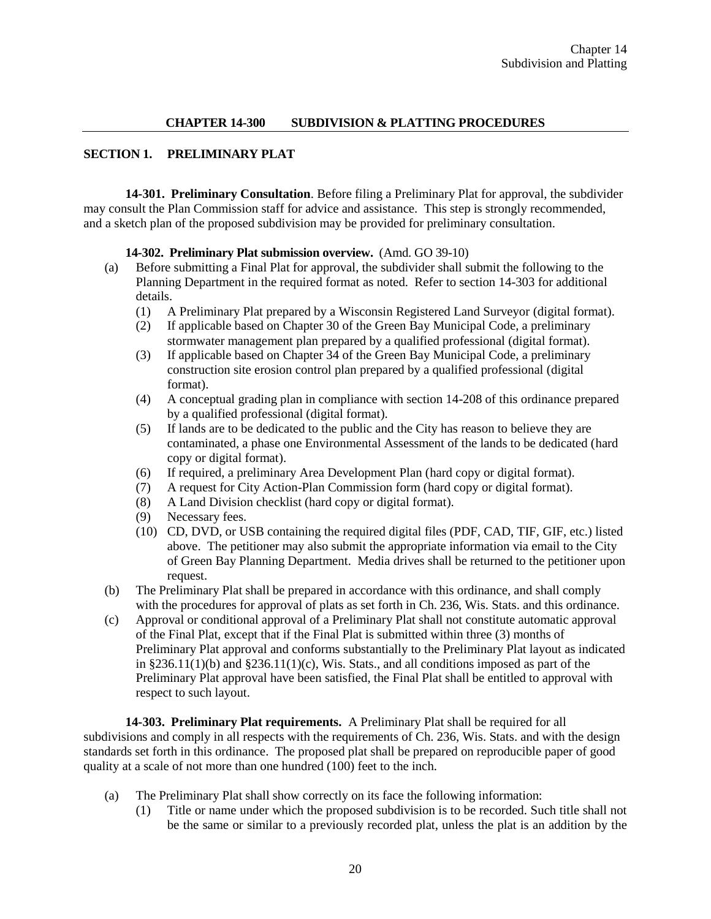## **CHAPTER 14-300 SUBDIVISION & PLATTING PROCEDURES**

# **SECTION 1. PRELIMINARY PLAT**

**14-301. Preliminary Consultation**. Before filing a Preliminary Plat for approval, the subdivider may consult the Plan Commission staff for advice and assistance. This step is strongly recommended, and a sketch plan of the proposed subdivision may be provided for preliminary consultation.

### **14-302. Preliminary Plat submission overview.** (Amd. GO 39-10)

- (a) Before submitting a Final Plat for approval, the subdivider shall submit the following to the Planning Department in the required format as noted. Refer to section 14-303 for additional details.
	- (1) A Preliminary Plat prepared by a Wisconsin Registered Land Surveyor (digital format).
	- (2) If applicable based on Chapter 30 of the Green Bay Municipal Code, a preliminary stormwater management plan prepared by a qualified professional (digital format).
	- (3) If applicable based on Chapter 34 of the Green Bay Municipal Code, a preliminary construction site erosion control plan prepared by a qualified professional (digital format).
	- (4) A conceptual grading plan in compliance with section 14-208 of this ordinance prepared by a qualified professional (digital format).
	- (5) If lands are to be dedicated to the public and the City has reason to believe they are contaminated, a phase one Environmental Assessment of the lands to be dedicated (hard copy or digital format).
	- (6) If required, a preliminary Area Development Plan (hard copy or digital format).
	- (7) A request for City Action-Plan Commission form (hard copy or digital format).
	- (8) A Land Division checklist (hard copy or digital format).
	- (9) Necessary fees.
	- (10) CD, DVD, or USB containing the required digital files (PDF, CAD, TIF, GIF, etc.) listed above. The petitioner may also submit the appropriate information via email to the City of Green Bay Planning Department. Media drives shall be returned to the petitioner upon request.
- (b) The Preliminary Plat shall be prepared in accordance with this ordinance, and shall comply with the procedures for approval of plats as set forth in Ch. 236, Wis. Stats. and this ordinance.
- (c) Approval or conditional approval of a Preliminary Plat shall not constitute automatic approval of the Final Plat, except that if the Final Plat is submitted within three (3) months of Preliminary Plat approval and conforms substantially to the Preliminary Plat layout as indicated in §236.11(1)(b) and §236.11(1)(c), Wis. Stats., and all conditions imposed as part of the Preliminary Plat approval have been satisfied, the Final Plat shall be entitled to approval with respect to such layout.

**14-303. Preliminary Plat requirements.** A Preliminary Plat shall be required for all subdivisions and comply in all respects with the requirements of Ch. 236, Wis. Stats. and with the design standards set forth in this ordinance. The proposed plat shall be prepared on reproducible paper of good quality at a scale of not more than one hundred (100) feet to the inch.

- (a) The Preliminary Plat shall show correctly on its face the following information:
	- (1) Title or name under which the proposed subdivision is to be recorded. Such title shall not be the same or similar to a previously recorded plat, unless the plat is an addition by the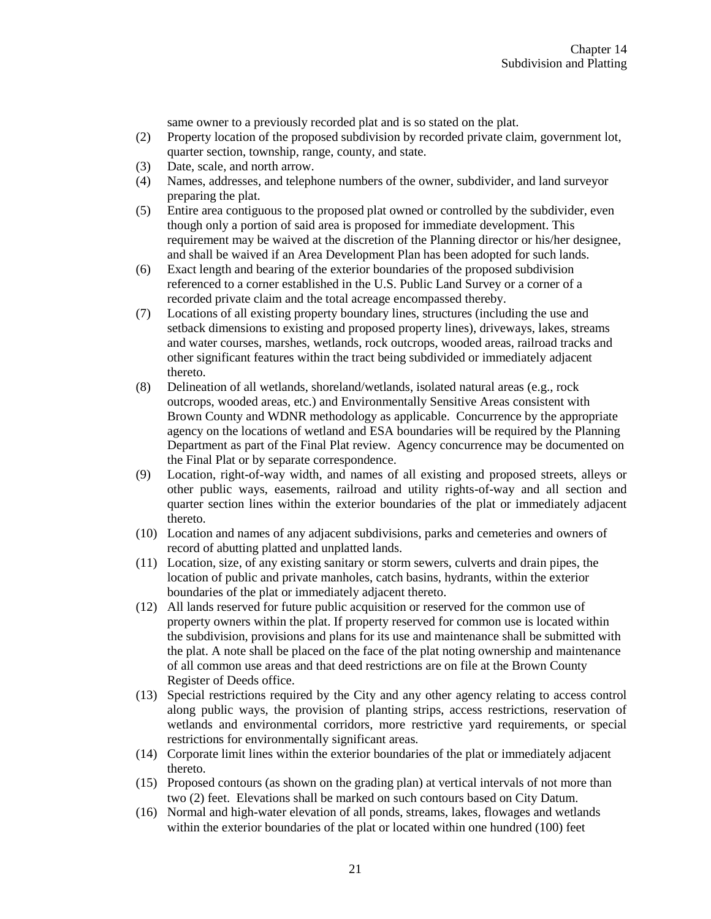same owner to a previously recorded plat and is so stated on the plat.

- (2) Property location of the proposed subdivision by recorded private claim, government lot, quarter section, township, range, county, and state.
- (3) Date, scale, and north arrow.
- (4) Names, addresses, and telephone numbers of the owner, subdivider, and land surveyor preparing the plat.
- (5) Entire area contiguous to the proposed plat owned or controlled by the subdivider, even though only a portion of said area is proposed for immediate development. This requirement may be waived at the discretion of the Planning director or his/her designee, and shall be waived if an Area Development Plan has been adopted for such lands.
- (6) Exact length and bearing of the exterior boundaries of the proposed subdivision referenced to a corner established in the U.S. Public Land Survey or a corner of a recorded private claim and the total acreage encompassed thereby.
- (7) Locations of all existing property boundary lines, structures (including the use and setback dimensions to existing and proposed property lines), driveways, lakes, streams and water courses, marshes, wetlands, rock outcrops, wooded areas, railroad tracks and other significant features within the tract being subdivided or immediately adjacent thereto.
- (8) Delineation of all wetlands, shoreland/wetlands, isolated natural areas (e.g., rock outcrops, wooded areas, etc.) and Environmentally Sensitive Areas consistent with Brown County and WDNR methodology as applicable. Concurrence by the appropriate agency on the locations of wetland and ESA boundaries will be required by the Planning Department as part of the Final Plat review. Agency concurrence may be documented on the Final Plat or by separate correspondence.
- (9) Location, right-of-way width, and names of all existing and proposed streets, alleys or other public ways, easements, railroad and utility rights-of-way and all section and quarter section lines within the exterior boundaries of the plat or immediately adjacent thereto.
- (10) Location and names of any adjacent subdivisions, parks and cemeteries and owners of record of abutting platted and unplatted lands.
- (11) Location, size, of any existing sanitary or storm sewers, culverts and drain pipes, the location of public and private manholes, catch basins, hydrants, within the exterior boundaries of the plat or immediately adjacent thereto.
- (12) All lands reserved for future public acquisition or reserved for the common use of property owners within the plat. If property reserved for common use is located within the subdivision, provisions and plans for its use and maintenance shall be submitted with the plat. A note shall be placed on the face of the plat noting ownership and maintenance of all common use areas and that deed restrictions are on file at the Brown County Register of Deeds office.
- (13) Special restrictions required by the City and any other agency relating to access control along public ways, the provision of planting strips, access restrictions, reservation of wetlands and environmental corridors, more restrictive yard requirements, or special restrictions for environmentally significant areas.
- (14) Corporate limit lines within the exterior boundaries of the plat or immediately adjacent thereto.
- (15) Proposed contours (as shown on the grading plan) at vertical intervals of not more than two (2) feet. Elevations shall be marked on such contours based on City Datum.
- (16) Normal and high-water elevation of all ponds, streams, lakes, flowages and wetlands within the exterior boundaries of the plat or located within one hundred (100) feet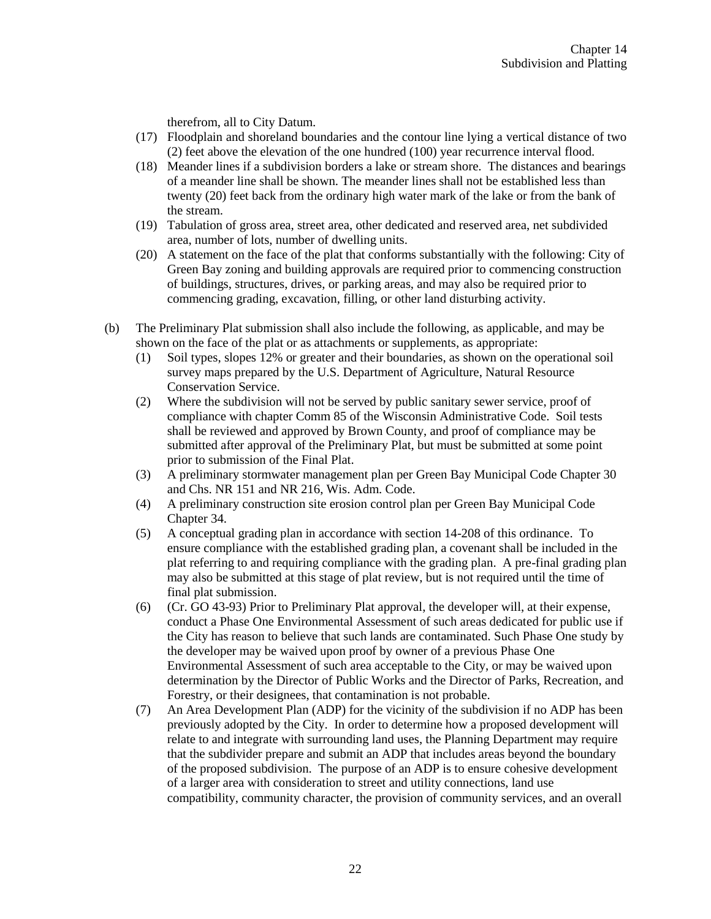therefrom, all to City Datum.

- (17) Floodplain and shoreland boundaries and the contour line lying a vertical distance of two (2) feet above the elevation of the one hundred (100) year recurrence interval flood.
- (18) Meander lines if a subdivision borders a lake or stream shore. The distances and bearings of a meander line shall be shown. The meander lines shall not be established less than twenty (20) feet back from the ordinary high water mark of the lake or from the bank of the stream.
- (19) Tabulation of gross area, street area, other dedicated and reserved area, net subdivided area, number of lots, number of dwelling units.
- (20) A statement on the face of the plat that conforms substantially with the following: City of Green Bay zoning and building approvals are required prior to commencing construction of buildings, structures, drives, or parking areas, and may also be required prior to commencing grading, excavation, filling, or other land disturbing activity.
- (b) The Preliminary Plat submission shall also include the following, as applicable, and may be shown on the face of the plat or as attachments or supplements, as appropriate:
	- (1) Soil types, slopes 12% or greater and their boundaries, as shown on the operational soil survey maps prepared by the U.S. Department of Agriculture, Natural Resource Conservation Service.
	- (2) Where the subdivision will not be served by public sanitary sewer service, proof of compliance with chapter Comm 85 of the Wisconsin Administrative Code. Soil tests shall be reviewed and approved by Brown County, and proof of compliance may be submitted after approval of the Preliminary Plat, but must be submitted at some point prior to submission of the Final Plat.
	- (3) A preliminary stormwater management plan per Green Bay Municipal Code Chapter 30 and Chs. NR 151 and NR 216, Wis. Adm. Code.
	- (4) A preliminary construction site erosion control plan per Green Bay Municipal Code Chapter 34.
	- (5) A conceptual grading plan in accordance with section 14-208 of this ordinance. To ensure compliance with the established grading plan, a covenant shall be included in the plat referring to and requiring compliance with the grading plan. A pre-final grading plan may also be submitted at this stage of plat review, but is not required until the time of final plat submission.
	- (6) (Cr. GO 43-93) Prior to Preliminary Plat approval, the developer will, at their expense, conduct a Phase One Environmental Assessment of such areas dedicated for public use if the City has reason to believe that such lands are contaminated. Such Phase One study by the developer may be waived upon proof by owner of a previous Phase One Environmental Assessment of such area acceptable to the City, or may be waived upon determination by the Director of Public Works and the Director of Parks, Recreation, and Forestry, or their designees, that contamination is not probable.
	- (7) An Area Development Plan (ADP) for the vicinity of the subdivision if no ADP has been previously adopted by the City. In order to determine how a proposed development will relate to and integrate with surrounding land uses, the Planning Department may require that the subdivider prepare and submit an ADP that includes areas beyond the boundary of the proposed subdivision. The purpose of an ADP is to ensure cohesive development of a larger area with consideration to street and utility connections, land use compatibility, community character, the provision of community services, and an overall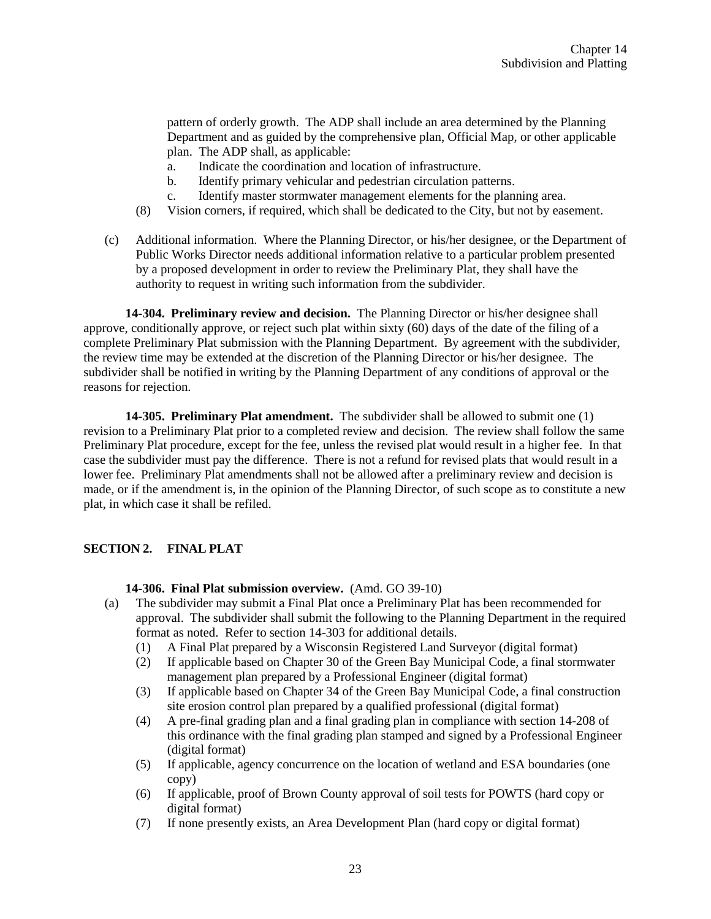pattern of orderly growth. The ADP shall include an area determined by the Planning Department and as guided by the comprehensive plan, Official Map, or other applicable plan. The ADP shall, as applicable:

- a. Indicate the coordination and location of infrastructure.
- b. Identify primary vehicular and pedestrian circulation patterns.
- c. Identify master stormwater management elements for the planning area.
- (8) Vision corners, if required, which shall be dedicated to the City, but not by easement.
- (c) Additional information. Where the Planning Director, or his/her designee, or the Department of Public Works Director needs additional information relative to a particular problem presented by a proposed development in order to review the Preliminary Plat, they shall have the authority to request in writing such information from the subdivider.

**14-304. Preliminary review and decision.** The Planning Director or his/her designee shall approve, conditionally approve, or reject such plat within sixty (60) days of the date of the filing of a complete Preliminary Plat submission with the Planning Department. By agreement with the subdivider, the review time may be extended at the discretion of the Planning Director or his/her designee. The subdivider shall be notified in writing by the Planning Department of any conditions of approval or the reasons for rejection.

**14-305. Preliminary Plat amendment.** The subdivider shall be allowed to submit one (1) revision to a Preliminary Plat prior to a completed review and decision. The review shall follow the same Preliminary Plat procedure, except for the fee, unless the revised plat would result in a higher fee. In that case the subdivider must pay the difference. There is not a refund for revised plats that would result in a lower fee. Preliminary Plat amendments shall not be allowed after a preliminary review and decision is made, or if the amendment is, in the opinion of the Planning Director, of such scope as to constitute a new plat, in which case it shall be refiled.

### **SECTION 2. FINAL PLAT**

#### **14-306. Final Plat submission overview.** (Amd. GO 39-10)

- (a) The subdivider may submit a Final Plat once a Preliminary Plat has been recommended for approval. The subdivider shall submit the following to the Planning Department in the required format as noted. Refer to section 14-303 for additional details.
	- (1) A Final Plat prepared by a Wisconsin Registered Land Surveyor (digital format)
	- (2) If applicable based on Chapter 30 of the Green Bay Municipal Code, a final stormwater management plan prepared by a Professional Engineer (digital format)
	- (3) If applicable based on Chapter 34 of the Green Bay Municipal Code, a final construction site erosion control plan prepared by a qualified professional (digital format)
	- (4) A pre-final grading plan and a final grading plan in compliance with section 14-208 of this ordinance with the final grading plan stamped and signed by a Professional Engineer (digital format)
	- (5) If applicable, agency concurrence on the location of wetland and ESA boundaries (one copy)
	- (6) If applicable, proof of Brown County approval of soil tests for POWTS (hard copy or digital format)
	- (7) If none presently exists, an Area Development Plan (hard copy or digital format)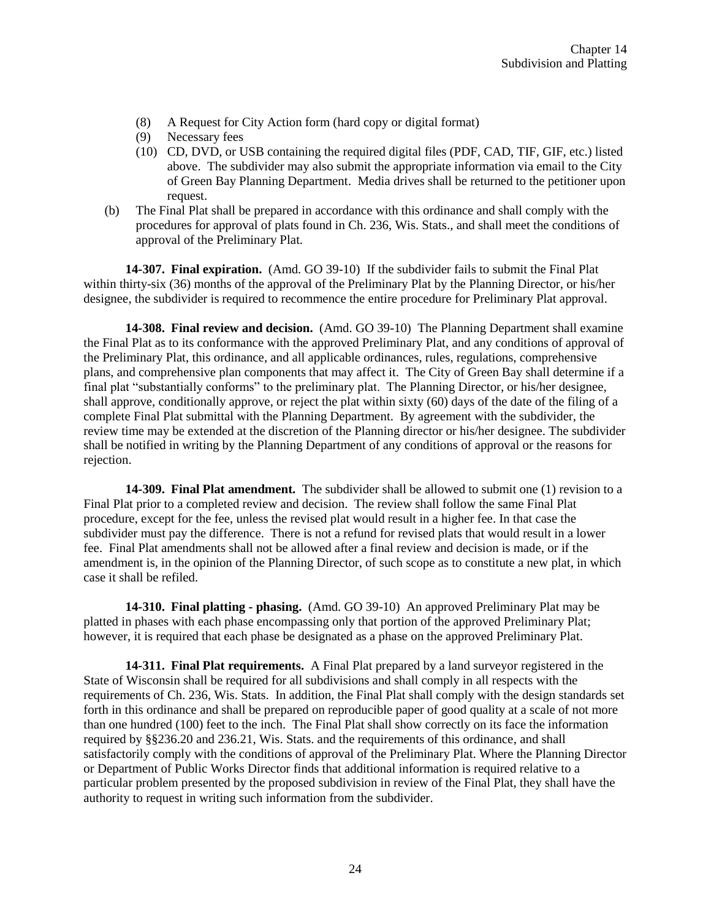- (8) A Request for City Action form (hard copy or digital format)
- (9) Necessary fees
- (10) CD, DVD, or USB containing the required digital files (PDF, CAD, TIF, GIF, etc.) listed above. The subdivider may also submit the appropriate information via email to the City of Green Bay Planning Department. Media drives shall be returned to the petitioner upon request.
- (b) The Final Plat shall be prepared in accordance with this ordinance and shall comply with the procedures for approval of plats found in Ch. 236, Wis. Stats., and shall meet the conditions of approval of the Preliminary Plat.

**14-307. Final expiration.** (Amd. GO 39-10) If the subdivider fails to submit the Final Plat within thirty-six (36) months of the approval of the Preliminary Plat by the Planning Director, or his/her designee, the subdivider is required to recommence the entire procedure for Preliminary Plat approval.

**14-308. Final review and decision.** (Amd. GO 39-10) The Planning Department shall examine the Final Plat as to its conformance with the approved Preliminary Plat, and any conditions of approval of the Preliminary Plat, this ordinance, and all applicable ordinances, rules, regulations, comprehensive plans, and comprehensive plan components that may affect it. The City of Green Bay shall determine if a final plat "substantially conforms" to the preliminary plat. The Planning Director, or his/her designee, shall approve, conditionally approve, or reject the plat within sixty (60) days of the date of the filing of a complete Final Plat submittal with the Planning Department. By agreement with the subdivider, the review time may be extended at the discretion of the Planning director or his/her designee. The subdivider shall be notified in writing by the Planning Department of any conditions of approval or the reasons for rejection.

**14-309. Final Plat amendment.** The subdivider shall be allowed to submit one (1) revision to a Final Plat prior to a completed review and decision. The review shall follow the same Final Plat procedure, except for the fee, unless the revised plat would result in a higher fee. In that case the subdivider must pay the difference. There is not a refund for revised plats that would result in a lower fee. Final Plat amendments shall not be allowed after a final review and decision is made, or if the amendment is, in the opinion of the Planning Director, of such scope as to constitute a new plat, in which case it shall be refiled.

**14-310. Final platting - phasing.** (Amd. GO 39-10) An approved Preliminary Plat may be platted in phases with each phase encompassing only that portion of the approved Preliminary Plat; however, it is required that each phase be designated as a phase on the approved Preliminary Plat.

**14-311. Final Plat requirements.** A Final Plat prepared by a land surveyor registered in the State of Wisconsin shall be required for all subdivisions and shall comply in all respects with the requirements of Ch. 236, Wis. Stats. In addition, the Final Plat shall comply with the design standards set forth in this ordinance and shall be prepared on reproducible paper of good quality at a scale of not more than one hundred (100) feet to the inch. The Final Plat shall show correctly on its face the information required by §§236.20 and 236.21, Wis. Stats. and the requirements of this ordinance, and shall satisfactorily comply with the conditions of approval of the Preliminary Plat. Where the Planning Director or Department of Public Works Director finds that additional information is required relative to a particular problem presented by the proposed subdivision in review of the Final Plat, they shall have the authority to request in writing such information from the subdivider.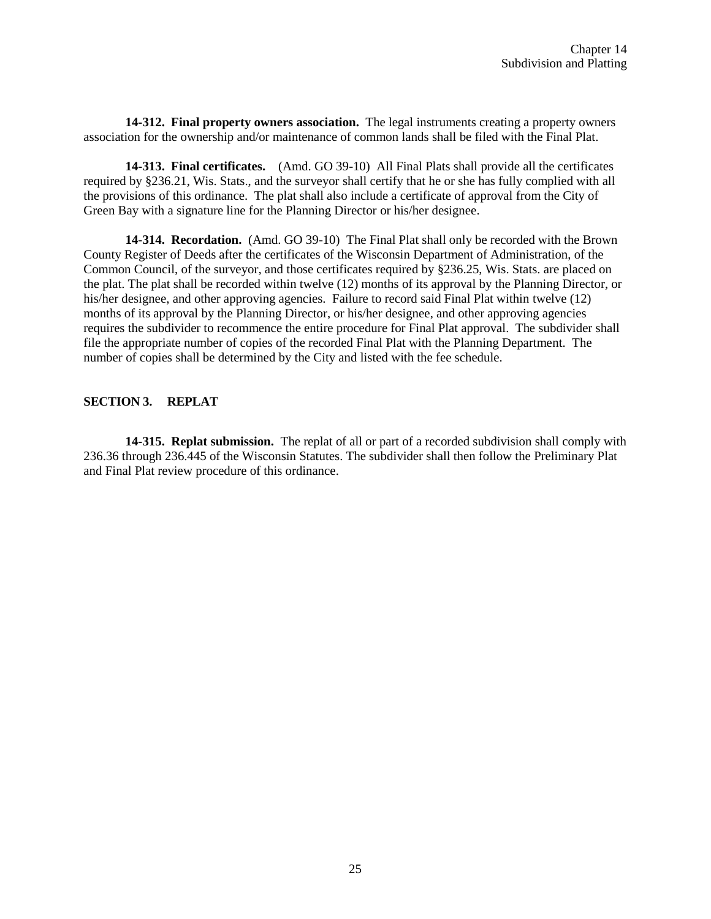**14-312. Final property owners association.** The legal instruments creating a property owners association for the ownership and/or maintenance of common lands shall be filed with the Final Plat.

**14-313. Final certificates.** (Amd. GO 39-10) All Final Plats shall provide all the certificates required by §236.21, Wis. Stats., and the surveyor shall certify that he or she has fully complied with all the provisions of this ordinance. The plat shall also include a certificate of approval from the City of Green Bay with a signature line for the Planning Director or his/her designee.

**14-314. Recordation.** (Amd. GO 39-10) The Final Plat shall only be recorded with the Brown County Register of Deeds after the certificates of the Wisconsin Department of Administration, of the Common Council, of the surveyor, and those certificates required by §236.25, Wis. Stats. are placed on the plat. The plat shall be recorded within twelve (12) months of its approval by the Planning Director, or his/her designee, and other approving agencies. Failure to record said Final Plat within twelve (12) months of its approval by the Planning Director, or his/her designee, and other approving agencies requires the subdivider to recommence the entire procedure for Final Plat approval. The subdivider shall file the appropriate number of copies of the recorded Final Plat with the Planning Department. The number of copies shall be determined by the City and listed with the fee schedule.

### **SECTION 3. REPLAT**

**14-315. Replat submission.** The replat of all or part of a recorded subdivision shall comply with 236.36 through 236.445 of the Wisconsin Statutes. The subdivider shall then follow the Preliminary Plat and Final Plat review procedure of this ordinance.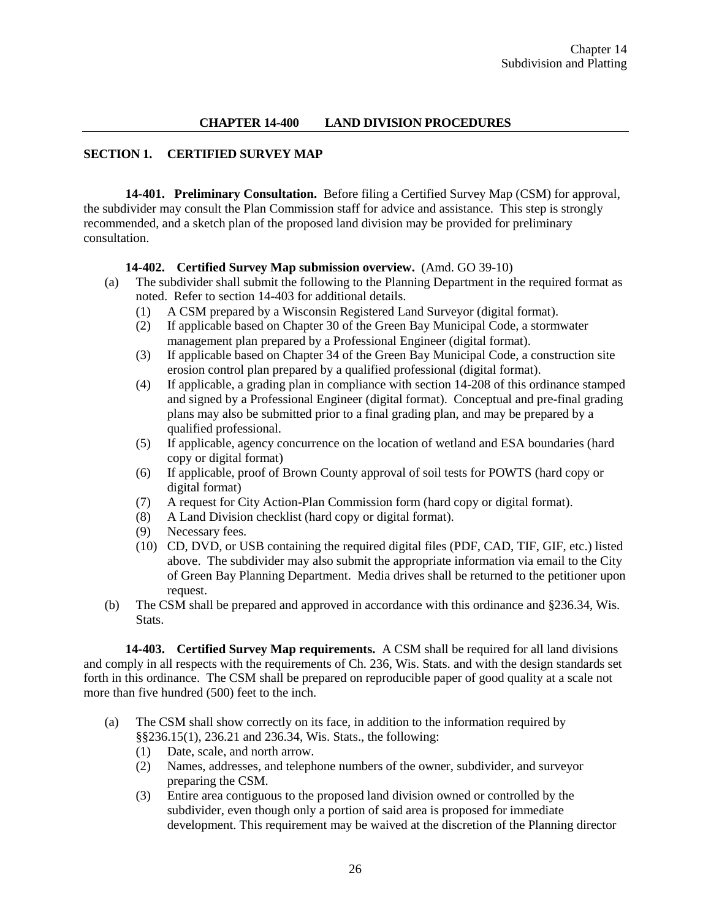## **CHAPTER 14-400 LAND DIVISION PROCEDURES**

# **SECTION 1. CERTIFIED SURVEY MAP**

**14-401. Preliminary Consultation.** Before filing a Certified Survey Map (CSM) for approval, the subdivider may consult the Plan Commission staff for advice and assistance. This step is strongly recommended, and a sketch plan of the proposed land division may be provided for preliminary consultation.

### **14-402. Certified Survey Map submission overview.** (Amd. GO 39-10)

- (a) The subdivider shall submit the following to the Planning Department in the required format as noted. Refer to section 14-403 for additional details.
	- (1) A CSM prepared by a Wisconsin Registered Land Surveyor (digital format).
	- (2) If applicable based on Chapter 30 of the Green Bay Municipal Code, a stormwater management plan prepared by a Professional Engineer (digital format).
	- (3) If applicable based on Chapter 34 of the Green Bay Municipal Code, a construction site erosion control plan prepared by a qualified professional (digital format).
	- (4) If applicable, a grading plan in compliance with section 14-208 of this ordinance stamped and signed by a Professional Engineer (digital format). Conceptual and pre-final grading plans may also be submitted prior to a final grading plan, and may be prepared by a qualified professional.
	- (5) If applicable, agency concurrence on the location of wetland and ESA boundaries (hard copy or digital format)
	- (6) If applicable, proof of Brown County approval of soil tests for POWTS (hard copy or digital format)
	- (7) A request for City Action-Plan Commission form (hard copy or digital format).
	- (8) A Land Division checklist (hard copy or digital format).
	- (9) Necessary fees.
	- (10) CD, DVD, or USB containing the required digital files (PDF, CAD, TIF, GIF, etc.) listed above. The subdivider may also submit the appropriate information via email to the City of Green Bay Planning Department. Media drives shall be returned to the petitioner upon request.
- (b) The CSM shall be prepared and approved in accordance with this ordinance and §236.34, Wis. Stats.

**14-403. Certified Survey Map requirements.** A CSM shall be required for all land divisions and comply in all respects with the requirements of Ch. 236, Wis. Stats. and with the design standards set forth in this ordinance. The CSM shall be prepared on reproducible paper of good quality at a scale not more than five hundred (500) feet to the inch.

- (a) The CSM shall show correctly on its face, in addition to the information required by §§236.15(1), 236.21 and 236.34, Wis. Stats., the following:
	- (1) Date, scale, and north arrow.
	- (2) Names, addresses, and telephone numbers of the owner, subdivider, and surveyor preparing the CSM.
	- (3) Entire area contiguous to the proposed land division owned or controlled by the subdivider, even though only a portion of said area is proposed for immediate development. This requirement may be waived at the discretion of the Planning director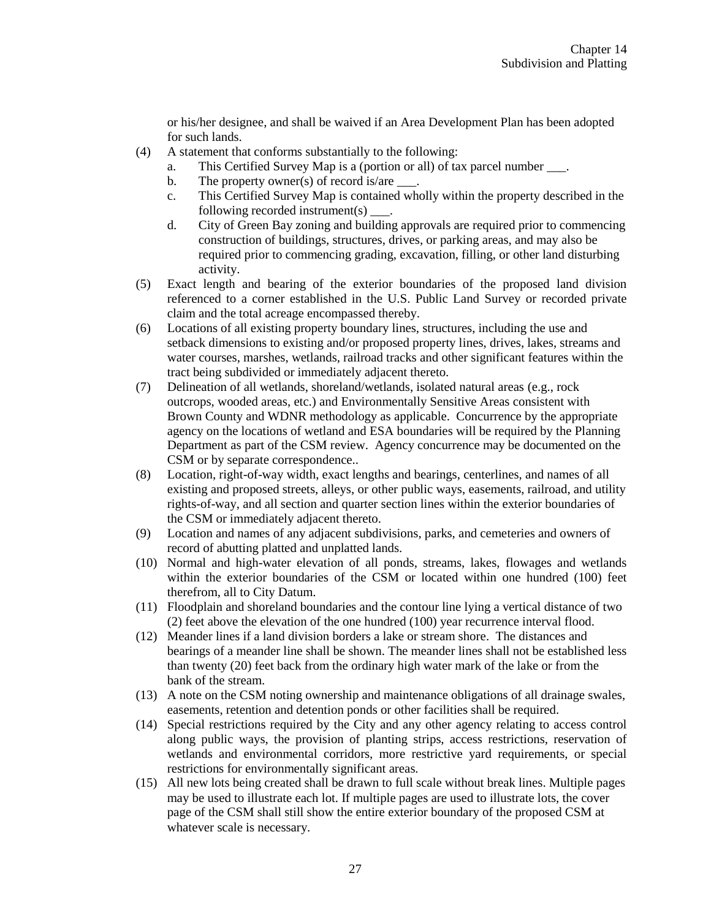or his/her designee, and shall be waived if an Area Development Plan has been adopted for such lands.

- (4) A statement that conforms substantially to the following:
	- a. This Certified Survey Map is a (portion or all) of tax parcel number \_\_\_.
	- b. The property owner(s) of record is/are  $\qquad$ .
	- c. This Certified Survey Map is contained wholly within the property described in the following recorded instrument(s)
	- d. City of Green Bay zoning and building approvals are required prior to commencing construction of buildings, structures, drives, or parking areas, and may also be required prior to commencing grading, excavation, filling, or other land disturbing activity.
- (5) Exact length and bearing of the exterior boundaries of the proposed land division referenced to a corner established in the U.S. Public Land Survey or recorded private claim and the total acreage encompassed thereby.
- (6) Locations of all existing property boundary lines, structures, including the use and setback dimensions to existing and/or proposed property lines, drives, lakes, streams and water courses, marshes, wetlands, railroad tracks and other significant features within the tract being subdivided or immediately adjacent thereto.
- (7) Delineation of all wetlands, shoreland/wetlands, isolated natural areas (e.g., rock outcrops, wooded areas, etc.) and Environmentally Sensitive Areas consistent with Brown County and WDNR methodology as applicable. Concurrence by the appropriate agency on the locations of wetland and ESA boundaries will be required by the Planning Department as part of the CSM review. Agency concurrence may be documented on the CSM or by separate correspondence..
- (8) Location, right-of-way width, exact lengths and bearings, centerlines, and names of all existing and proposed streets, alleys, or other public ways, easements, railroad, and utility rights-of-way, and all section and quarter section lines within the exterior boundaries of the CSM or immediately adjacent thereto.
- (9) Location and names of any adjacent subdivisions, parks, and cemeteries and owners of record of abutting platted and unplatted lands.
- (10) Normal and high-water elevation of all ponds, streams, lakes, flowages and wetlands within the exterior boundaries of the CSM or located within one hundred (100) feet therefrom, all to City Datum.
- (11) Floodplain and shoreland boundaries and the contour line lying a vertical distance of two (2) feet above the elevation of the one hundred (100) year recurrence interval flood.
- (12) Meander lines if a land division borders a lake or stream shore. The distances and bearings of a meander line shall be shown. The meander lines shall not be established less than twenty (20) feet back from the ordinary high water mark of the lake or from the bank of the stream.
- (13) A note on the CSM noting ownership and maintenance obligations of all drainage swales, easements, retention and detention ponds or other facilities shall be required.
- (14) Special restrictions required by the City and any other agency relating to access control along public ways, the provision of planting strips, access restrictions, reservation of wetlands and environmental corridors, more restrictive yard requirements, or special restrictions for environmentally significant areas.
- (15) All new lots being created shall be drawn to full scale without break lines. Multiple pages may be used to illustrate each lot. If multiple pages are used to illustrate lots, the cover page of the CSM shall still show the entire exterior boundary of the proposed CSM at whatever scale is necessary.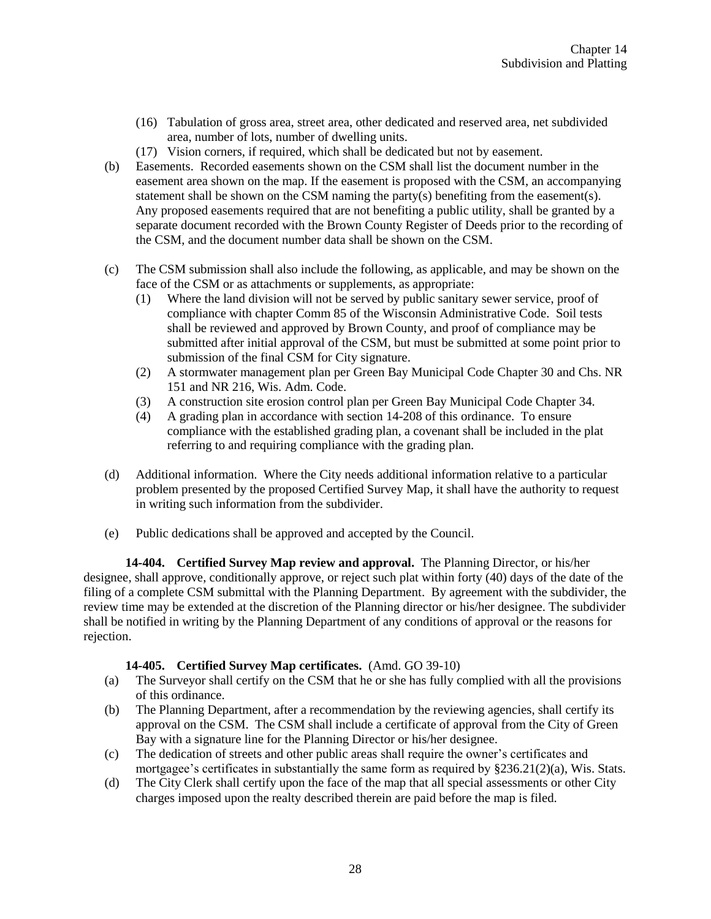- (16) Tabulation of gross area, street area, other dedicated and reserved area, net subdivided area, number of lots, number of dwelling units.
- (17) Vision corners, if required, which shall be dedicated but not by easement.
- (b) Easements. Recorded easements shown on the CSM shall list the document number in the easement area shown on the map. If the easement is proposed with the CSM, an accompanying statement shall be shown on the CSM naming the party(s) benefiting from the easement(s). Any proposed easements required that are not benefiting a public utility, shall be granted by a separate document recorded with the Brown County Register of Deeds prior to the recording of the CSM, and the document number data shall be shown on the CSM.
- (c) The CSM submission shall also include the following, as applicable, and may be shown on the face of the CSM or as attachments or supplements, as appropriate:
	- (1) Where the land division will not be served by public sanitary sewer service, proof of compliance with chapter Comm 85 of the Wisconsin Administrative Code. Soil tests shall be reviewed and approved by Brown County, and proof of compliance may be submitted after initial approval of the CSM, but must be submitted at some point prior to submission of the final CSM for City signature.
	- (2) A stormwater management plan per Green Bay Municipal Code Chapter 30 and Chs. NR 151 and NR 216, Wis. Adm. Code.
	- (3) A construction site erosion control plan per Green Bay Municipal Code Chapter 34.
	- (4) A grading plan in accordance with section 14-208 of this ordinance. To ensure compliance with the established grading plan, a covenant shall be included in the plat referring to and requiring compliance with the grading plan.
- (d) Additional information. Where the City needs additional information relative to a particular problem presented by the proposed Certified Survey Map, it shall have the authority to request in writing such information from the subdivider.
- (e) Public dedications shall be approved and accepted by the Council.

**14-404. Certified Survey Map review and approval.** The Planning Director, or his/her designee, shall approve, conditionally approve, or reject such plat within forty (40) days of the date of the filing of a complete CSM submittal with the Planning Department. By agreement with the subdivider, the review time may be extended at the discretion of the Planning director or his/her designee. The subdivider shall be notified in writing by the Planning Department of any conditions of approval or the reasons for rejection.

### **14-405. Certified Survey Map certificates.** (Amd. GO 39-10)

- (a) The Surveyor shall certify on the CSM that he or she has fully complied with all the provisions of this ordinance.
- (b) The Planning Department, after a recommendation by the reviewing agencies, shall certify its approval on the CSM. The CSM shall include a certificate of approval from the City of Green Bay with a signature line for the Planning Director or his/her designee.
- (c) The dedication of streets and other public areas shall require the owner's certificates and mortgagee's certificates in substantially the same form as required by §236.21(2)(a), Wis. Stats.
- (d) The City Clerk shall certify upon the face of the map that all special assessments or other City charges imposed upon the realty described therein are paid before the map is filed.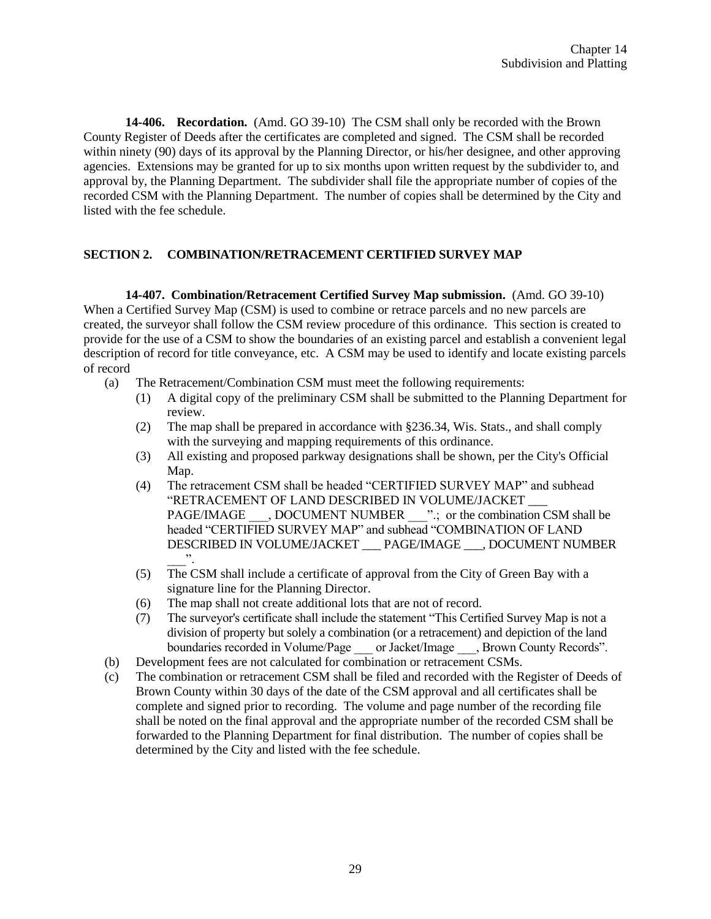**14-406. Recordation.** (Amd. GO 39-10) The CSM shall only be recorded with the Brown County Register of Deeds after the certificates are completed and signed. The CSM shall be recorded within ninety (90) days of its approval by the Planning Director, or his/her designee, and other approving agencies. Extensions may be granted for up to six months upon written request by the subdivider to, and approval by, the Planning Department. The subdivider shall file the appropriate number of copies of the recorded CSM with the Planning Department. The number of copies shall be determined by the City and listed with the fee schedule.

# **SECTION 2. COMBINATION/RETRACEMENT CERTIFIED SURVEY MAP**

**14-407. Combination/Retracement Certified Survey Map submission.** (Amd. GO 39-10)

When a Certified Survey Map (CSM) is used to combine or retrace parcels and no new parcels are created, the surveyor shall follow the CSM review procedure of this ordinance. This section is created to provide for the use of a CSM to show the boundaries of an existing parcel and establish a convenient legal description of record for title conveyance, etc. A CSM may be used to identify and locate existing parcels of record

- (a) The Retracement/Combination CSM must meet the following requirements:
	- (1) A digital copy of the preliminary CSM shall be submitted to the Planning Department for review.
	- (2) The map shall be prepared in accordance with §236.34, Wis. Stats., and shall comply with the surveying and mapping requirements of this ordinance.
	- (3) All existing and proposed parkway designations shall be shown, per the City's Official Map.
	- (4) The retracement CSM shall be headed "CERTIFIED SURVEY MAP" and subhead "RETRACEMENT OF LAND DESCRIBED IN VOLUME/JACKET \_\_\_ PAGE/IMAGE , DOCUMENT NUMBER ": or the combination CSM shall be headed "CERTIFIED SURVEY MAP" and subhead "COMBINATION OF LAND DESCRIBED IN VOLUME/JACKET \_\_\_ PAGE/IMAGE \_\_\_, DOCUMENT NUMBER  $\cdot$   $\cdot$
	- (5) The CSM shall include a certificate of approval from the City of Green Bay with a signature line for the Planning Director.
	- (6) The map shall not create additional lots that are not of record.
	- (7) The surveyor's certificate shall include the statement "This Certified Survey Map is not a division of property but solely a combination (or a retracement) and depiction of the land boundaries recorded in Volume/Page or Jacket/Image , Brown County Records".
- (b) Development fees are not calculated for combination or retracement CSMs.
- (c) The combination or retracement CSM shall be filed and recorded with the Register of Deeds of Brown County within 30 days of the date of the CSM approval and all certificates shall be complete and signed prior to recording. The volume and page number of the recording file shall be noted on the final approval and the appropriate number of the recorded CSM shall be forwarded to the Planning Department for final distribution. The number of copies shall be determined by the City and listed with the fee schedule.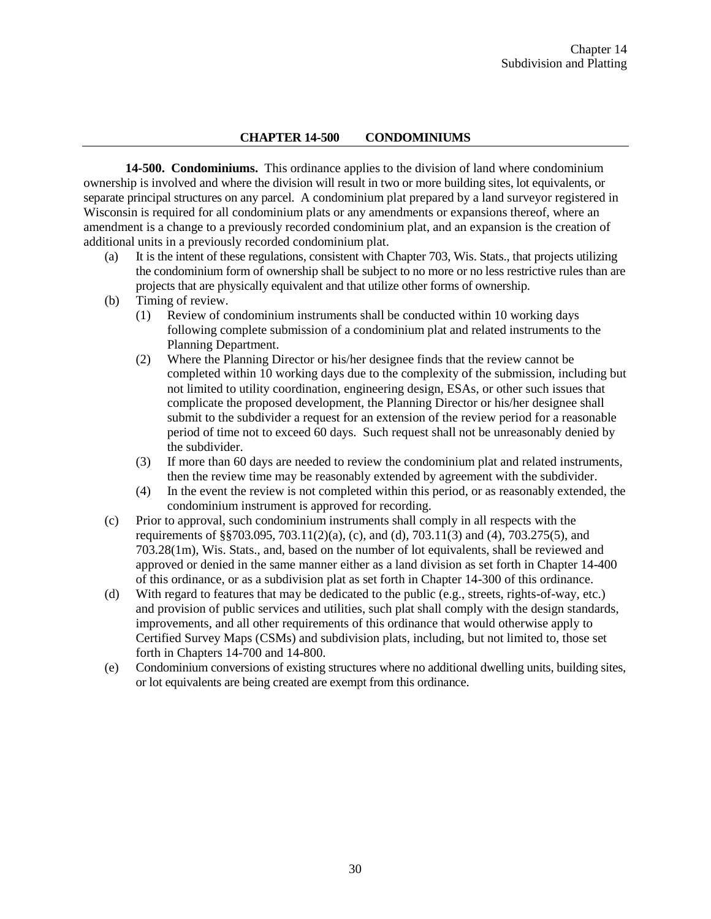## **CHAPTER 14-500 CONDOMINIUMS**

**14-500. Condominiums.** This ordinance applies to the division of land where condominium ownership is involved and where the division will result in two or more building sites, lot equivalents, or separate principal structures on any parcel. A condominium plat prepared by a land surveyor registered in Wisconsin is required for all condominium plats or any amendments or expansions thereof, where an amendment is a change to a previously recorded condominium plat, and an expansion is the creation of additional units in a previously recorded condominium plat.

- (a) It is the intent of these regulations, consistent with Chapter 703, Wis. Stats., that projects utilizing the condominium form of ownership shall be subject to no more or no less restrictive rules than are projects that are physically equivalent and that utilize other forms of ownership.
- (b) Timing of review.
	- (1) Review of condominium instruments shall be conducted within 10 working days following complete submission of a condominium plat and related instruments to the Planning Department.
	- (2) Where the Planning Director or his/her designee finds that the review cannot be completed within 10 working days due to the complexity of the submission, including but not limited to utility coordination, engineering design, ESAs, or other such issues that complicate the proposed development, the Planning Director or his/her designee shall submit to the subdivider a request for an extension of the review period for a reasonable period of time not to exceed 60 days. Such request shall not be unreasonably denied by the subdivider.
	- (3) If more than 60 days are needed to review the condominium plat and related instruments, then the review time may be reasonably extended by agreement with the subdivider.
	- (4) In the event the review is not completed within this period, or as reasonably extended, the condominium instrument is approved for recording.
- (c) Prior to approval, such condominium instruments shall comply in all respects with the requirements of §§703.095, 703.11(2)(a), (c), and (d), 703.11(3) and (4), 703.275(5), and 703.28(1m), Wis. Stats., and, based on the number of lot equivalents, shall be reviewed and approved or denied in the same manner either as a land division as set forth in Chapter 14-400 of this ordinance, or as a subdivision plat as set forth in Chapter 14-300 of this ordinance.
- (d) With regard to features that may be dedicated to the public (e.g., streets, rights-of-way, etc.) and provision of public services and utilities, such plat shall comply with the design standards, improvements, and all other requirements of this ordinance that would otherwise apply to Certified Survey Maps (CSMs) and subdivision plats, including, but not limited to, those set forth in Chapters 14-700 and 14-800.
- (e) Condominium conversions of existing structures where no additional dwelling units, building sites, or lot equivalents are being created are exempt from this ordinance.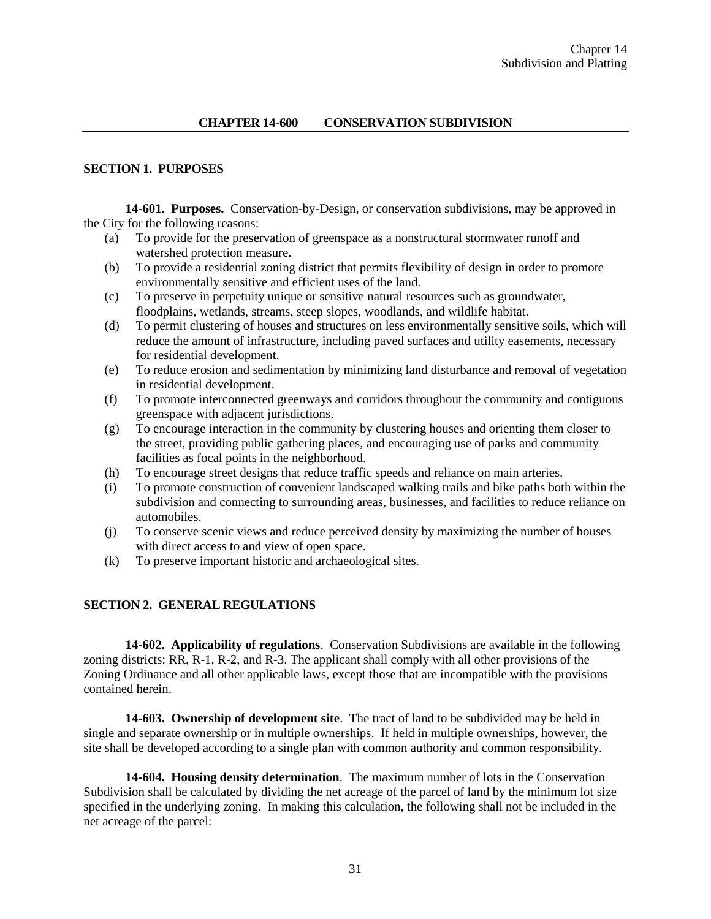## **CHAPTER 14-600 CONSERVATION SUBDIVISION**

### **SECTION 1. PURPOSES**

**14-601. Purposes.** Conservation-by-Design, or conservation subdivisions, may be approved in the City for the following reasons:

- (a) To provide for the preservation of greenspace as a nonstructural stormwater runoff and watershed protection measure.
- (b) To provide a residential zoning district that permits flexibility of design in order to promote environmentally sensitive and efficient uses of the land.
- (c) To preserve in perpetuity unique or sensitive natural resources such as groundwater, floodplains, wetlands, streams, steep slopes, woodlands, and wildlife habitat.
- (d) To permit clustering of houses and structures on less environmentally sensitive soils, which will reduce the amount of infrastructure, including paved surfaces and utility easements, necessary for residential development.
- (e) To reduce erosion and sedimentation by minimizing land disturbance and removal of vegetation in residential development.
- (f) To promote interconnected greenways and corridors throughout the community and contiguous greenspace with adjacent jurisdictions.
- (g) To encourage interaction in the community by clustering houses and orienting them closer to the street, providing public gathering places, and encouraging use of parks and community facilities as focal points in the neighborhood.
- (h) To encourage street designs that reduce traffic speeds and reliance on main arteries.
- (i) To promote construction of convenient landscaped walking trails and bike paths both within the subdivision and connecting to surrounding areas, businesses, and facilities to reduce reliance on automobiles.
- (j) To conserve scenic views and reduce perceived density by maximizing the number of houses with direct access to and view of open space.
- (k) To preserve important historic and archaeological sites.

#### **SECTION 2. GENERAL REGULATIONS**

**14-602. Applicability of regulations**. Conservation Subdivisions are available in the following zoning districts: RR, R-1, R-2, and R-3. The applicant shall comply with all other provisions of the Zoning Ordinance and all other applicable laws, except those that are incompatible with the provisions contained herein.

**14-603. Ownership of development site**. The tract of land to be subdivided may be held in single and separate ownership or in multiple ownerships. If held in multiple ownerships, however, the site shall be developed according to a single plan with common authority and common responsibility.

**14-604. Housing density determination**. The maximum number of lots in the Conservation Subdivision shall be calculated by dividing the net acreage of the parcel of land by the minimum lot size specified in the underlying zoning. In making this calculation, the following shall not be included in the net acreage of the parcel: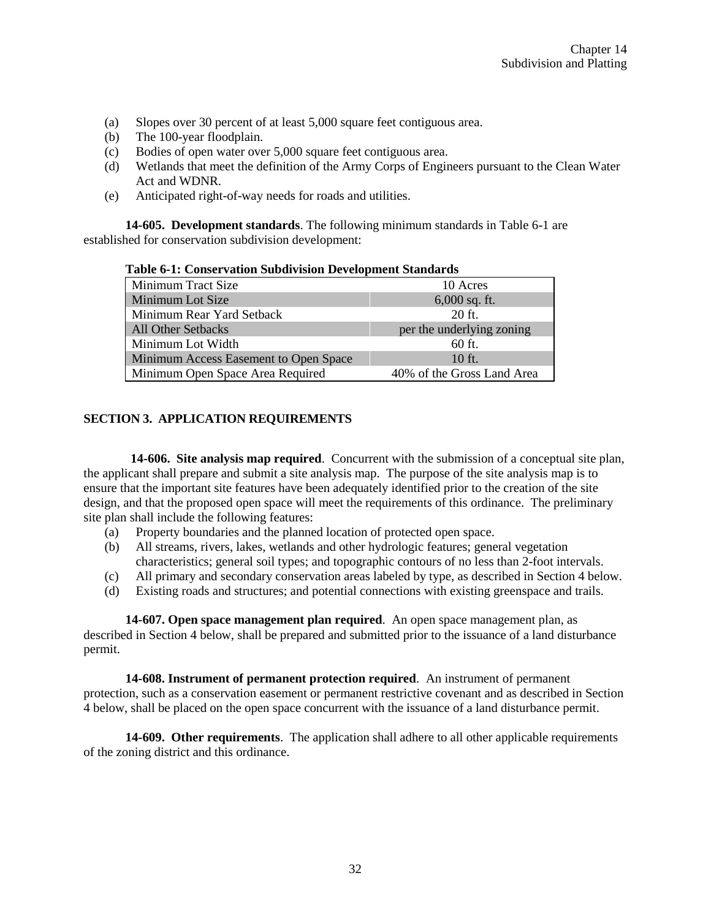- (a) Slopes over 30 percent of at least 5,000 square feet contiguous area.
- (b) The 100-year floodplain.
- (c) Bodies of open water over 5,000 square feet contiguous area.
- (d) Wetlands that meet the definition of the Army Corps of Engineers pursuant to the Clean Water Act and WDNR.
- (e) Anticipated right-of-way needs for roads and utilities.

**14-605. Development standards**. The following minimum standards in Table 6-1 are established for conservation subdivision development:

| Table 0-1. Consel vation Subdivision Development Standards |                            |  |  |
|------------------------------------------------------------|----------------------------|--|--|
| Minimum Tract Size                                         | 10 Acres                   |  |  |
| Minimum Lot Size                                           | $6,000$ sq. ft.            |  |  |
| Minimum Rear Yard Setback                                  | $20$ ft.                   |  |  |
| <b>All Other Setbacks</b>                                  | per the underlying zoning  |  |  |
| Minimum Lot Width                                          | $60$ ft.                   |  |  |
| Minimum Access Easement to Open Space                      | $10$ ft.                   |  |  |
| Minimum Open Space Area Required                           | 40% of the Gross Land Area |  |  |

# **Table 6-1: Conservation Subdivision Development Standards**

### **SECTION 3. APPLICATION REQUIREMENTS**

**14-606. Site analysis map required**. Concurrent with the submission of a conceptual site plan, the applicant shall prepare and submit a site analysis map. The purpose of the site analysis map is to ensure that the important site features have been adequately identified prior to the creation of the site design, and that the proposed open space will meet the requirements of this ordinance. The preliminary site plan shall include the following features:

- (a) Property boundaries and the planned location of protected open space.
- (b) All streams, rivers, lakes, wetlands and other hydrologic features; general vegetation characteristics; general soil types; and topographic contours of no less than 2-foot intervals.
- (c) All primary and secondary conservation areas labeled by type, as described in Section 4 below.
- (d) Existing roads and structures; and potential connections with existing greenspace and trails.

**14-607. Open space management plan required**. An open space management plan, as described in Section 4 below, shall be prepared and submitted prior to the issuance of a land disturbance permit.

**14-608. Instrument of permanent protection required**. An instrument of permanent protection, such as a conservation easement or permanent restrictive covenant and as described in Section 4 below, shall be placed on the open space concurrent with the issuance of a land disturbance permit.

**14-609. Other requirements**. The application shall adhere to all other applicable requirements of the zoning district and this ordinance.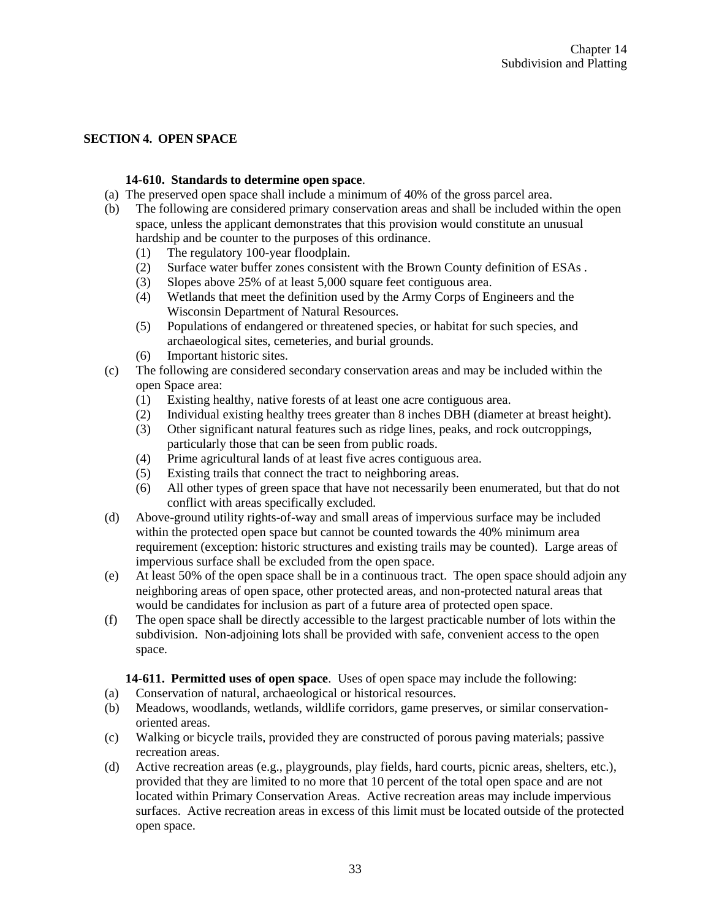# **SECTION 4. OPEN SPACE**

## **14-610. Standards to determine open space**.

- (a) The preserved open space shall include a minimum of 40% of the gross parcel area.
- (b) The following are considered primary conservation areas and shall be included within the open space, unless the applicant demonstrates that this provision would constitute an unusual hardship and be counter to the purposes of this ordinance.
	- (1) The regulatory 100-year floodplain.
	- (2) Surface water buffer zones consistent with the Brown County definition of ESAs .
	- (3) Slopes above 25% of at least 5,000 square feet contiguous area.
	- (4) Wetlands that meet the definition used by the Army Corps of Engineers and the Wisconsin Department of Natural Resources.
	- (5) Populations of endangered or threatened species, or habitat for such species, and archaeological sites, cemeteries, and burial grounds.
	- (6) Important historic sites.
- (c) The following are considered secondary conservation areas and may be included within the open Space area:
	- (1) Existing healthy, native forests of at least one acre contiguous area.
	- (2) Individual existing healthy trees greater than 8 inches DBH (diameter at breast height).
	- (3) Other significant natural features such as ridge lines, peaks, and rock outcroppings, particularly those that can be seen from public roads.
	- (4) Prime agricultural lands of at least five acres contiguous area.
	- (5) Existing trails that connect the tract to neighboring areas.
	- (6) All other types of green space that have not necessarily been enumerated, but that do not conflict with areas specifically excluded.
- (d) Above-ground utility rights-of-way and small areas of impervious surface may be included within the protected open space but cannot be counted towards the 40% minimum area requirement (exception: historic structures and existing trails may be counted). Large areas of impervious surface shall be excluded from the open space.
- (e) At least 50% of the open space shall be in a continuous tract. The open space should adjoin any neighboring areas of open space, other protected areas, and non-protected natural areas that would be candidates for inclusion as part of a future area of protected open space.
- (f) The open space shall be directly accessible to the largest practicable number of lots within the subdivision. Non-adjoining lots shall be provided with safe, convenient access to the open space.

**14-611. Permitted uses of open space**. Uses of open space may include the following:

- (a) Conservation of natural, archaeological or historical resources.
- (b) Meadows, woodlands, wetlands, wildlife corridors, game preserves, or similar conservationoriented areas.
- (c) Walking or bicycle trails, provided they are constructed of porous paving materials; passive recreation areas.
- (d) Active recreation areas (e.g., playgrounds, play fields, hard courts, picnic areas, shelters, etc.), provided that they are limited to no more that 10 percent of the total open space and are not located within Primary Conservation Areas. Active recreation areas may include impervious surfaces. Active recreation areas in excess of this limit must be located outside of the protected open space.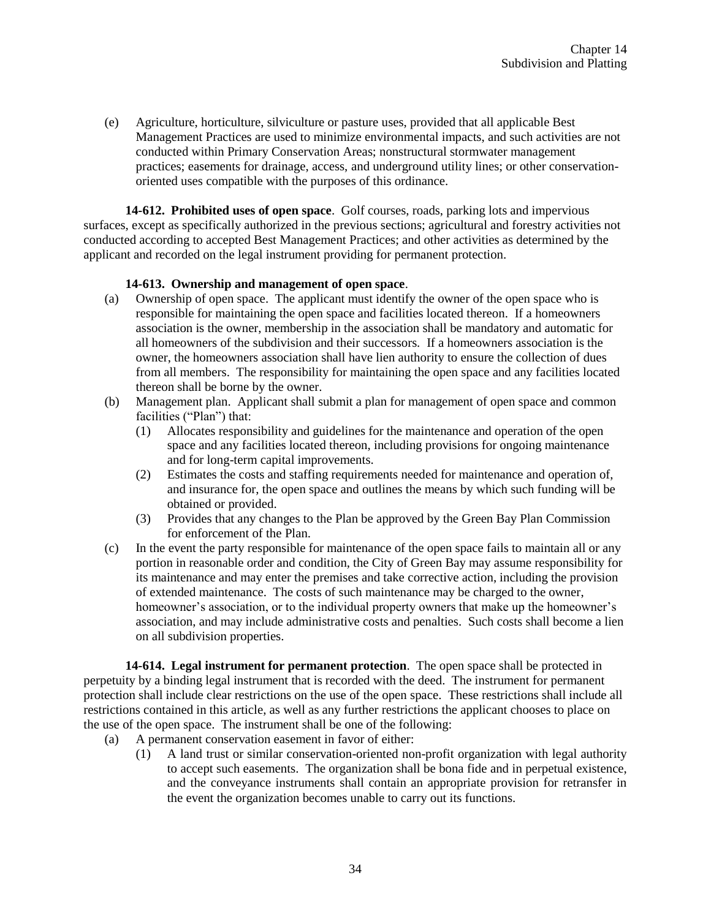(e) Agriculture, horticulture, silviculture or pasture uses, provided that all applicable Best Management Practices are used to minimize environmental impacts, and such activities are not conducted within Primary Conservation Areas; nonstructural stormwater management practices; easements for drainage, access, and underground utility lines; or other conservationoriented uses compatible with the purposes of this ordinance.

**14-612. Prohibited uses of open space**. Golf courses, roads, parking lots and impervious surfaces, except as specifically authorized in the previous sections; agricultural and forestry activities not conducted according to accepted Best Management Practices; and other activities as determined by the applicant and recorded on the legal instrument providing for permanent protection.

## **14-613. Ownership and management of open space**.

- (a) Ownership of open space. The applicant must identify the owner of the open space who is responsible for maintaining the open space and facilities located thereon. If a homeowners association is the owner, membership in the association shall be mandatory and automatic for all homeowners of the subdivision and their successors. If a homeowners association is the owner, the homeowners association shall have lien authority to ensure the collection of dues from all members. The responsibility for maintaining the open space and any facilities located thereon shall be borne by the owner.
- (b) Management plan. Applicant shall submit a plan for management of open space and common facilities ("Plan") that:
	- (1) Allocates responsibility and guidelines for the maintenance and operation of the open space and any facilities located thereon, including provisions for ongoing maintenance and for long-term capital improvements.
	- (2) Estimates the costs and staffing requirements needed for maintenance and operation of, and insurance for, the open space and outlines the means by which such funding will be obtained or provided.
	- (3) Provides that any changes to the Plan be approved by the Green Bay Plan Commission for enforcement of the Plan.
- (c) In the event the party responsible for maintenance of the open space fails to maintain all or any portion in reasonable order and condition, the City of Green Bay may assume responsibility for its maintenance and may enter the premises and take corrective action, including the provision of extended maintenance. The costs of such maintenance may be charged to the owner, homeowner's association, or to the individual property owners that make up the homeowner's association, and may include administrative costs and penalties. Such costs shall become a lien on all subdivision properties.

**14-614. Legal instrument for permanent protection**. The open space shall be protected in perpetuity by a binding legal instrument that is recorded with the deed. The instrument for permanent protection shall include clear restrictions on the use of the open space. These restrictions shall include all restrictions contained in this article, as well as any further restrictions the applicant chooses to place on the use of the open space. The instrument shall be one of the following:

- (a) A permanent conservation easement in favor of either:
	- (1) A land trust or similar conservation-oriented non-profit organization with legal authority to accept such easements. The organization shall be bona fide and in perpetual existence, and the conveyance instruments shall contain an appropriate provision for retransfer in the event the organization becomes unable to carry out its functions.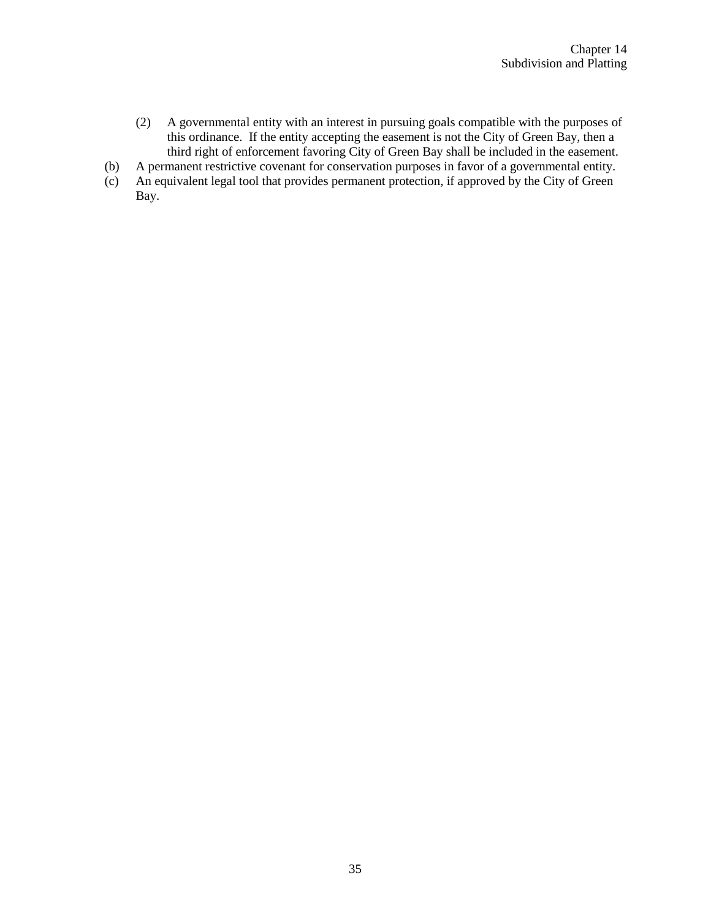- (2) A governmental entity with an interest in pursuing goals compatible with the purposes of this ordinance. If the entity accepting the easement is not the City of Green Bay, then a third right of enforcement favoring City of Green Bay shall be included in the easement.
- (b) A permanent restrictive covenant for conservation purposes in favor of a governmental entity.
- (c) An equivalent legal tool that provides permanent protection, if approved by the City of Green Bay.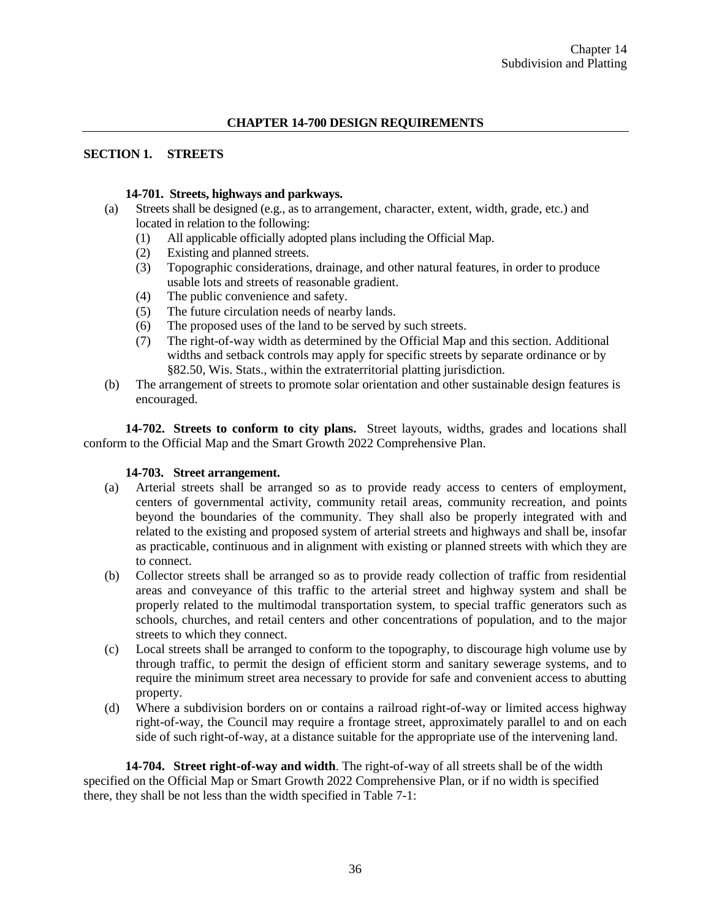### **CHAPTER 14-700 DESIGN REQUIREMENTS**

## **SECTION 1. STREETS**

### **14-701. Streets, highways and parkways.**

- (a) Streets shall be designed (e.g., as to arrangement, character, extent, width, grade, etc.) and located in relation to the following:
	- (1) All applicable officially adopted plans including the Official Map.
	- (2) Existing and planned streets.
	- (3) Topographic considerations, drainage, and other natural features, in order to produce usable lots and streets of reasonable gradient.
	- (4) The public convenience and safety.
	- (5) The future circulation needs of nearby lands.
	- (6) The proposed uses of the land to be served by such streets.
	- (7) The right-of-way width as determined by the Official Map and this section. Additional widths and setback controls may apply for specific streets by separate ordinance or by §82.50, Wis. Stats., within the extraterritorial platting jurisdiction.
- (b) The arrangement of streets to promote solar orientation and other sustainable design features is encouraged.

**14-702. Streets to conform to city plans.** Street layouts, widths, grades and locations shall conform to the Official Map and the Smart Growth 2022 Comprehensive Plan.

### **14-703. Street arrangement.**

- (a) Arterial streets shall be arranged so as to provide ready access to centers of employment, centers of governmental activity, community retail areas, community recreation, and points beyond the boundaries of the community. They shall also be properly integrated with and related to the existing and proposed system of arterial streets and highways and shall be, insofar as practicable, continuous and in alignment with existing or planned streets with which they are to connect.
- (b) Collector streets shall be arranged so as to provide ready collection of traffic from residential areas and conveyance of this traffic to the arterial street and highway system and shall be properly related to the multimodal transportation system, to special traffic generators such as schools, churches, and retail centers and other concentrations of population, and to the major streets to which they connect.
- (c) Local streets shall be arranged to conform to the topography, to discourage high volume use by through traffic, to permit the design of efficient storm and sanitary sewerage systems, and to require the minimum street area necessary to provide for safe and convenient access to abutting property.
- (d) Where a subdivision borders on or contains a railroad right-of-way or limited access highway right-of-way, the Council may require a frontage street, approximately parallel to and on each side of such right-of-way, at a distance suitable for the appropriate use of the intervening land.

**14-704. Street right-of-way and width**. The right-of-way of all streets shall be of the width specified on the Official Map or Smart Growth 2022 Comprehensive Plan, or if no width is specified there, they shall be not less than the width specified in Table 7-1: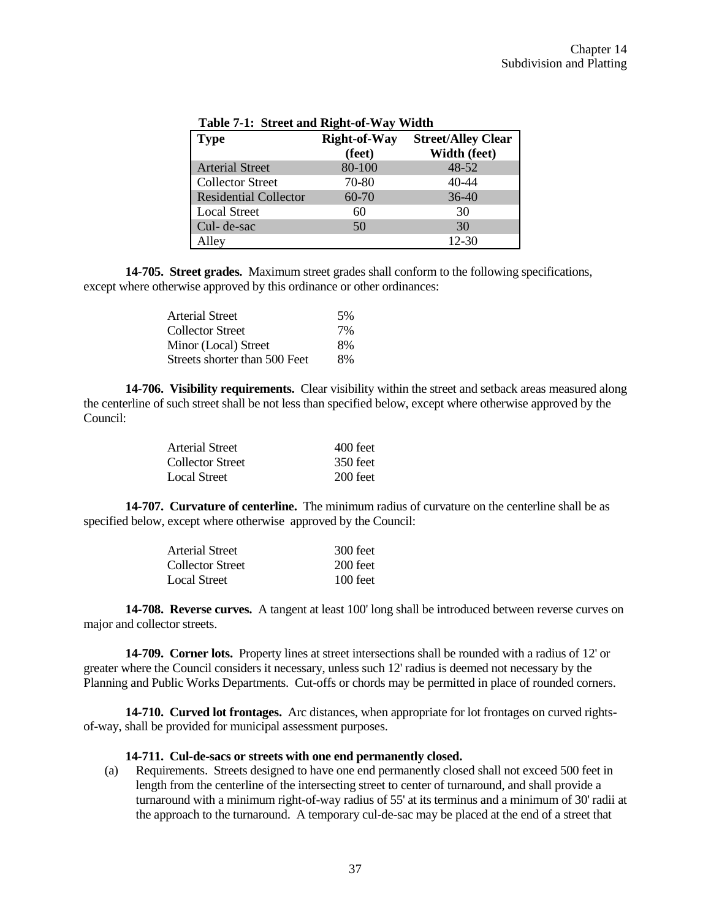| Lable <i>I</i> -1. Street and <b>Night-01-</b> Way Width |                               |                                           |  |  |  |
|----------------------------------------------------------|-------------------------------|-------------------------------------------|--|--|--|
| <b>Type</b>                                              | <b>Right-of-Way</b><br>(feet) | <b>Street/Alley Clear</b><br>Width (feet) |  |  |  |
|                                                          |                               |                                           |  |  |  |
| <b>Arterial Street</b>                                   | 80-100                        | 48-52                                     |  |  |  |
| <b>Collector Street</b>                                  | 70-80                         | 40-44                                     |  |  |  |
| <b>Residential Collector</b>                             | 60-70                         | $36-40$                                   |  |  |  |
| <b>Local Street</b>                                      | 60                            | 30                                        |  |  |  |
| Cul-de-sac                                               | 50                            | 30                                        |  |  |  |
| Alley                                                    |                               | 12-30                                     |  |  |  |

**Table 7-1: Street and Right-of-Way Width**

**14-705. Street grades.** Maximum street grades shall conform to the following specifications, except where otherwise approved by this ordinance or other ordinances:

| <b>Arterial Street</b>        | .5% |
|-------------------------------|-----|
| Collector Street              | 7%  |
| Minor (Local) Street          | 8%  |
| Streets shorter than 500 Feet | 8%  |

**14-706. Visibility requirements.** Clear visibility within the street and setback areas measured along the centerline of such street shall be not less than specified below, except where otherwise approved by the Council:

| Arterial Street  | $400$ feet |
|------------------|------------|
| Collector Street | 350 feet   |
| Local Street     | $200$ feet |

**14-707. Curvature of centerline.** The minimum radius of curvature on the centerline shall be as specified below, except where otherwise approved by the Council:

| 300 feet   |
|------------|
| $200$ feet |
| $100$ feet |
|            |

**14-708. Reverse curves.** A tangent at least 100' long shall be introduced between reverse curves on major and collector streets.

**14-709. Corner lots.** Property lines at street intersections shall be rounded with a radius of 12' or greater where the Council considers it necessary, unless such 12' radius is deemed not necessary by the Planning and Public Works Departments. Cut-offs or chords may be permitted in place of rounded corners.

**14-710. Curved lot frontages.** Arc distances, when appropriate for lot frontages on curved rightsof-way, shall be provided for municipal assessment purposes.

#### **14-711. Cul-de-sacs or streets with one end permanently closed.**

(a) Requirements. Streets designed to have one end permanently closed shall not exceed 500 feet in length from the centerline of the intersecting street to center of turnaround, and shall provide a turnaround with a minimum right-of-way radius of 55' at its terminus and a minimum of 30' radii at the approach to the turnaround. A temporary cul-de-sac may be placed at the end of a street that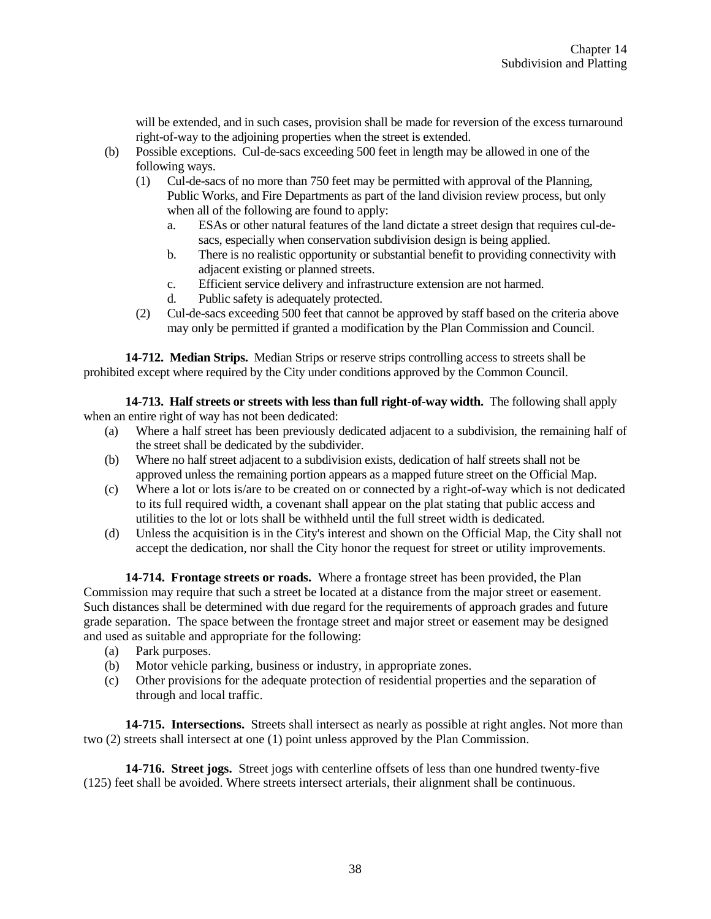will be extended, and in such cases, provision shall be made for reversion of the excess turnaround right-of-way to the adjoining properties when the street is extended.

- (b) Possible exceptions. Cul-de-sacs exceeding 500 feet in length may be allowed in one of the following ways.
	- (1) Cul-de-sacs of no more than 750 feet may be permitted with approval of the Planning, Public Works, and Fire Departments as part of the land division review process, but only when all of the following are found to apply:
		- a. ESAs or other natural features of the land dictate a street design that requires cul-desacs, especially when conservation subdivision design is being applied.
		- b. There is no realistic opportunity or substantial benefit to providing connectivity with adjacent existing or planned streets.
		- c. Efficient service delivery and infrastructure extension are not harmed.
		- d. Public safety is adequately protected.
	- (2) Cul-de-sacs exceeding 500 feet that cannot be approved by staff based on the criteria above may only be permitted if granted a modification by the Plan Commission and Council.

**14-712. Median Strips.** Median Strips or reserve strips controlling access to streets shall be prohibited except where required by the City under conditions approved by the Common Council.

**14-713. Half streets or streets with less than full right-of-way width.** The following shall apply when an entire right of way has not been dedicated:

- (a) Where a half street has been previously dedicated adjacent to a subdivision, the remaining half of the street shall be dedicated by the subdivider.
- (b) Where no half street adjacent to a subdivision exists, dedication of half streets shall not be approved unless the remaining portion appears as a mapped future street on the Official Map.
- (c) Where a lot or lots is/are to be created on or connected by a right-of-way which is not dedicated to its full required width, a covenant shall appear on the plat stating that public access and utilities to the lot or lots shall be withheld until the full street width is dedicated.
- (d) Unless the acquisition is in the City's interest and shown on the Official Map, the City shall not accept the dedication, nor shall the City honor the request for street or utility improvements.

**14-714. Frontage streets or roads.** Where a frontage street has been provided, the Plan Commission may require that such a street be located at a distance from the major street or easement. Such distances shall be determined with due regard for the requirements of approach grades and future grade separation. The space between the frontage street and major street or easement may be designed and used as suitable and appropriate for the following:

- (a) Park purposes.
- (b) Motor vehicle parking, business or industry, in appropriate zones.
- (c) Other provisions for the adequate protection of residential properties and the separation of through and local traffic.

**14-715. Intersections.** Streets shall intersect as nearly as possible at right angles. Not more than two (2) streets shall intersect at one (1) point unless approved by the Plan Commission.

**14-716. Street jogs.** Street jogs with centerline offsets of less than one hundred twenty-five (125) feet shall be avoided. Where streets intersect arterials, their alignment shall be continuous.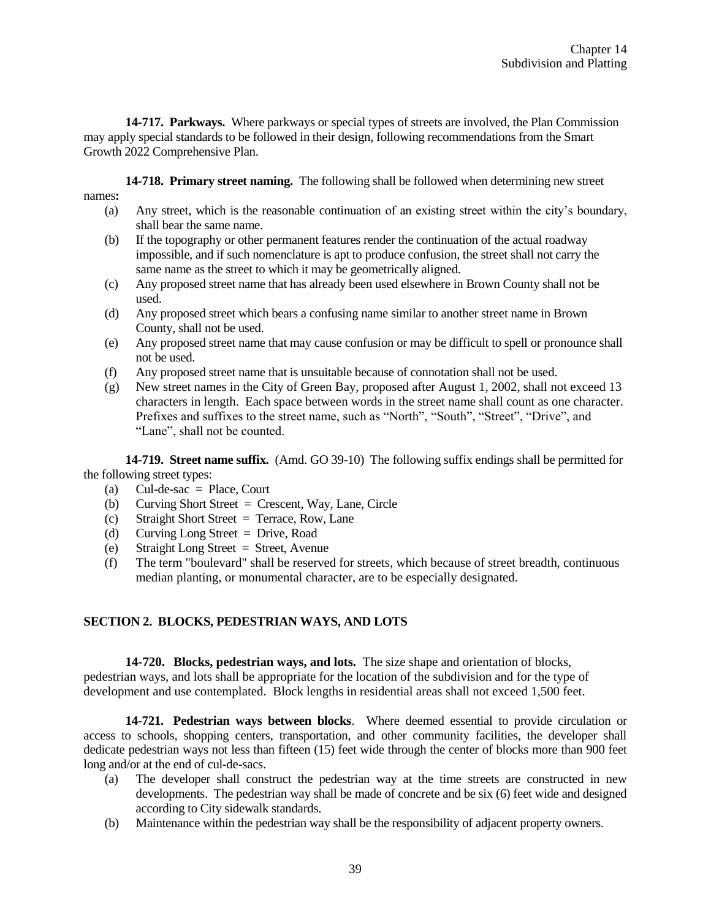**14-717. Parkways.** Where parkways or special types of streets are involved, the Plan Commission may apply special standards to be followed in their design, following recommendations from the Smart Growth 2022 Comprehensive Plan.

**14-718. Primary street naming.** The following shall be followed when determining new street names**:**

- (a) Any street, which is the reasonable continuation of an existing street within the city's boundary, shall bear the same name.
- (b) If the topography or other permanent features render the continuation of the actual roadway impossible, and if such nomenclature is apt to produce confusion, the street shall not carry the same name as the street to which it may be geometrically aligned.
- (c) Any proposed street name that has already been used elsewhere in Brown County shall not be used.
- (d) Any proposed street which bears a confusing name similar to another street name in Brown County, shall not be used.
- (e) Any proposed street name that may cause confusion or may be difficult to spell or pronounce shall not be used.
- (f) Any proposed street name that is unsuitable because of connotation shall not be used.
- (g) New street names in the City of Green Bay, proposed after August 1, 2002, shall not exceed 13 characters in length. Each space between words in the street name shall count as one character. Prefixes and suffixes to the street name, such as "North", "South", "Street", "Drive", and "Lane", shall not be counted.

**14-719. Street name suffix.** (Amd. GO 39-10) The following suffix endings shall be permitted for the following street types:

- (a) Cul-de-sac = Place, Court
- (b) Curving Short Street = Crescent, Way, Lane, Circle
- (c) Straight Short Street = Terrace, Row, Lane
- (d) Curving Long Street = Drive, Road
- (e) Straight Long Street = Street, Avenue
- (f) The term "boulevard" shall be reserved for streets, which because of street breadth, continuous median planting, or monumental character, are to be especially designated.

# **SECTION 2. BLOCKS, PEDESTRIAN WAYS, AND LOTS**

**14-720. Blocks, pedestrian ways, and lots.** The size shape and orientation of blocks, pedestrian ways, and lots shall be appropriate for the location of the subdivision and for the type of development and use contemplated. Block lengths in residential areas shall not exceed 1,500 feet.

**14-721. Pedestrian ways between blocks**. Where deemed essential to provide circulation or access to schools, shopping centers, transportation, and other community facilities, the developer shall dedicate pedestrian ways not less than fifteen (15) feet wide through the center of blocks more than 900 feet long and/or at the end of cul-de-sacs.

- (a) The developer shall construct the pedestrian way at the time streets are constructed in new developments. The pedestrian way shall be made of concrete and be six (6) feet wide and designed according to City sidewalk standards.
- (b) Maintenance within the pedestrian way shall be the responsibility of adjacent property owners.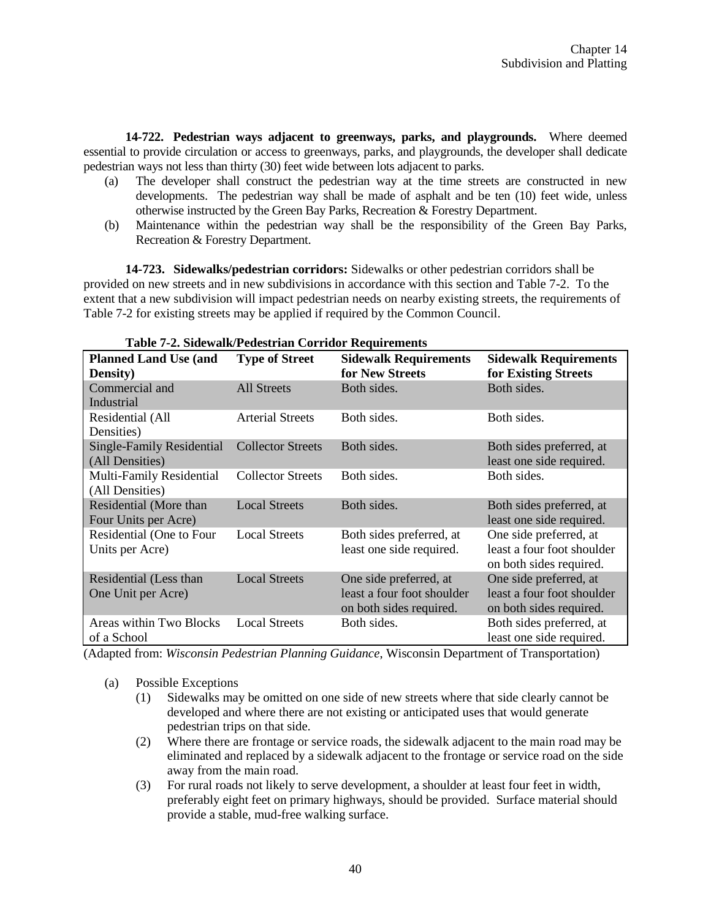**14-722. Pedestrian ways adjacent to greenways, parks, and playgrounds.** Where deemed essential to provide circulation or access to greenways, parks, and playgrounds, the developer shall dedicate pedestrian ways not less than thirty (30) feet wide between lots adjacent to parks.

- (a) The developer shall construct the pedestrian way at the time streets are constructed in new developments. The pedestrian way shall be made of asphalt and be ten (10) feet wide, unless otherwise instructed by the Green Bay Parks, Recreation & Forestry Department.
- (b) Maintenance within the pedestrian way shall be the responsibility of the Green Bay Parks, Recreation & Forestry Department.

**14-723. Sidewalks/pedestrian corridors:** Sidewalks or other pedestrian corridors shall be provided on new streets and in new subdivisions in accordance with this section and Table 7-2. To the extent that a new subdivision will impact pedestrian needs on nearby existing streets, the requirements of Table 7-2 for existing streets may be applied if required by the Common Council.

|                                                  | rabic 7-2. Shucwanyi cucstrian Corrituor ixequirements |                                                 |                                                      |  |  |  |
|--------------------------------------------------|--------------------------------------------------------|-------------------------------------------------|------------------------------------------------------|--|--|--|
| <b>Planned Land Use (and</b><br><b>Density</b> ) | <b>Type of Street</b>                                  | <b>Sidewalk Requirements</b><br>for New Streets | <b>Sidewalk Requirements</b><br>for Existing Streets |  |  |  |
|                                                  |                                                        |                                                 |                                                      |  |  |  |
| Commercial and                                   | <b>All Streets</b>                                     | Both sides.                                     | Both sides.                                          |  |  |  |
| Industrial                                       |                                                        |                                                 |                                                      |  |  |  |
| Residential (All                                 | <b>Arterial Streets</b>                                | Both sides.                                     | Both sides.                                          |  |  |  |
| Densities)                                       |                                                        |                                                 |                                                      |  |  |  |
| Single-Family Residential                        | <b>Collector Streets</b>                               | Both sides.                                     | Both sides preferred, at                             |  |  |  |
| (All Densities)                                  |                                                        |                                                 | least one side required.                             |  |  |  |
| Multi-Family Residential                         | <b>Collector Streets</b>                               | Both sides.                                     | Both sides.                                          |  |  |  |
| (All Densities)                                  |                                                        |                                                 |                                                      |  |  |  |
| Residential (More than                           | <b>Local Streets</b>                                   | Both sides.                                     | Both sides preferred, at                             |  |  |  |
| Four Units per Acre)                             |                                                        |                                                 | least one side required.                             |  |  |  |
| Residential (One to Four                         | <b>Local Streets</b>                                   | Both sides preferred, at                        | One side preferred, at                               |  |  |  |
| Units per Acre)                                  |                                                        | least one side required.                        | least a four foot shoulder                           |  |  |  |
|                                                  |                                                        |                                                 | on both sides required.                              |  |  |  |
| Residential (Less than                           | <b>Local Streets</b>                                   | One side preferred, at                          | One side preferred, at                               |  |  |  |
| One Unit per Acre)                               |                                                        | least a four foot shoulder                      | least a four foot shoulder                           |  |  |  |
|                                                  |                                                        | on both sides required.                         | on both sides required.                              |  |  |  |
| Areas within Two Blocks                          | <b>Local Streets</b>                                   | Both sides.                                     | Both sides preferred, at                             |  |  |  |
| of a School                                      |                                                        |                                                 | least one side required.                             |  |  |  |

### **Table 7-2. Sidewalk/Pedestrian Corridor Requirements**

(Adapted from: *Wisconsin Pedestrian Planning Guidance*, Wisconsin Department of Transportation)

- (a) Possible Exceptions
	- (1) Sidewalks may be omitted on one side of new streets where that side clearly cannot be developed and where there are not existing or anticipated uses that would generate pedestrian trips on that side.
	- (2) Where there are frontage or service roads, the sidewalk adjacent to the main road may be eliminated and replaced by a sidewalk adjacent to the frontage or service road on the side away from the main road.
	- (3) For rural roads not likely to serve development, a shoulder at least four feet in width, preferably eight feet on primary highways, should be provided. Surface material should provide a stable, mud-free walking surface.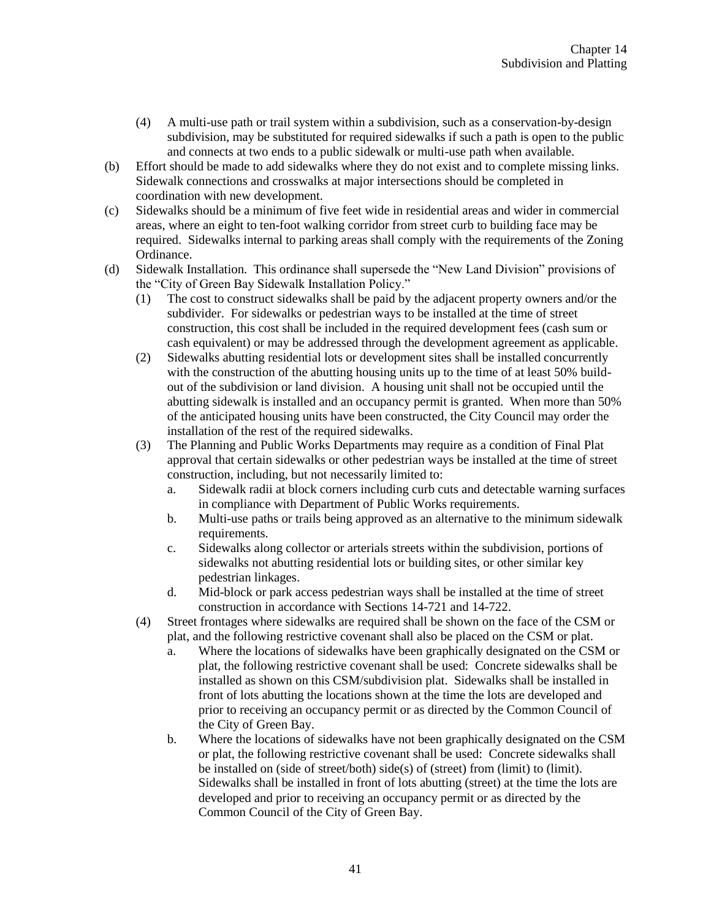- (4) A multi-use path or trail system within a subdivision, such as a conservation-by-design subdivision, may be substituted for required sidewalks if such a path is open to the public and connects at two ends to a public sidewalk or multi-use path when available.
- (b) Effort should be made to add sidewalks where they do not exist and to complete missing links. Sidewalk connections and crosswalks at major intersections should be completed in coordination with new development.
- (c) Sidewalks should be a minimum of five feet wide in residential areas and wider in commercial areas, where an eight to ten-foot walking corridor from street curb to building face may be required. Sidewalks internal to parking areas shall comply with the requirements of the Zoning Ordinance.
- (d) Sidewalk Installation. This ordinance shall supersede the "New Land Division" provisions of the "City of Green Bay Sidewalk Installation Policy."
	- (1) The cost to construct sidewalks shall be paid by the adjacent property owners and/or the subdivider. For sidewalks or pedestrian ways to be installed at the time of street construction, this cost shall be included in the required development fees (cash sum or cash equivalent) or may be addressed through the development agreement as applicable.
	- (2) Sidewalks abutting residential lots or development sites shall be installed concurrently with the construction of the abutting housing units up to the time of at least 50% buildout of the subdivision or land division. A housing unit shall not be occupied until the abutting sidewalk is installed and an occupancy permit is granted. When more than 50% of the anticipated housing units have been constructed, the City Council may order the installation of the rest of the required sidewalks.
	- (3) The Planning and Public Works Departments may require as a condition of Final Plat approval that certain sidewalks or other pedestrian ways be installed at the time of street construction, including, but not necessarily limited to:
		- a. Sidewalk radii at block corners including curb cuts and detectable warning surfaces in compliance with Department of Public Works requirements.
		- b. Multi-use paths or trails being approved as an alternative to the minimum sidewalk requirements.
		- c. Sidewalks along collector or arterials streets within the subdivision, portions of sidewalks not abutting residential lots or building sites, or other similar key pedestrian linkages.
		- d. Mid-block or park access pedestrian ways shall be installed at the time of street construction in accordance with Sections 14-721 and 14-722.
	- (4) Street frontages where sidewalks are required shall be shown on the face of the CSM or plat, and the following restrictive covenant shall also be placed on the CSM or plat.
		- a. Where the locations of sidewalks have been graphically designated on the CSM or plat, the following restrictive covenant shall be used: Concrete sidewalks shall be installed as shown on this CSM/subdivision plat. Sidewalks shall be installed in front of lots abutting the locations shown at the time the lots are developed and prior to receiving an occupancy permit or as directed by the Common Council of the City of Green Bay.
		- b. Where the locations of sidewalks have not been graphically designated on the CSM or plat, the following restrictive covenant shall be used: Concrete sidewalks shall be installed on (side of street/both) side(s) of (street) from (limit) to (limit). Sidewalks shall be installed in front of lots abutting (street) at the time the lots are developed and prior to receiving an occupancy permit or as directed by the Common Council of the City of Green Bay.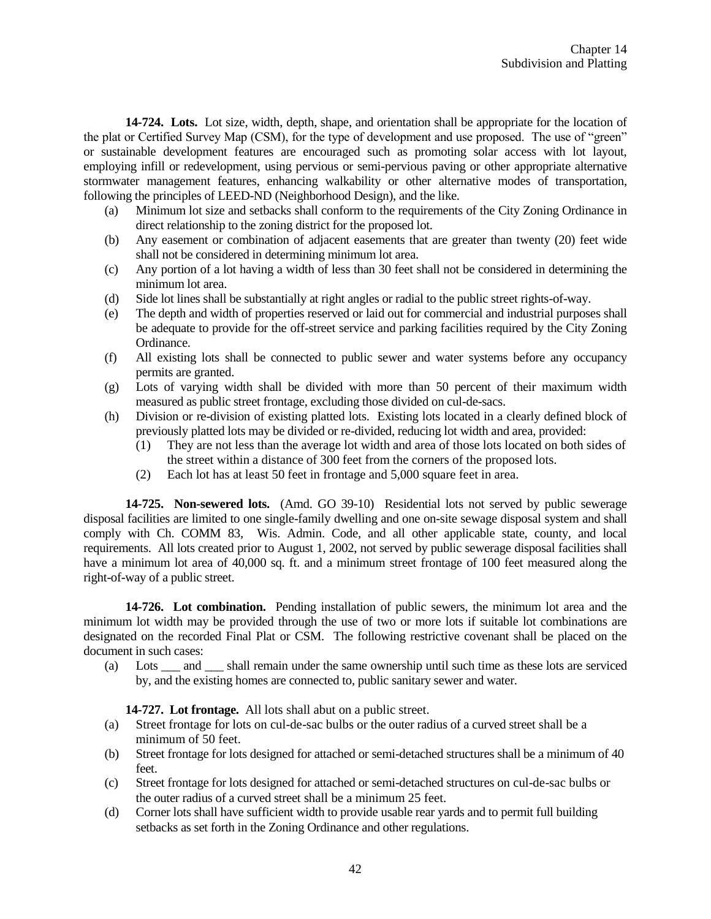**14-724. Lots.** Lot size, width, depth, shape, and orientation shall be appropriate for the location of the plat or Certified Survey Map (CSM), for the type of development and use proposed. The use of "green" or sustainable development features are encouraged such as promoting solar access with lot layout, employing infill or redevelopment, using pervious or semi-pervious paving or other appropriate alternative stormwater management features, enhancing walkability or other alternative modes of transportation, following the principles of LEED-ND (Neighborhood Design), and the like.

- (a) Minimum lot size and setbacks shall conform to the requirements of the City Zoning Ordinance in direct relationship to the zoning district for the proposed lot.
- (b) Any easement or combination of adjacent easements that are greater than twenty (20) feet wide shall not be considered in determining minimum lot area.
- (c) Any portion of a lot having a width of less than 30 feet shall not be considered in determining the minimum lot area.
- (d) Side lot lines shall be substantially at right angles or radial to the public street rights-of-way.
- (e) The depth and width of properties reserved or laid out for commercial and industrial purposes shall be adequate to provide for the off-street service and parking facilities required by the City Zoning Ordinance.
- (f) All existing lots shall be connected to public sewer and water systems before any occupancy permits are granted.
- (g) Lots of varying width shall be divided with more than 50 percent of their maximum width measured as public street frontage, excluding those divided on cul-de-sacs.
- (h) Division or re-division of existing platted lots. Existing lots located in a clearly defined block of previously platted lots may be divided or re-divided, reducing lot width and area, provided:
	- (1) They are not less than the average lot width and area of those lots located on both sides of the street within a distance of 300 feet from the corners of the proposed lots.
	- (2) Each lot has at least 50 feet in frontage and 5,000 square feet in area.

**14-725. Non-sewered lots.** (Amd. GO 39-10) Residential lots not served by public sewerage disposal facilities are limited to one single-family dwelling and one on-site sewage disposal system and shall comply with Ch. COMM 83, Wis. Admin. Code, and all other applicable state, county, and local requirements. All lots created prior to August 1, 2002, not served by public sewerage disposal facilities shall have a minimum lot area of 40,000 sq. ft. and a minimum street frontage of 100 feet measured along the right-of-way of a public street.

**14-726. Lot combination.** Pending installation of public sewers, the minimum lot area and the minimum lot width may be provided through the use of two or more lots if suitable lot combinations are designated on the recorded Final Plat or CSM. The following restrictive covenant shall be placed on the document in such cases:

(a) Lots \_\_\_ and \_\_\_ shall remain under the same ownership until such time as these lots are serviced by, and the existing homes are connected to, public sanitary sewer and water.

**14-727. Lot frontage.** All lots shall abut on a public street.

- (a) Street frontage for lots on cul-de-sac bulbs or the outer radius of a curved street shall be a minimum of 50 feet.
- (b) Street frontage for lots designed for attached or semi-detached structures shall be a minimum of 40 feet.
- (c) Street frontage for lots designed for attached or semi-detached structures on cul-de-sac bulbs or the outer radius of a curved street shall be a minimum 25 feet.
- (d) Corner lots shall have sufficient width to provide usable rear yards and to permit full building setbacks as set forth in the Zoning Ordinance and other regulations.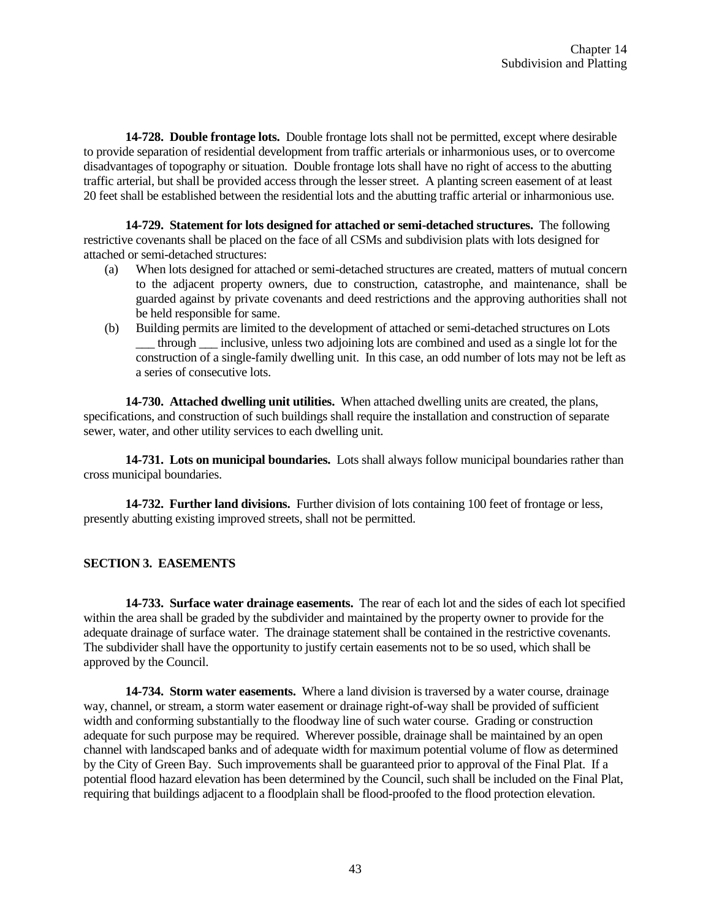**14-728. Double frontage lots.** Double frontage lots shall not be permitted, except where desirable to provide separation of residential development from traffic arterials or inharmonious uses, or to overcome disadvantages of topography or situation. Double frontage lots shall have no right of access to the abutting traffic arterial, but shall be provided access through the lesser street. A planting screen easement of at least 20 feet shall be established between the residential lots and the abutting traffic arterial or inharmonious use.

**14-729. Statement for lots designed for attached or semi-detached structures.** The following restrictive covenants shall be placed on the face of all CSMs and subdivision plats with lots designed for attached or semi-detached structures:

- (a) When lots designed for attached or semi-detached structures are created, matters of mutual concern to the adjacent property owners, due to construction, catastrophe, and maintenance, shall be guarded against by private covenants and deed restrictions and the approving authorities shall not be held responsible for same.
- (b) Building permits are limited to the development of attached or semi-detached structures on Lots \_\_\_ through \_\_\_ inclusive, unless two adjoining lots are combined and used as a single lot for the construction of a single-family dwelling unit. In this case, an odd number of lots may not be left as a series of consecutive lots.

**14-730. Attached dwelling unit utilities.** When attached dwelling units are created, the plans, specifications, and construction of such buildings shall require the installation and construction of separate sewer, water, and other utility services to each dwelling unit.

**14-731. Lots on municipal boundaries.** Lots shall always follow municipal boundaries rather than cross municipal boundaries.

**14-732. Further land divisions.** Further division of lots containing 100 feet of frontage or less, presently abutting existing improved streets, shall not be permitted.

# **SECTION 3. EASEMENTS**

**14-733. Surface water drainage easements.** The rear of each lot and the sides of each lot specified within the area shall be graded by the subdivider and maintained by the property owner to provide for the adequate drainage of surface water. The drainage statement shall be contained in the restrictive covenants. The subdivider shall have the opportunity to justify certain easements not to be so used, which shall be approved by the Council.

**14-734. Storm water easements.** Where a land division is traversed by a water course, drainage way, channel, or stream, a storm water easement or drainage right-of-way shall be provided of sufficient width and conforming substantially to the floodway line of such water course. Grading or construction adequate for such purpose may be required. Wherever possible, drainage shall be maintained by an open channel with landscaped banks and of adequate width for maximum potential volume of flow as determined by the City of Green Bay. Such improvements shall be guaranteed prior to approval of the Final Plat. If a potential flood hazard elevation has been determined by the Council, such shall be included on the Final Plat, requiring that buildings adjacent to a floodplain shall be flood-proofed to the flood protection elevation.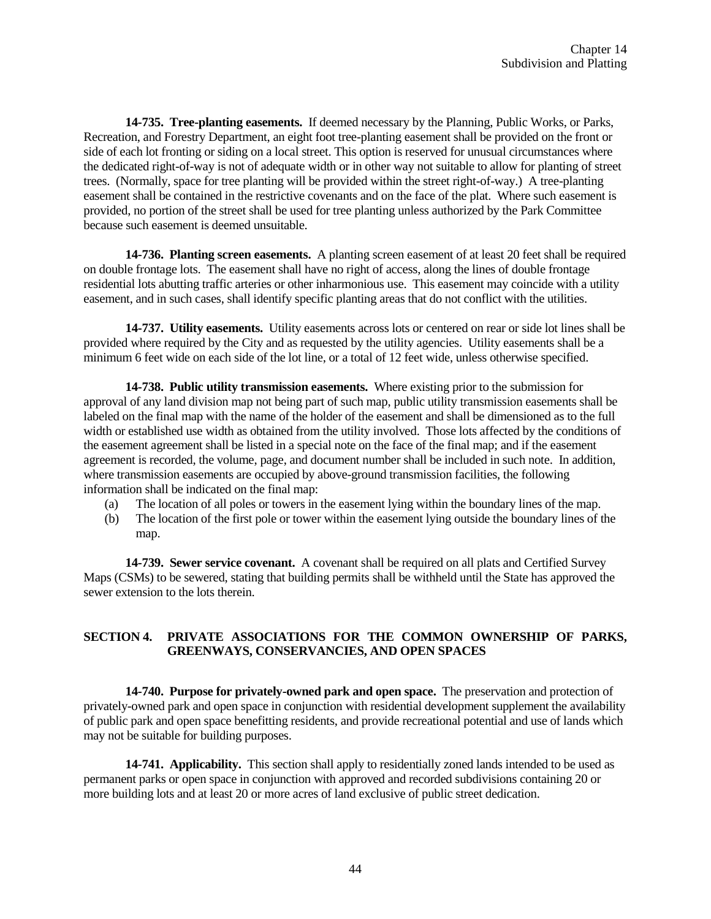**14-735. Tree-planting easements.** If deemed necessary by the Planning, Public Works, or Parks, Recreation, and Forestry Department, an eight foot tree-planting easement shall be provided on the front or side of each lot fronting or siding on a local street. This option is reserved for unusual circumstances where the dedicated right-of-way is not of adequate width or in other way not suitable to allow for planting of street trees. (Normally, space for tree planting will be provided within the street right-of-way.) A tree-planting easement shall be contained in the restrictive covenants and on the face of the plat. Where such easement is provided, no portion of the street shall be used for tree planting unless authorized by the Park Committee because such easement is deemed unsuitable.

**14-736. Planting screen easements.** A planting screen easement of at least 20 feet shall be required on double frontage lots. The easement shall have no right of access, along the lines of double frontage residential lots abutting traffic arteries or other inharmonious use. This easement may coincide with a utility easement, and in such cases, shall identify specific planting areas that do not conflict with the utilities.

**14-737. Utility easements.** Utility easements across lots or centered on rear or side lot lines shall be provided where required by the City and as requested by the utility agencies. Utility easements shall be a minimum 6 feet wide on each side of the lot line, or a total of 12 feet wide, unless otherwise specified.

**14-738. Public utility transmission easements.** Where existing prior to the submission for approval of any land division map not being part of such map, public utility transmission easements shall be labeled on the final map with the name of the holder of the easement and shall be dimensioned as to the full width or established use width as obtained from the utility involved. Those lots affected by the conditions of the easement agreement shall be listed in a special note on the face of the final map; and if the easement agreement is recorded, the volume, page, and document number shall be included in such note. In addition, where transmission easements are occupied by above-ground transmission facilities, the following information shall be indicated on the final map:

- (a) The location of all poles or towers in the easement lying within the boundary lines of the map.
- (b) The location of the first pole or tower within the easement lying outside the boundary lines of the map.

**14-739. Sewer service covenant.** A covenant shall be required on all plats and Certified Survey Maps (CSMs) to be sewered, stating that building permits shall be withheld until the State has approved the sewer extension to the lots therein.

## **SECTION 4. PRIVATE ASSOCIATIONS FOR THE COMMON OWNERSHIP OF PARKS, GREENWAYS, CONSERVANCIES, AND OPEN SPACES**

**14-740. Purpose for privately-owned park and open space.** The preservation and protection of privately-owned park and open space in conjunction with residential development supplement the availability of public park and open space benefitting residents, and provide recreational potential and use of lands which may not be suitable for building purposes.

**14-741. Applicability.** This section shall apply to residentially zoned lands intended to be used as permanent parks or open space in conjunction with approved and recorded subdivisions containing 20 or more building lots and at least 20 or more acres of land exclusive of public street dedication.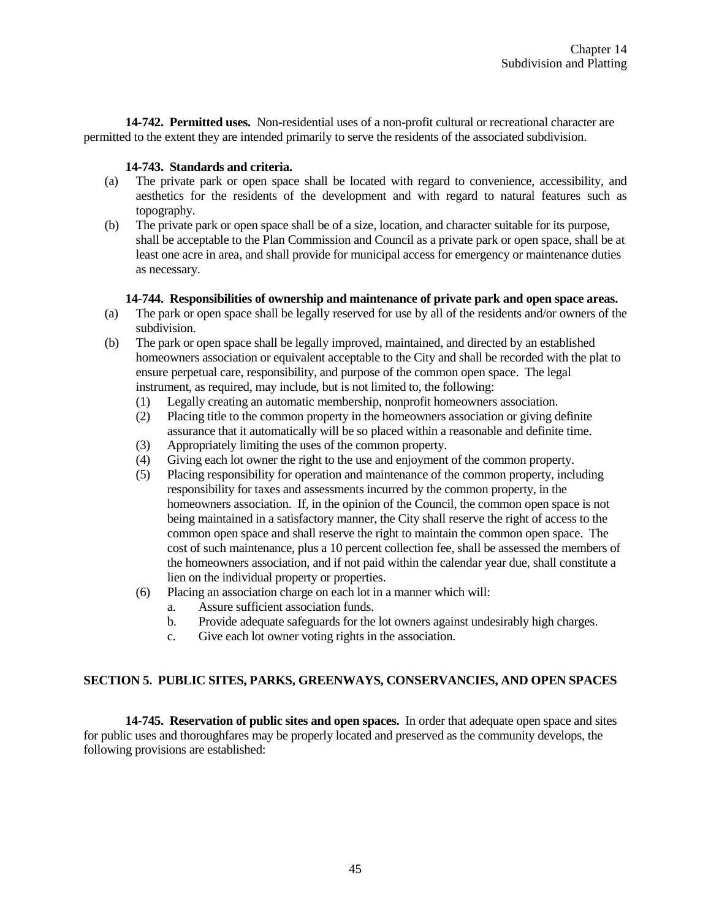**14-742. Permitted uses.** Non-residential uses of a non-profit cultural or recreational character are permitted to the extent they are intended primarily to serve the residents of the associated subdivision.

### **14-743. Standards and criteria.**

- (a) The private park or open space shall be located with regard to convenience, accessibility, and aesthetics for the residents of the development and with regard to natural features such as topography.
- (b) The private park or open space shall be of a size, location, and character suitable for its purpose, shall be acceptable to the Plan Commission and Council as a private park or open space, shall be at least one acre in area, and shall provide for municipal access for emergency or maintenance duties as necessary.

### **14-744. Responsibilities of ownership and maintenance of private park and open space areas.**

- (a) The park or open space shall be legally reserved for use by all of the residents and/or owners of the subdivision.
- (b) The park or open space shall be legally improved, maintained, and directed by an established homeowners association or equivalent acceptable to the City and shall be recorded with the plat to ensure perpetual care, responsibility, and purpose of the common open space. The legal instrument, as required, may include, but is not limited to, the following:
	- (1) Legally creating an automatic membership, nonprofit homeowners association.
	- (2) Placing title to the common property in the homeowners association or giving definite assurance that it automatically will be so placed within a reasonable and definite time.
	- (3) Appropriately limiting the uses of the common property.
	- (4) Giving each lot owner the right to the use and enjoyment of the common property.
	- (5) Placing responsibility for operation and maintenance of the common property, including responsibility for taxes and assessments incurred by the common property, in the homeowners association. If, in the opinion of the Council, the common open space is not being maintained in a satisfactory manner, the City shall reserve the right of access to the common open space and shall reserve the right to maintain the common open space. The cost of such maintenance, plus a 10 percent collection fee, shall be assessed the members of the homeowners association, and if not paid within the calendar year due, shall constitute a lien on the individual property or properties.
	- (6) Placing an association charge on each lot in a manner which will:
		- a. Assure sufficient association funds.
		- b. Provide adequate safeguards for the lot owners against undesirably high charges.
		- c. Give each lot owner voting rights in the association.

### **SECTION 5. PUBLIC SITES, PARKS, GREENWAYS, CONSERVANCIES, AND OPEN SPACES**

**14-745. Reservation of public sites and open spaces.** In order that adequate open space and sites for public uses and thoroughfares may be properly located and preserved as the community develops, the following provisions are established: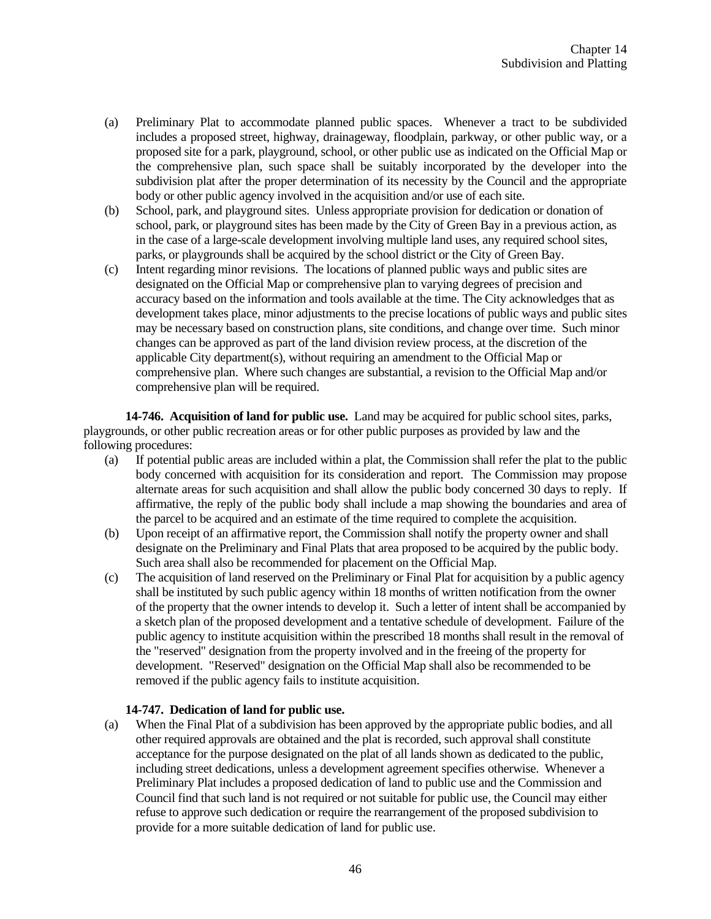- (a) Preliminary Plat to accommodate planned public spaces. Whenever a tract to be subdivided includes a proposed street, highway, drainageway, floodplain, parkway, or other public way, or a proposed site for a park, playground, school, or other public use as indicated on the Official Map or the comprehensive plan, such space shall be suitably incorporated by the developer into the subdivision plat after the proper determination of its necessity by the Council and the appropriate body or other public agency involved in the acquisition and/or use of each site.
- (b) School, park, and playground sites. Unless appropriate provision for dedication or donation of school, park, or playground sites has been made by the City of Green Bay in a previous action, as in the case of a large-scale development involving multiple land uses, any required school sites, parks, or playgrounds shall be acquired by the school district or the City of Green Bay.
- (c) Intent regarding minor revisions. The locations of planned public ways and public sites are designated on the Official Map or comprehensive plan to varying degrees of precision and accuracy based on the information and tools available at the time. The City acknowledges that as development takes place, minor adjustments to the precise locations of public ways and public sites may be necessary based on construction plans, site conditions, and change over time. Such minor changes can be approved as part of the land division review process, at the discretion of the applicable City department(s), without requiring an amendment to the Official Map or comprehensive plan. Where such changes are substantial, a revision to the Official Map and/or comprehensive plan will be required.

**14-746. Acquisition of land for public use.** Land may be acquired for public school sites, parks, playgrounds, or other public recreation areas or for other public purposes as provided by law and the following procedures:

- (a) If potential public areas are included within a plat, the Commission shall refer the plat to the public body concerned with acquisition for its consideration and report. The Commission may propose alternate areas for such acquisition and shall allow the public body concerned 30 days to reply. If affirmative, the reply of the public body shall include a map showing the boundaries and area of the parcel to be acquired and an estimate of the time required to complete the acquisition.
- (b) Upon receipt of an affirmative report, the Commission shall notify the property owner and shall designate on the Preliminary and Final Plats that area proposed to be acquired by the public body. Such area shall also be recommended for placement on the Official Map.
- (c) The acquisition of land reserved on the Preliminary or Final Plat for acquisition by a public agency shall be instituted by such public agency within 18 months of written notification from the owner of the property that the owner intends to develop it. Such a letter of intent shall be accompanied by a sketch plan of the proposed development and a tentative schedule of development. Failure of the public agency to institute acquisition within the prescribed 18 months shall result in the removal of the "reserved" designation from the property involved and in the freeing of the property for development. "Reserved" designation on the Official Map shall also be recommended to be removed if the public agency fails to institute acquisition.

### **14-747. Dedication of land for public use.**

(a) When the Final Plat of a subdivision has been approved by the appropriate public bodies, and all other required approvals are obtained and the plat is recorded, such approval shall constitute acceptance for the purpose designated on the plat of all lands shown as dedicated to the public, including street dedications, unless a development agreement specifies otherwise. Whenever a Preliminary Plat includes a proposed dedication of land to public use and the Commission and Council find that such land is not required or not suitable for public use, the Council may either refuse to approve such dedication or require the rearrangement of the proposed subdivision to provide for a more suitable dedication of land for public use.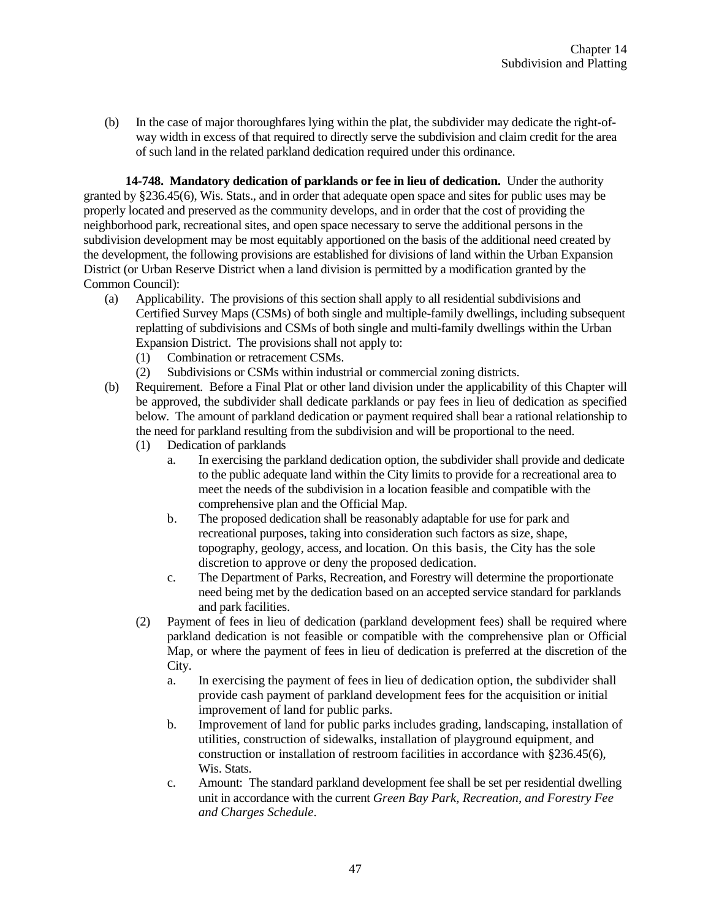(b) In the case of major thoroughfares lying within the plat, the subdivider may dedicate the right-ofway width in excess of that required to directly serve the subdivision and claim credit for the area of such land in the related parkland dedication required under this ordinance.

**14-748. Mandatory dedication of parklands or fee in lieu of dedication.** Under the authority granted by §236.45(6), Wis. Stats., and in order that adequate open space and sites for public uses may be properly located and preserved as the community develops, and in order that the cost of providing the neighborhood park, recreational sites, and open space necessary to serve the additional persons in the subdivision development may be most equitably apportioned on the basis of the additional need created by the development, the following provisions are established for divisions of land within the Urban Expansion District (or Urban Reserve District when a land division is permitted by a modification granted by the Common Council):

- (a) Applicability. The provisions of this section shall apply to all residential subdivisions and Certified Survey Maps (CSMs) of both single and multiple-family dwellings, including subsequent replatting of subdivisions and CSMs of both single and multi-family dwellings within the Urban Expansion District. The provisions shall not apply to:
	- (1) Combination or retracement CSMs.
	- (2) Subdivisions or CSMs within industrial or commercial zoning districts.
- (b) Requirement. Before a Final Plat or other land division under the applicability of this Chapter will be approved, the subdivider shall dedicate parklands or pay fees in lieu of dedication as specified below. The amount of parkland dedication or payment required shall bear a rational relationship to the need for parkland resulting from the subdivision and will be proportional to the need.
	- (1) Dedication of parklands
		- a. In exercising the parkland dedication option, the subdivider shall provide and dedicate to the public adequate land within the City limits to provide for a recreational area to meet the needs of the subdivision in a location feasible and compatible with the comprehensive plan and the Official Map.
		- b. The proposed dedication shall be reasonably adaptable for use for park and recreational purposes, taking into consideration such factors as size, shape, topography, geology, access, and location. On this basis, the City has the sole discretion to approve or deny the proposed dedication.
		- c. The Department of Parks, Recreation, and Forestry will determine the proportionate need being met by the dedication based on an accepted service standard for parklands and park facilities.
	- (2) Payment of fees in lieu of dedication (parkland development fees) shall be required where parkland dedication is not feasible or compatible with the comprehensive plan or Official Map, or where the payment of fees in lieu of dedication is preferred at the discretion of the City.
		- a. In exercising the payment of fees in lieu of dedication option, the subdivider shall provide cash payment of parkland development fees for the acquisition or initial improvement of land for public parks.
		- b. Improvement of land for public parks includes grading, landscaping, installation of utilities, construction of sidewalks, installation of playground equipment, and construction or installation of restroom facilities in accordance with §236.45(6), Wis. Stats.
		- c. Amount: The standard parkland development fee shall be set per residential dwelling unit in accordance with the current *Green Bay Park, Recreation, and Forestry Fee and Charges Schedule*.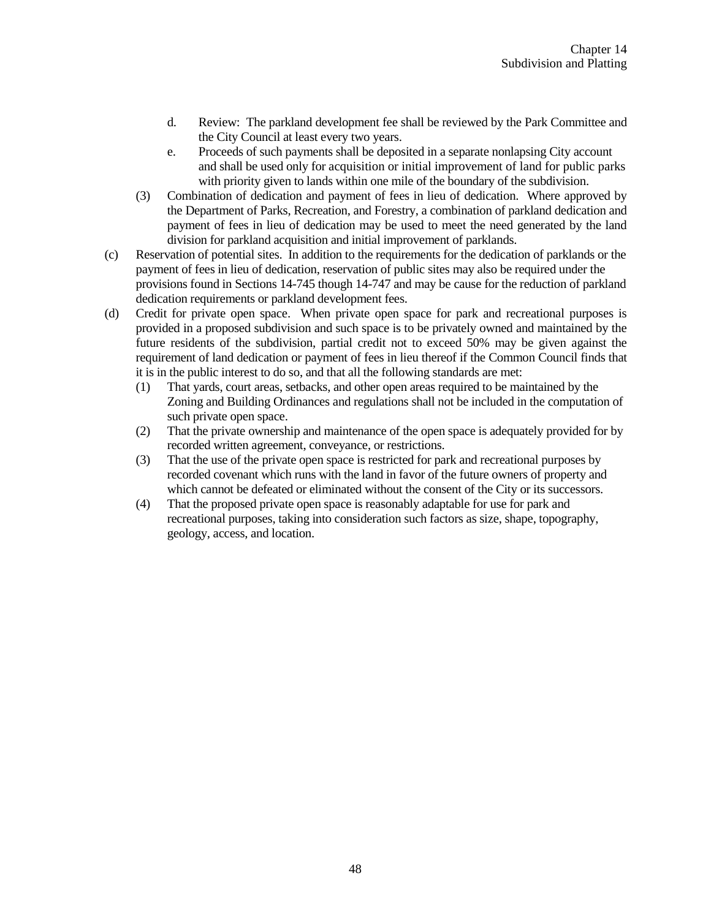- d. Review: The parkland development fee shall be reviewed by the Park Committee and the City Council at least every two years.
- e. Proceeds of such payments shall be deposited in a separate nonlapsing City account and shall be used only for acquisition or initial improvement of land for public parks with priority given to lands within one mile of the boundary of the subdivision.
- (3) Combination of dedication and payment of fees in lieu of dedication. Where approved by the Department of Parks, Recreation, and Forestry, a combination of parkland dedication and payment of fees in lieu of dedication may be used to meet the need generated by the land division for parkland acquisition and initial improvement of parklands.
- (c) Reservation of potential sites. In addition to the requirements for the dedication of parklands or the payment of fees in lieu of dedication, reservation of public sites may also be required under the provisions found in Sections 14-745 though 14-747 and may be cause for the reduction of parkland dedication requirements or parkland development fees.
- (d) Credit for private open space. When private open space for park and recreational purposes is provided in a proposed subdivision and such space is to be privately owned and maintained by the future residents of the subdivision, partial credit not to exceed 50% may be given against the requirement of land dedication or payment of fees in lieu thereof if the Common Council finds that it is in the public interest to do so, and that all the following standards are met:
	- (1) That yards, court areas, setbacks, and other open areas required to be maintained by the Zoning and Building Ordinances and regulations shall not be included in the computation of such private open space.
	- (2) That the private ownership and maintenance of the open space is adequately provided for by recorded written agreement, conveyance, or restrictions.
	- (3) That the use of the private open space is restricted for park and recreational purposes by recorded covenant which runs with the land in favor of the future owners of property and which cannot be defeated or eliminated without the consent of the City or its successors.
	- (4) That the proposed private open space is reasonably adaptable for use for park and recreational purposes, taking into consideration such factors as size, shape, topography, geology, access, and location.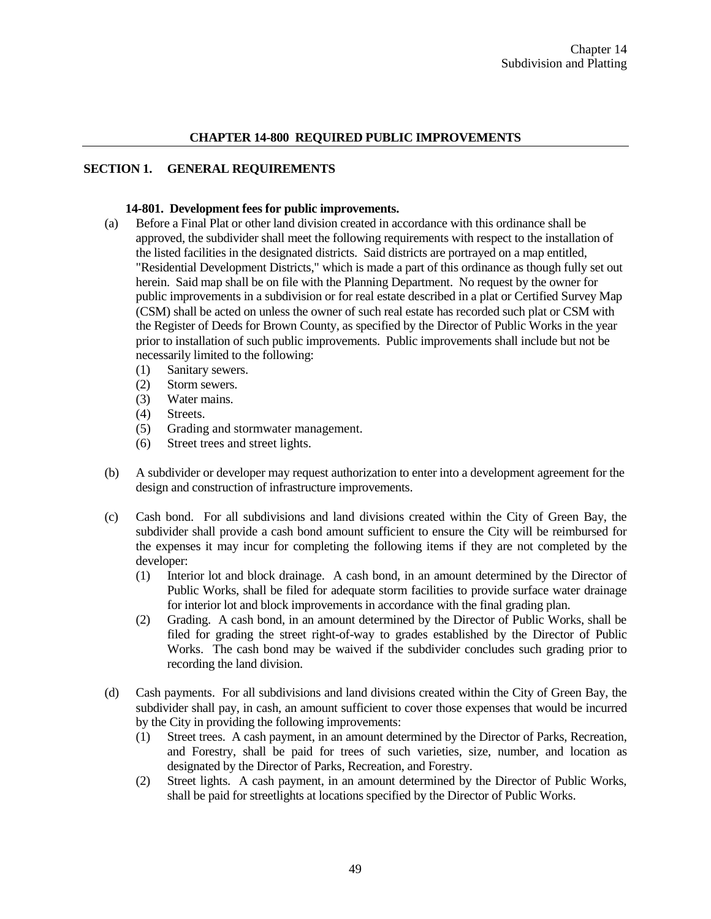# **CHAPTER 14-800 REQUIRED PUBLIC IMPROVEMENTS**

# **SECTION 1. GENERAL REQUIREMENTS**

#### **14-801. Development fees for public improvements.**

- (a) Before a Final Plat or other land division created in accordance with this ordinance shall be approved, the subdivider shall meet the following requirements with respect to the installation of the listed facilities in the designated districts. Said districts are portrayed on a map entitled, "Residential Development Districts," which is made a part of this ordinance as though fully set out herein. Said map shall be on file with the Planning Department. No request by the owner for public improvements in a subdivision or for real estate described in a plat or Certified Survey Map (CSM) shall be acted on unless the owner of such real estate has recorded such plat or CSM with the Register of Deeds for Brown County, as specified by the Director of Public Works in the year prior to installation of such public improvements. Public improvements shall include but not be necessarily limited to the following:
	- (1) Sanitary sewers.
	- (2) Storm sewers.
	- (3) Water mains.
	- (4) Streets.
	- (5) Grading and stormwater management.
	- (6) Street trees and street lights.
- (b) A subdivider or developer may request authorization to enter into a development agreement for the design and construction of infrastructure improvements.
- (c) Cash bond. For all subdivisions and land divisions created within the City of Green Bay, the subdivider shall provide a cash bond amount sufficient to ensure the City will be reimbursed for the expenses it may incur for completing the following items if they are not completed by the developer:
	- (1) Interior lot and block drainage. A cash bond, in an amount determined by the Director of Public Works, shall be filed for adequate storm facilities to provide surface water drainage for interior lot and block improvements in accordance with the final grading plan.
	- (2) Grading. A cash bond, in an amount determined by the Director of Public Works, shall be filed for grading the street right-of-way to grades established by the Director of Public Works. The cash bond may be waived if the subdivider concludes such grading prior to recording the land division.
- (d) Cash payments. For all subdivisions and land divisions created within the City of Green Bay, the subdivider shall pay, in cash, an amount sufficient to cover those expenses that would be incurred by the City in providing the following improvements:
	- (1) Street trees. A cash payment, in an amount determined by the Director of Parks, Recreation, and Forestry, shall be paid for trees of such varieties, size, number, and location as designated by the Director of Parks, Recreation, and Forestry.
	- (2) Street lights. A cash payment, in an amount determined by the Director of Public Works, shall be paid for streetlights at locations specified by the Director of Public Works.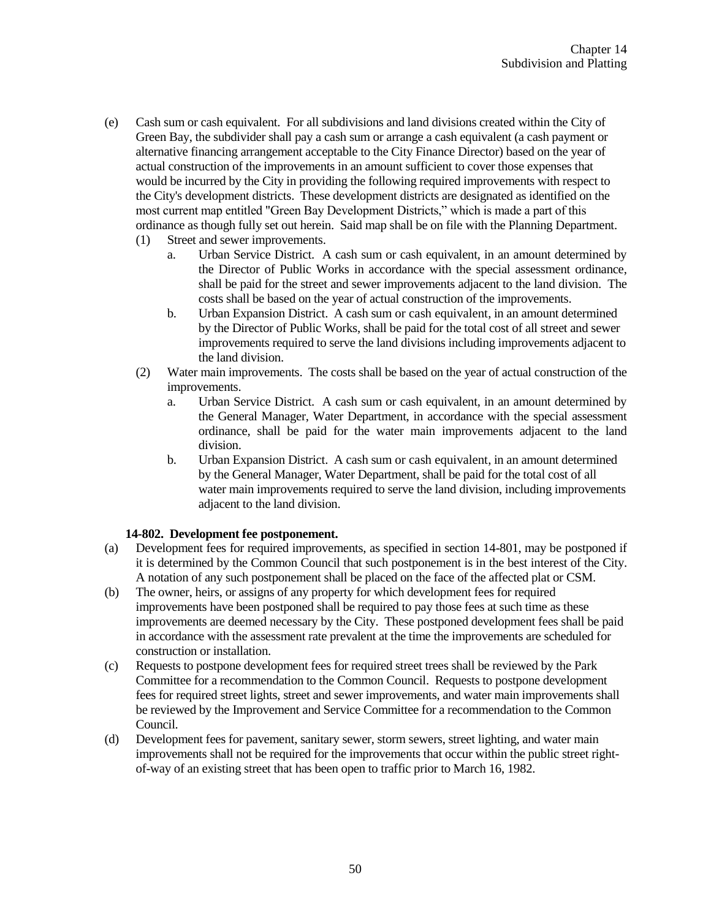- (e) Cash sum or cash equivalent. For all subdivisions and land divisions created within the City of Green Bay, the subdivider shall pay a cash sum or arrange a cash equivalent (a cash payment or alternative financing arrangement acceptable to the City Finance Director) based on the year of actual construction of the improvements in an amount sufficient to cover those expenses that would be incurred by the City in providing the following required improvements with respect to the City's development districts. These development districts are designated as identified on the most current map entitled "Green Bay Development Districts," which is made a part of this ordinance as though fully set out herein. Said map shall be on file with the Planning Department.
	- (1) Street and sewer improvements.
		- a. Urban Service District. A cash sum or cash equivalent, in an amount determined by the Director of Public Works in accordance with the special assessment ordinance, shall be paid for the street and sewer improvements adjacent to the land division. The costs shall be based on the year of actual construction of the improvements.
		- b. Urban Expansion District. A cash sum or cash equivalent, in an amount determined by the Director of Public Works, shall be paid for the total cost of all street and sewer improvements required to serve the land divisions including improvements adjacent to the land division.
	- (2) Water main improvements. The costs shall be based on the year of actual construction of the improvements.
		- a. Urban Service District. A cash sum or cash equivalent, in an amount determined by the General Manager, Water Department, in accordance with the special assessment ordinance, shall be paid for the water main improvements adjacent to the land division.
		- b. Urban Expansion District. A cash sum or cash equivalent, in an amount determined by the General Manager, Water Department, shall be paid for the total cost of all water main improvements required to serve the land division, including improvements adjacent to the land division.

# **14-802. Development fee postponement.**

- (a) Development fees for required improvements, as specified in section 14-801, may be postponed if it is determined by the Common Council that such postponement is in the best interest of the City. A notation of any such postponement shall be placed on the face of the affected plat or CSM.
- (b) The owner, heirs, or assigns of any property for which development fees for required improvements have been postponed shall be required to pay those fees at such time as these improvements are deemed necessary by the City. These postponed development fees shall be paid in accordance with the assessment rate prevalent at the time the improvements are scheduled for construction or installation.
- (c) Requests to postpone development fees for required street trees shall be reviewed by the Park Committee for a recommendation to the Common Council. Requests to postpone development fees for required street lights, street and sewer improvements, and water main improvements shall be reviewed by the Improvement and Service Committee for a recommendation to the Common Council.
- (d) Development fees for pavement, sanitary sewer, storm sewers, street lighting, and water main improvements shall not be required for the improvements that occur within the public street rightof-way of an existing street that has been open to traffic prior to March 16, 1982.